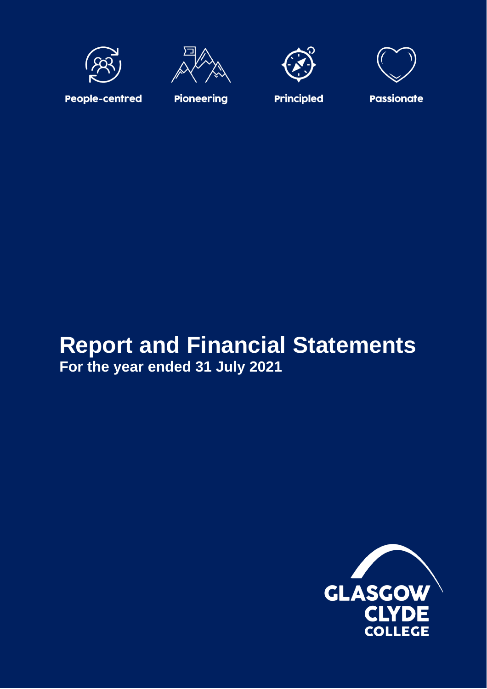







**People-centred** 

**Pioneering** 

**Principled** 

# **Report and Financial Statements For the year ended 31 July 2021**

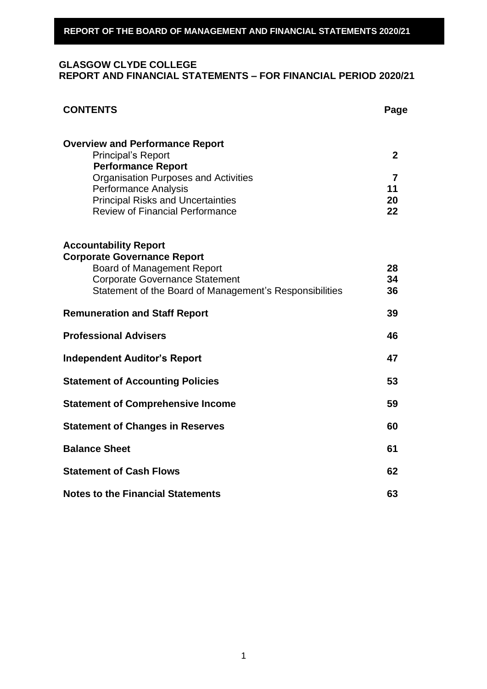# **GLASGOW CLYDE COLLEGE REPORT AND FINANCIAL STATEMENTS – FOR FINANCIAL PERIOD 2020/21**

| <b>CONTENTS</b>                                                                                                                                                                                                                                                      | Page                                             |
|----------------------------------------------------------------------------------------------------------------------------------------------------------------------------------------------------------------------------------------------------------------------|--------------------------------------------------|
| <b>Overview and Performance Report</b><br><b>Principal's Report</b><br><b>Performance Report</b><br><b>Organisation Purposes and Activities</b><br><b>Performance Analysis</b><br><b>Principal Risks and Uncertainties</b><br><b>Review of Financial Performance</b> | $\mathbf{2}$<br>$\overline{7}$<br>11<br>20<br>22 |
| <b>Accountability Report</b><br><b>Corporate Governance Report</b><br><b>Board of Management Report</b><br><b>Corporate Governance Statement</b><br>Statement of the Board of Management's Responsibilities                                                          | 28<br>34<br>36                                   |
| <b>Remuneration and Staff Report</b>                                                                                                                                                                                                                                 | 39                                               |
| <b>Professional Advisers</b>                                                                                                                                                                                                                                         | 46                                               |
| <b>Independent Auditor's Report</b>                                                                                                                                                                                                                                  | 47                                               |
| <b>Statement of Accounting Policies</b>                                                                                                                                                                                                                              | 53                                               |
| <b>Statement of Comprehensive Income</b>                                                                                                                                                                                                                             | 59                                               |
| <b>Statement of Changes in Reserves</b>                                                                                                                                                                                                                              | 60                                               |
| <b>Balance Sheet</b>                                                                                                                                                                                                                                                 | 61                                               |
| <b>Statement of Cash Flows</b>                                                                                                                                                                                                                                       | 62                                               |
| <b>Notes to the Financial Statements</b>                                                                                                                                                                                                                             | 63                                               |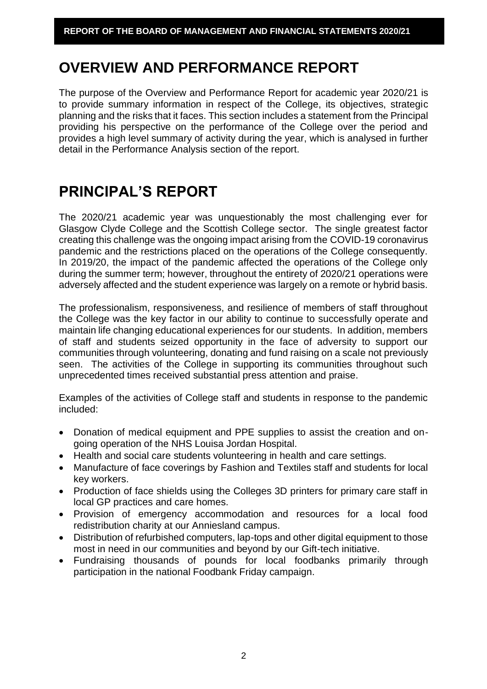# **OVERVIEW AND PERFORMANCE REPORT**

The purpose of the Overview and Performance Report for academic year 2020/21 is to provide summary information in respect of the College, its objectives, strategic planning and the risks that it faces. This section includes a statement from the Principal providing his perspective on the performance of the College over the period and provides a high level summary of activity during the year, which is analysed in further detail in the Performance Analysis section of the report.

# **PRINCIPAL'S REPORT**

The 2020/21 academic year was unquestionably the most challenging ever for Glasgow Clyde College and the Scottish College sector. The single greatest factor creating this challenge was the ongoing impact arising from the COVID-19 coronavirus pandemic and the restrictions placed on the operations of the College consequently. In 2019/20, the impact of the pandemic affected the operations of the College only during the summer term; however, throughout the entirety of 2020/21 operations were adversely affected and the student experience was largely on a remote or hybrid basis.

The professionalism, responsiveness, and resilience of members of staff throughout the College was the key factor in our ability to continue to successfully operate and maintain life changing educational experiences for our students. In addition, members of staff and students seized opportunity in the face of adversity to support our communities through volunteering, donating and fund raising on a scale not previously seen. The activities of the College in supporting its communities throughout such unprecedented times received substantial press attention and praise.

Examples of the activities of College staff and students in response to the pandemic included:

- Donation of medical equipment and PPE supplies to assist the creation and ongoing operation of the NHS Louisa Jordan Hospital.
- Health and social care students volunteering in health and care settings.
- Manufacture of face coverings by Fashion and Textiles staff and students for local key workers.
- Production of face shields using the Colleges 3D printers for primary care staff in local GP practices and care homes.
- Provision of emergency accommodation and resources for a local food redistribution charity at our Anniesland campus.
- Distribution of refurbished computers, lap-tops and other digital equipment to those most in need in our communities and beyond by our Gift-tech initiative.
- Fundraising thousands of pounds for local foodbanks primarily through participation in the national Foodbank Friday campaign.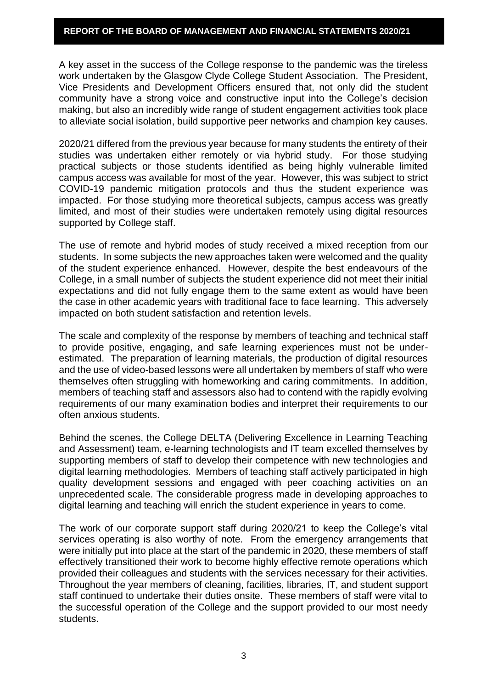A key asset in the success of the College response to the pandemic was the tireless work undertaken by the Glasgow Clyde College Student Association. The President, Vice Presidents and Development Officers ensured that, not only did the student community have a strong voice and constructive input into the College's decision making, but also an incredibly wide range of student engagement activities took place to alleviate social isolation, build supportive peer networks and champion key causes.

2020/21 differed from the previous year because for many students the entirety of their studies was undertaken either remotely or via hybrid study. For those studying practical subjects or those students identified as being highly vulnerable limited campus access was available for most of the year. However, this was subject to strict COVID-19 pandemic mitigation protocols and thus the student experience was impacted. For those studying more theoretical subjects, campus access was greatly limited, and most of their studies were undertaken remotely using digital resources supported by College staff.

The use of remote and hybrid modes of study received a mixed reception from our students. In some subjects the new approaches taken were welcomed and the quality of the student experience enhanced. However, despite the best endeavours of the College, in a small number of subjects the student experience did not meet their initial expectations and did not fully engage them to the same extent as would have been the case in other academic years with traditional face to face learning. This adversely impacted on both student satisfaction and retention levels.

The scale and complexity of the response by members of teaching and technical staff to provide positive, engaging, and safe learning experiences must not be underestimated. The preparation of learning materials, the production of digital resources and the use of video-based lessons were all undertaken by members of staff who were themselves often struggling with homeworking and caring commitments. In addition, members of teaching staff and assessors also had to contend with the rapidly evolving requirements of our many examination bodies and interpret their requirements to our often anxious students.

Behind the scenes, the College DELTA (Delivering Excellence in Learning Teaching and Assessment) team, e-learning technologists and IT team excelled themselves by supporting members of staff to develop their competence with new technologies and digital learning methodologies. Members of teaching staff actively participated in high quality development sessions and engaged with peer coaching activities on an unprecedented scale. The considerable progress made in developing approaches to digital learning and teaching will enrich the student experience in years to come.

The work of our corporate support staff during 2020/21 to keep the College's vital services operating is also worthy of note. From the emergency arrangements that were initially put into place at the start of the pandemic in 2020, these members of staff effectively transitioned their work to become highly effective remote operations which provided their colleagues and students with the services necessary for their activities. Throughout the year members of cleaning, facilities, libraries, IT, and student support staff continued to undertake their duties onsite. These members of staff were vital to the successful operation of the College and the support provided to our most needy students.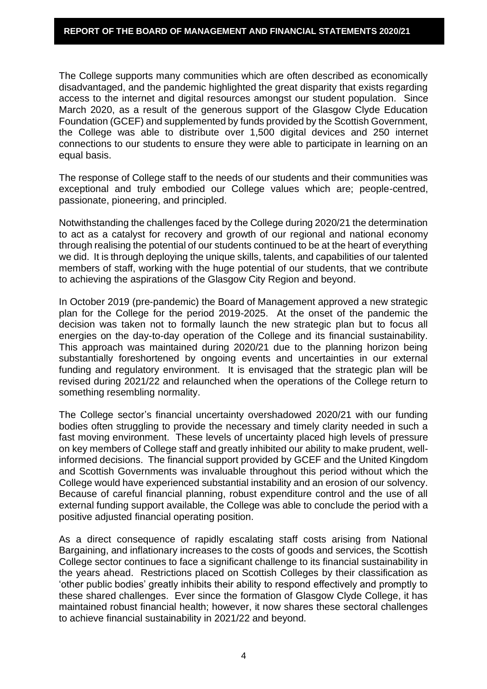The College supports many communities which are often described as economically disadvantaged, and the pandemic highlighted the great disparity that exists regarding access to the internet and digital resources amongst our student population. Since March 2020, as a result of the generous support of the Glasgow Clyde Education Foundation (GCEF) and supplemented by funds provided by the Scottish Government, the College was able to distribute over 1,500 digital devices and 250 internet connections to our students to ensure they were able to participate in learning on an equal basis.

The response of College staff to the needs of our students and their communities was exceptional and truly embodied our College values which are; people-centred, passionate, pioneering, and principled.

Notwithstanding the challenges faced by the College during 2020/21 the determination to act as a catalyst for recovery and growth of our regional and national economy through realising the potential of our students continued to be at the heart of everything we did. It is through deploying the unique skills, talents, and capabilities of our talented members of staff, working with the huge potential of our students, that we contribute to achieving the aspirations of the Glasgow City Region and beyond.

In October 2019 (pre-pandemic) the Board of Management approved a new strategic plan for the College for the period 2019-2025. At the onset of the pandemic the decision was taken not to formally launch the new strategic plan but to focus all energies on the day-to-day operation of the College and its financial sustainability. This approach was maintained during 2020/21 due to the planning horizon being substantially foreshortened by ongoing events and uncertainties in our external funding and regulatory environment. It is envisaged that the strategic plan will be revised during 2021/22 and relaunched when the operations of the College return to something resembling normality.

The College sector's financial uncertainty overshadowed 2020/21 with our funding bodies often struggling to provide the necessary and timely clarity needed in such a fast moving environment. These levels of uncertainty placed high levels of pressure on key members of College staff and greatly inhibited our ability to make prudent, wellinformed decisions. The financial support provided by GCEF and the United Kingdom and Scottish Governments was invaluable throughout this period without which the College would have experienced substantial instability and an erosion of our solvency. Because of careful financial planning, robust expenditure control and the use of all external funding support available, the College was able to conclude the period with a positive adjusted financial operating position.

As a direct consequence of rapidly escalating staff costs arising from National Bargaining, and inflationary increases to the costs of goods and services, the Scottish College sector continues to face a significant challenge to its financial sustainability in the years ahead. Restrictions placed on Scottish Colleges by their classification as 'other public bodies' greatly inhibits their ability to respond effectively and promptly to these shared challenges. Ever since the formation of Glasgow Clyde College, it has maintained robust financial health; however, it now shares these sectoral challenges to achieve financial sustainability in 2021/22 and beyond.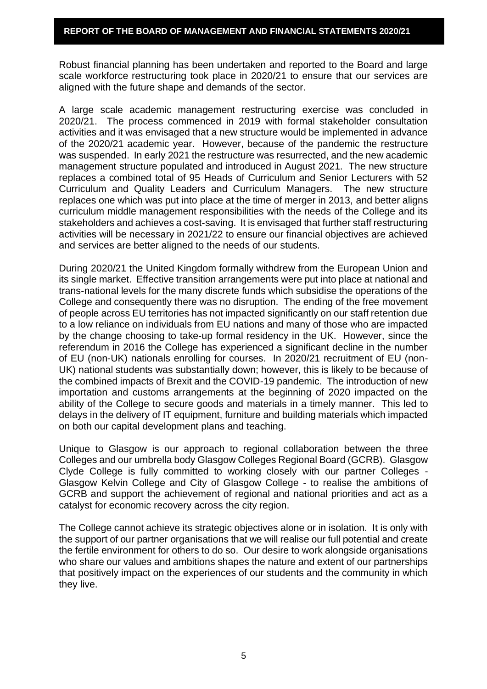Robust financial planning has been undertaken and reported to the Board and large scale workforce restructuring took place in 2020/21 to ensure that our services are aligned with the future shape and demands of the sector.

A large scale academic management restructuring exercise was concluded in 2020/21. The process commenced in 2019 with formal stakeholder consultation activities and it was envisaged that a new structure would be implemented in advance of the 2020/21 academic year. However, because of the pandemic the restructure was suspended. In early 2021 the restructure was resurrected, and the new academic management structure populated and introduced in August 2021. The new structure replaces a combined total of 95 Heads of Curriculum and Senior Lecturers with 52 Curriculum and Quality Leaders and Curriculum Managers. The new structure replaces one which was put into place at the time of merger in 2013, and better aligns curriculum middle management responsibilities with the needs of the College and its stakeholders and achieves a cost-saving. It is envisaged that further staff restructuring activities will be necessary in 2021/22 to ensure our financial objectives are achieved and services are better aligned to the needs of our students.

During 2020/21 the United Kingdom formally withdrew from the European Union and its single market. Effective transition arrangements were put into place at national and trans-national levels for the many discrete funds which subsidise the operations of the College and consequently there was no disruption. The ending of the free movement of people across EU territories has not impacted significantly on our staff retention due to a low reliance on individuals from EU nations and many of those who are impacted by the change choosing to take-up formal residency in the UK. However, since the referendum in 2016 the College has experienced a significant decline in the number of EU (non-UK) nationals enrolling for courses. In 2020/21 recruitment of EU (non-UK) national students was substantially down; however, this is likely to be because of the combined impacts of Brexit and the COVID-19 pandemic. The introduction of new importation and customs arrangements at the beginning of 2020 impacted on the ability of the College to secure goods and materials in a timely manner. This led to delays in the delivery of IT equipment, furniture and building materials which impacted on both our capital development plans and teaching.

Unique to Glasgow is our approach to regional collaboration between the three Colleges and our umbrella body Glasgow Colleges Regional Board (GCRB). Glasgow Clyde College is fully committed to working closely with our partner Colleges - Glasgow Kelvin College and City of Glasgow College - to realise the ambitions of GCRB and support the achievement of regional and national priorities and act as a catalyst for economic recovery across the city region.

The College cannot achieve its strategic objectives alone or in isolation. It is only with the support of our partner organisations that we will realise our full potential and create the fertile environment for others to do so. Our desire to work alongside organisations who share our values and ambitions shapes the nature and extent of our partnerships that positively impact on the experiences of our students and the community in which they live.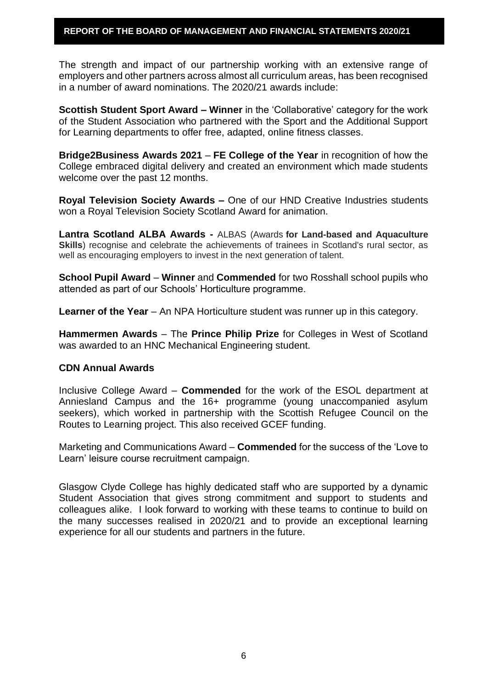The strength and impact of our partnership working with an extensive range of employers and other partners across almost all curriculum areas, has been recognised in a number of award nominations. The 2020/21 awards include:

**Scottish Student Sport Award – Winner** in the 'Collaborative' category for the work of the Student Association who partnered with the Sport and the Additional Support for Learning departments to offer free, adapted, online fitness classes.

**Bridge2Business Awards 2021** – **FE College of the Year** in recognition of how the College embraced digital delivery and created an environment which made students welcome over the past 12 months.

**Royal Television Society Awards –** One of our HND Creative Industries students won a Royal Television Society Scotland Award for animation.

**Lantra Scotland ALBA Awards -** ALBAS (Awards **for Land-based and Aquaculture Skills**) recognise and celebrate the achievements of trainees in Scotland's rural sector, as well as encouraging employers to invest in the next generation of talent.

**School Pupil Award** – **Winner** and **Commended** for two Rosshall school pupils who attended as part of our Schools' Horticulture programme.

**Learner of the Year** – An NPA Horticulture student was runner up in this category.

**Hammermen Awards** – The **Prince Philip Prize** for Colleges in West of Scotland was awarded to an HNC Mechanical Engineering student.

# **CDN Annual Awards**

Inclusive College Award – **Commended** for the work of the ESOL department at Anniesland Campus and the 16+ programme (young unaccompanied asylum seekers), which worked in partnership with the Scottish Refugee Council on the Routes to Learning project. This also received GCEF funding.

Marketing and Communications Award – **Commended** for the success of the 'Love to Learn' leisure course recruitment campaign.

Glasgow Clyde College has highly dedicated staff who are supported by a dynamic Student Association that gives strong commitment and support to students and colleagues alike. I look forward to working with these teams to continue to build on the many successes realised in 2020/21 and to provide an exceptional learning experience for all our students and partners in the future.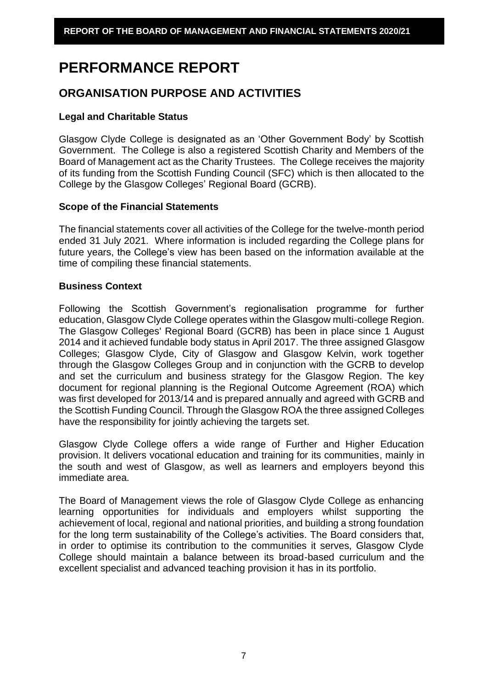# **PERFORMANCE REPORT**

# **ORGANISATION PURPOSE AND ACTIVITIES**

# **Legal and Charitable Status**

Glasgow Clyde College is designated as an 'Other Government Body' by Scottish Government. The College is also a registered Scottish Charity and Members of the Board of Management act as the Charity Trustees. The College receives the majority of its funding from the Scottish Funding Council (SFC) which is then allocated to the College by the Glasgow Colleges' Regional Board (GCRB).

# **Scope of the Financial Statements**

The financial statements cover all activities of the College for the twelve-month period ended 31 July 2021. Where information is included regarding the College plans for future years, the College's view has been based on the information available at the time of compiling these financial statements.

# **Business Context**

Following the Scottish Government's regionalisation programme for further education, Glasgow Clyde College operates within the Glasgow multi-college Region. The Glasgow Colleges' Regional Board (GCRB) has been in place since 1 August 2014 and it achieved fundable body status in April 2017. The three assigned Glasgow Colleges; Glasgow Clyde, City of Glasgow and Glasgow Kelvin, work together through the Glasgow Colleges Group and in conjunction with the GCRB to develop and set the curriculum and business strategy for the Glasgow Region. The key document for regional planning is the Regional Outcome Agreement (ROA) which was first developed for 2013/14 and is prepared annually and agreed with GCRB and the Scottish Funding Council. Through the Glasgow ROA the three assigned Colleges have the responsibility for jointly achieving the targets set.

Glasgow Clyde College offers a wide range of Further and Higher Education provision. It delivers vocational education and training for its communities, mainly in the south and west of Glasgow, as well as learners and employers beyond this immediate area.

The Board of Management views the role of Glasgow Clyde College as enhancing learning opportunities for individuals and employers whilst supporting the achievement of local, regional and national priorities, and building a strong foundation for the long term sustainability of the College's activities. The Board considers that, in order to optimise its contribution to the communities it serves, Glasgow Clyde College should maintain a balance between its broad-based curriculum and the excellent specialist and advanced teaching provision it has in its portfolio.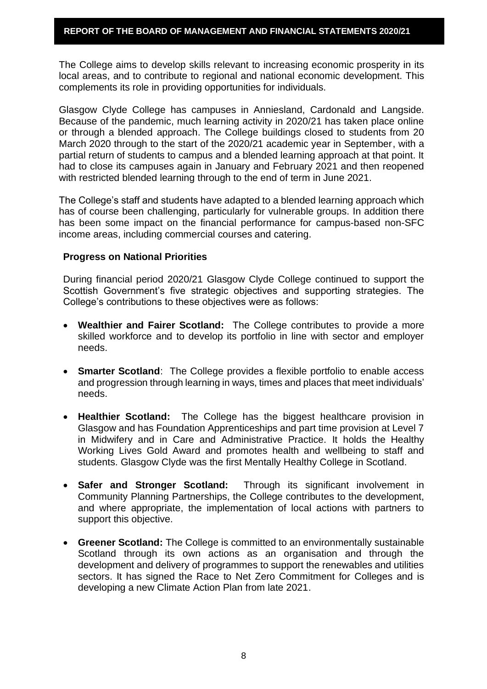The College aims to develop skills relevant to increasing economic prosperity in its local areas, and to contribute to regional and national economic development. This complements its role in providing opportunities for individuals.

Glasgow Clyde College has campuses in Anniesland, Cardonald and Langside. Because of the pandemic, much learning activity in 2020/21 has taken place online or through a blended approach. The College buildings closed to students from 20 March 2020 through to the start of the 2020/21 academic year in September, with a partial return of students to campus and a blended learning approach at that point. It had to close its campuses again in January and February 2021 and then reopened with restricted blended learning through to the end of term in June 2021.

The College's staff and students have adapted to a blended learning approach which has of course been challenging, particularly for vulnerable groups. In addition there has been some impact on the financial performance for campus-based non-SFC income areas, including commercial courses and catering.

#### **Progress on National Priorities**

During financial period 2020/21 Glasgow Clyde College continued to support the Scottish Government's five strategic objectives and supporting strategies. The College's contributions to these objectives were as follows:

- **Wealthier and Fairer Scotland:** The College contributes to provide a more skilled workforce and to develop its portfolio in line with sector and employer needs.
- **Smarter Scotland**: The College provides a flexible portfolio to enable access and progression through learning in ways, times and places that meet individuals' needs.
- **Healthier Scotland:** The College has the biggest healthcare provision in Glasgow and has Foundation Apprenticeships and part time provision at Level 7 in Midwifery and in Care and Administrative Practice. It holds the Healthy Working Lives Gold Award and promotes health and wellbeing to staff and students. Glasgow Clyde was the first Mentally Healthy College in Scotland.
- **Safer and Stronger Scotland:** Through its significant involvement in Community Planning Partnerships, the College contributes to the development, and where appropriate, the implementation of local actions with partners to support this objective.
- **Greener Scotland:** The College is committed to an environmentally sustainable Scotland through its own actions as an organisation and through the development and delivery of programmes to support the renewables and utilities sectors. It has signed the Race to Net Zero Commitment for Colleges and is developing a new Climate Action Plan from late 2021.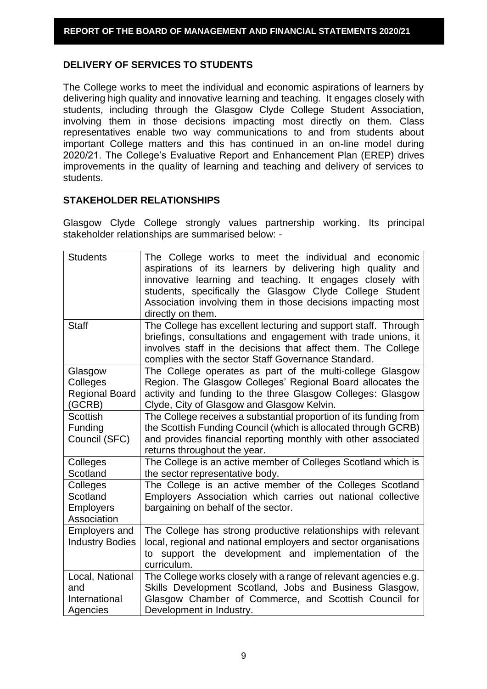# **DELIVERY OF SERVICES TO STUDENTS**

The College works to meet the individual and economic aspirations of learners by delivering high quality and innovative learning and teaching. It engages closely with students, including through the Glasgow Clyde College Student Association, involving them in those decisions impacting most directly on them. Class representatives enable two way communications to and from students about important College matters and this has continued in an on-line model during 2020/21. The College's Evaluative Report and Enhancement Plan (EREP) drives improvements in the quality of learning and teaching and delivery of services to students.

# **STAKEHOLDER RELATIONSHIPS**

Glasgow Clyde College strongly values partnership working. Its principal stakeholder relationships are summarised below: -

| <b>Students</b>                                         | The College works to meet the individual and economic<br>aspirations of its learners by delivering high quality and<br>innovative learning and teaching. It engages closely with<br>students, specifically the Glasgow Clyde College Student<br>Association involving them in those decisions impacting most<br>directly on them. |
|---------------------------------------------------------|-----------------------------------------------------------------------------------------------------------------------------------------------------------------------------------------------------------------------------------------------------------------------------------------------------------------------------------|
| <b>Staff</b>                                            | The College has excellent lecturing and support staff. Through<br>briefings, consultations and engagement with trade unions, it<br>involves staff in the decisions that affect them. The College<br>complies with the sector Staff Governance Standard.                                                                           |
| Glasgow<br>Colleges<br><b>Regional Board</b><br>(GCRB)  | The College operates as part of the multi-college Glasgow<br>Region. The Glasgow Colleges' Regional Board allocates the<br>activity and funding to the three Glasgow Colleges: Glasgow<br>Clyde, City of Glasgow and Glasgow Kelvin.                                                                                              |
| <b>Scottish</b><br>Funding<br>Council (SFC)             | The College receives a substantial proportion of its funding from<br>the Scottish Funding Council (which is allocated through GCRB)<br>and provides financial reporting monthly with other associated<br>returns throughout the year.                                                                                             |
| Colleges<br>Scotland                                    | The College is an active member of Colleges Scotland which is<br>the sector representative body.                                                                                                                                                                                                                                  |
| Colleges<br>Scotland<br><b>Employers</b><br>Association | The College is an active member of the Colleges Scotland<br>Employers Association which carries out national collective<br>bargaining on behalf of the sector.                                                                                                                                                                    |
| <b>Employers and</b><br><b>Industry Bodies</b>          | The College has strong productive relationships with relevant<br>local, regional and national employers and sector organisations<br>to support the development and implementation of the<br>curriculum.                                                                                                                           |
| Local, National<br>and<br>International<br>Agencies     | The College works closely with a range of relevant agencies e.g.<br>Skills Development Scotland, Jobs and Business Glasgow,<br>Glasgow Chamber of Commerce, and Scottish Council for<br>Development in Industry.                                                                                                                  |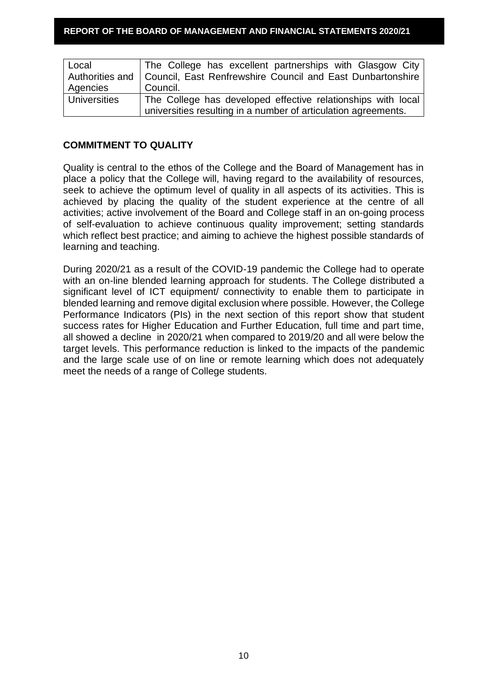| Local               | The College has excellent partnerships with Glasgow City                     |
|---------------------|------------------------------------------------------------------------------|
|                     | Authorities and   Council, East Renfrewshire Council and East Dunbartonshire |
| Agencies            | Council.                                                                     |
| <b>Universities</b> | The College has developed effective relationships with local                 |
|                     | universities resulting in a number of articulation agreements.               |

# **COMMITMENT TO QUALITY**

Quality is central to the ethos of the College and the Board of Management has in place a policy that the College will, having regard to the availability of resources, seek to achieve the optimum level of quality in all aspects of its activities. This is achieved by placing the quality of the student experience at the centre of all activities; active involvement of the Board and College staff in an on-going process of self-evaluation to achieve continuous quality improvement; setting standards which reflect best practice; and aiming to achieve the highest possible standards of learning and teaching.

During 2020/21 as a result of the COVID-19 pandemic the College had to operate with an on-line blended learning approach for students. The College distributed a significant level of ICT equipment/ connectivity to enable them to participate in blended learning and remove digital exclusion where possible. However, the College Performance Indicators (PIs) in the next section of this report show that student success rates for Higher Education and Further Education, full time and part time, all showed a decline in 2020/21 when compared to 2019/20 and all were below the target levels. This performance reduction is linked to the impacts of the pandemic and the large scale use of on line or remote learning which does not adequately meet the needs of a range of College students.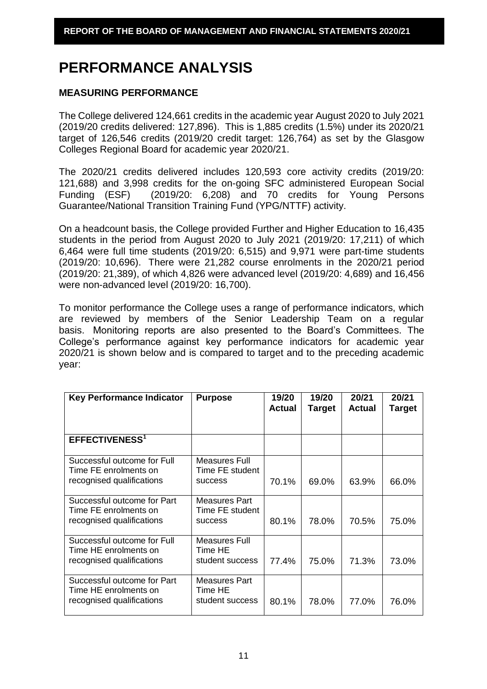# **PERFORMANCE ANALYSIS**

# **MEASURING PERFORMANCE**

The College delivered 124,661 credits in the academic year August 2020 to July 2021 (2019/20 credits delivered: 127,896). This is 1,885 credits (1.5%) under its 2020/21 target of 126,546 credits (2019/20 credit target: 126,764) as set by the Glasgow Colleges Regional Board for academic year 2020/21.

The 2020/21 credits delivered includes 120,593 core activity credits (2019/20: 121,688) and 3,998 credits for the on-going SFC administered European Social Funding (ESF) (2019/20: 6,208) and 70 credits for Young Persons Guarantee/National Transition Training Fund (YPG/NTTF) activity.

On a headcount basis, the College provided Further and Higher Education to 16,435 students in the period from August 2020 to July 2021 (2019/20: 17,211) of which 6,464 were full time students (2019/20: 6,515) and 9,971 were part-time students (2019/20: 10,696). There were 21,282 course enrolments in the 2020/21 period (2019/20: 21,389), of which 4,826 were advanced level (2019/20: 4,689) and 16,456 were non-advanced level (2019/20: 16,700).

To monitor performance the College uses a range of performance indicators, which are reviewed by members of the Senior Leadership Team on a regular basis. Monitoring reports are also presented to the Board's Committees. The College's performance against key performance indicators for academic year 2020/21 is shown below and is compared to target and to the preceding academic year:

| <b>Key Performance Indicator</b>                                                  | <b>Purpose</b>                                     | 19/20<br>Actual | 19/20<br><b>Target</b> | 20/21<br><b>Actual</b> | 20/21<br>Target |
|-----------------------------------------------------------------------------------|----------------------------------------------------|-----------------|------------------------|------------------------|-----------------|
| <b>EFFECTIVENESS<sup>1</sup></b>                                                  |                                                    |                 |                        |                        |                 |
| Successful outcome for Full<br>Time FE enrolments on<br>recognised qualifications | Measures Full<br>Time FE student<br><b>SUCCESS</b> | 70.1%           | 69.0%                  | 63.9%                  | 66.0%           |
| Successful outcome for Part<br>Time FE enrolments on<br>recognised qualifications | Measures Part<br>Time FE student<br><b>SUCCESS</b> | 80.1%           | 78.0%                  | 70.5%                  | 75.0%           |
| Successful outcome for Full<br>Time HE enrolments on<br>recognised qualifications | Measures Full<br>Time HE<br>student success        | 77.4%           | 75.0%                  | 71.3%                  | 73.0%           |
| Successful outcome for Part<br>Time HE enrolments on<br>recognised qualifications | Measures Part<br>Time HE<br>student success        | 80.1%           | 78.0%                  | 77.0%                  | 76.0%           |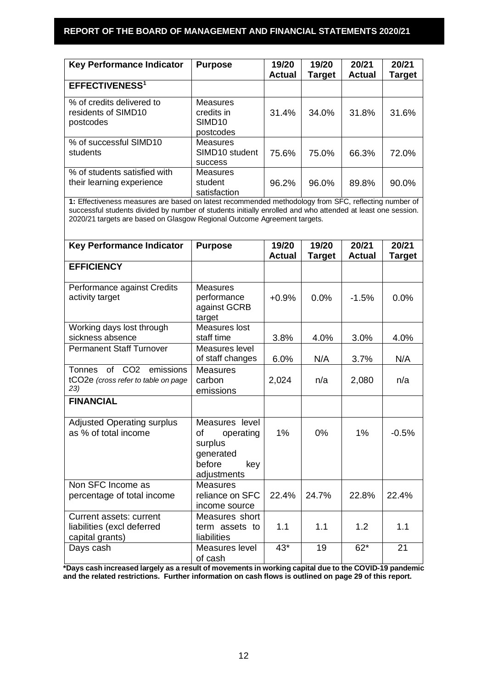| <b>Key Performance Indicator</b>                              | <b>Purpose</b>                                                   | 19/20<br><b>Actual</b> | 19/20<br>Target | 20/21<br><b>Actual</b> | 20/21<br><b>Target</b> |
|---------------------------------------------------------------|------------------------------------------------------------------|------------------------|-----------------|------------------------|------------------------|
| <b>EFFECTIVENESS<sup>1</sup></b>                              |                                                                  |                        |                 |                        |                        |
| % of credits delivered to<br>residents of SIMD10<br>postcodes | <b>Measures</b><br>credits in<br>SIMD <sub>10</sub><br>postcodes | 31.4%                  | 34.0%           | 31.8%                  | 31.6%                  |
| % of successful SIMD10<br>students                            | <b>Measures</b><br>SIMD <sub>10</sub> student<br><b>SUCCESS</b>  | 75.6%                  | 75.0%           | 66.3%                  | 72.0%                  |
| % of students satisfied with<br>their learning experience     | <b>Measures</b><br>student<br>satisfaction                       | 96.2%                  | 96.0%           | 89.8%                  | 90.0%                  |

**1:** Effectiveness measures are based on latest recommended methodology from SFC, reflecting number of successful students divided by number of students initially enrolled and who attended at least one session. 2020/21 targets are based on Glasgow Regional Outcome Agreement targets.

| <b>Key Performance Indicator</b>                                                                  | <b>Purpose</b>                                                                            | 19/20         | 19/20         | 20/21         | 20/21         |
|---------------------------------------------------------------------------------------------------|-------------------------------------------------------------------------------------------|---------------|---------------|---------------|---------------|
|                                                                                                   |                                                                                           | <b>Actual</b> | <b>Target</b> | <b>Actual</b> | <b>Target</b> |
| <b>EFFICIENCY</b>                                                                                 |                                                                                           |               |               |               |               |
| Performance against Credits<br>activity target                                                    | <b>Measures</b><br>performance<br>against GCRB<br>target                                  | $+0.9%$       | 0.0%          | $-1.5%$       | 0.0%          |
| Working days lost through<br>sickness absence                                                     | Measures lost<br>staff time                                                               | 3.8%          | 4.0%          | $3.0\%$       | 4.0%          |
| <b>Permanent Staff Turnover</b>                                                                   | Measures level<br>of staff changes                                                        | 6.0%          | N/A           | 3.7%          | N/A           |
| of<br>CO <sub>2</sub><br><b>Tonnes</b><br>emissions<br>tCO2e (cross refer to table on page<br>23) | <b>Measures</b><br>carbon<br>emissions                                                    | 2,024         | n/a           | 2,080         | n/a           |
| <b>FINANCIAL</b>                                                                                  |                                                                                           |               |               |               |               |
| <b>Adjusted Operating surplus</b><br>as % of total income                                         | Measures level<br>of<br>operating<br>surplus<br>generated<br>before<br>kev<br>adjustments | 1%            | 0%            | 1%            | $-0.5%$       |
| Non SFC Income as<br>percentage of total income                                                   | <b>Measures</b><br>reliance on SFC<br>income source                                       | 22.4%         | 24.7%         | 22.8%         | 22.4%         |
| Current assets: current<br>liabilities (excl deferred<br>capital grants)                          | Measures short<br>term assets to<br>liabilities                                           | 1.1           | 1.1           | 1.2           | 1.1           |
| Days cash                                                                                         | Measures level<br>of cash                                                                 | $43*$         | 19            | $62*$         | 21            |

**\*Days cash increased largely as a result of movements in working capital due to the COVID-19 pandemic and the related restrictions. Further information on cash flows is outlined on page 29 of this report.**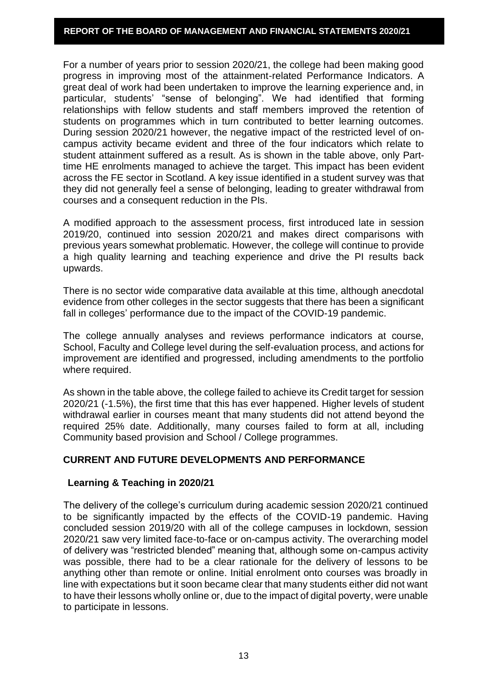For a number of years prior to session 2020/21, the college had been making good progress in improving most of the attainment-related Performance Indicators. A great deal of work had been undertaken to improve the learning experience and, in particular, students' "sense of belonging". We had identified that forming relationships with fellow students and staff members improved the retention of students on programmes which in turn contributed to better learning outcomes. During session 2020/21 however, the negative impact of the restricted level of oncampus activity became evident and three of the four indicators which relate to student attainment suffered as a result. As is shown in the table above, only Parttime HE enrolments managed to achieve the target. This impact has been evident across the FE sector in Scotland. A key issue identified in a student survey was that they did not generally feel a sense of belonging, leading to greater withdrawal from courses and a consequent reduction in the PIs.

A modified approach to the assessment process, first introduced late in session 2019/20, continued into session 2020/21 and makes direct comparisons with previous years somewhat problematic. However, the college will continue to provide a high quality learning and teaching experience and drive the PI results back upwards.

There is no sector wide comparative data available at this time, although anecdotal evidence from other colleges in the sector suggests that there has been a significant fall in colleges' performance due to the impact of the COVID-19 pandemic.

The college annually analyses and reviews performance indicators at course, School, Faculty and College level during the self-evaluation process, and actions for improvement are identified and progressed, including amendments to the portfolio where required.

As shown in the table above, the college failed to achieve its Credit target for session 2020/21 (-1.5%), the first time that this has ever happened. Higher levels of student withdrawal earlier in courses meant that many students did not attend beyond the required 25% date. Additionally, many courses failed to form at all, including Community based provision and School / College programmes.

# **CURRENT AND FUTURE DEVELOPMENTS AND PERFORMANCE**

# **Learning & Teaching in 2020/21**

The delivery of the college's curriculum during academic session 2020/21 continued to be significantly impacted by the effects of the COVID-19 pandemic. Having concluded session 2019/20 with all of the college campuses in lockdown, session 2020/21 saw very limited face-to-face or on-campus activity. The overarching model of delivery was "restricted blended" meaning that, although some on-campus activity was possible, there had to be a clear rationale for the delivery of lessons to be anything other than remote or online. Initial enrolment onto courses was broadly in line with expectations but it soon became clear that many students either did not want to have their lessons wholly online or, due to the impact of digital poverty, were unable to participate in lessons.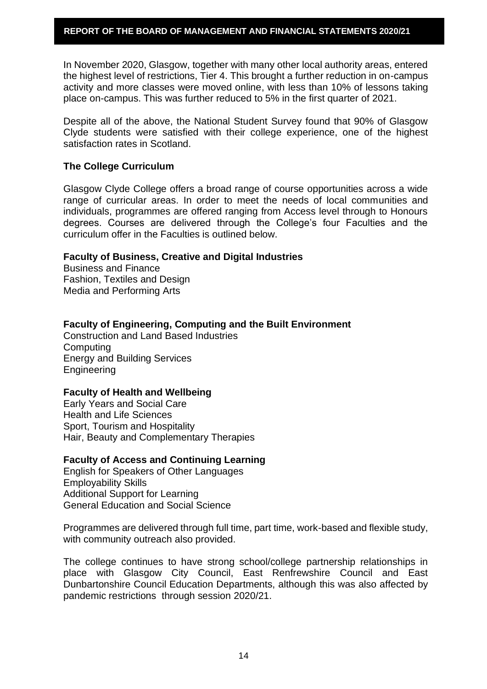In November 2020, Glasgow, together with many other local authority areas, entered the highest level of restrictions, Tier 4. This brought a further reduction in on-campus activity and more classes were moved online, with less than 10% of lessons taking place on-campus. This was further reduced to 5% in the first quarter of 2021.

Despite all of the above, the National Student Survey found that 90% of Glasgow Clyde students were satisfied with their college experience, one of the highest satisfaction rates in Scotland.

# **The College Curriculum**

Glasgow Clyde College offers a broad range of course opportunities across a wide range of curricular areas. In order to meet the needs of local communities and individuals, programmes are offered ranging from Access level through to Honours degrees. Courses are delivered through the College's four Faculties and the curriculum offer in the Faculties is outlined below.

#### **Faculty of Business, Creative and Digital Industries**

Business and Finance Fashion, Textiles and Design Media and Performing Arts

**Faculty of Engineering, Computing and the Built Environment**

Construction and Land Based Industries **Computing** Energy and Building Services Engineering

# **Faculty of Health and Wellbeing**

Early Years and Social Care Health and Life Sciences Sport, Tourism and Hospitality Hair, Beauty and Complementary Therapies

#### **Faculty of Access and Continuing Learning**

English for Speakers of Other Languages Employability Skills Additional Support for Learning General Education and Social Science

Programmes are delivered through full time, part time, work-based and flexible study, with community outreach also provided.

The college continues to have strong school/college partnership relationships in place with Glasgow City Council, East Renfrewshire Council and East Dunbartonshire Council Education Departments, although this was also affected by pandemic restrictions through session 2020/21.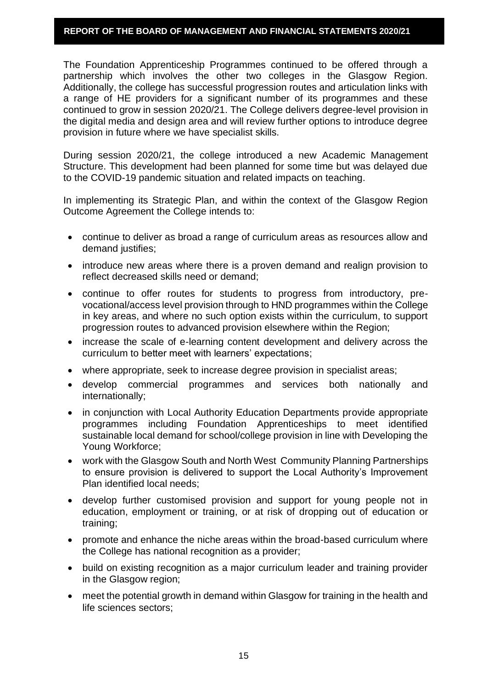The Foundation Apprenticeship Programmes continued to be offered through a partnership which involves the other two colleges in the Glasgow Region. Additionally, the college has successful progression routes and articulation links with a range of HE providers for a significant number of its programmes and these continued to grow in session 2020/21. The College delivers degree-level provision in the digital media and design area and will review further options to introduce degree provision in future where we have specialist skills.

During session 2020/21, the college introduced a new Academic Management Structure. This development had been planned for some time but was delayed due to the COVID-19 pandemic situation and related impacts on teaching.

In implementing its Strategic Plan, and within the context of the Glasgow Region Outcome Agreement the College intends to:

- continue to deliver as broad a range of curriculum areas as resources allow and demand justifies;
- introduce new areas where there is a proven demand and realign provision to reflect decreased skills need or demand;
- continue to offer routes for students to progress from introductory, prevocational/access level provision through to HND programmes within the College in key areas, and where no such option exists within the curriculum, to support progression routes to advanced provision elsewhere within the Region;
- increase the scale of e-learning content development and delivery across the curriculum to better meet with learners' expectations;
- where appropriate, seek to increase degree provision in specialist areas;
- develop commercial programmes and services both nationally and internationally;
- in conjunction with Local Authority Education Departments provide appropriate programmes including Foundation Apprenticeships to meet identified sustainable local demand for school/college provision in line with Developing the Young Workforce;
- work with the Glasgow South and North West Community Planning Partnerships to ensure provision is delivered to support the Local Authority's Improvement Plan identified local needs;
- develop further customised provision and support for young people not in education, employment or training, or at risk of dropping out of education or training;
- promote and enhance the niche areas within the broad-based curriculum where the College has national recognition as a provider;
- build on existing recognition as a major curriculum leader and training provider in the Glasgow region;
- meet the potential growth in demand within Glasgow for training in the health and life sciences sectors;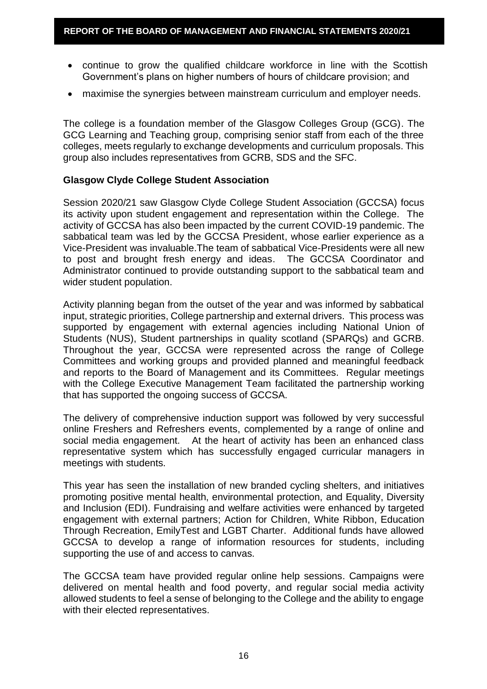- continue to grow the qualified childcare workforce in line with the Scottish Government's plans on higher numbers of hours of childcare provision; and
- maximise the synergies between mainstream curriculum and employer needs.

The college is a foundation member of the Glasgow Colleges Group (GCG). The GCG Learning and Teaching group, comprising senior staff from each of the three colleges, meets regularly to exchange developments and curriculum proposals. This group also includes representatives from GCRB, SDS and the SFC.

#### **Glasgow Clyde College Student Association**

Session 2020/21 saw Glasgow Clyde College Student Association (GCCSA) focus its activity upon student engagement and representation within the College. The activity of GCCSA has also been impacted by the current COVID-19 pandemic. The sabbatical team was led by the GCCSA President, whose earlier experience as a Vice-President was invaluable.The team of sabbatical Vice-Presidents were all new to post and brought fresh energy and ideas. The GCCSA Coordinator and Administrator continued to provide outstanding support to the sabbatical team and wider student population.

Activity planning began from the outset of the year and was informed by sabbatical input, strategic priorities, College partnership and external drivers. This process was supported by engagement with external agencies including National Union of Students (NUS), Student partnerships in quality scotland (SPARQs) and GCRB. Throughout the year, GCCSA were represented across the range of College Committees and working groups and provided planned and meaningful feedback and reports to the Board of Management and its Committees. Regular meetings with the College Executive Management Team facilitated the partnership working that has supported the ongoing success of GCCSA.

The delivery of comprehensive induction support was followed by very successful online Freshers and Refreshers events, complemented by a range of online and social media engagement. At the heart of activity has been an enhanced class representative system which has successfully engaged curricular managers in meetings with students.

This year has seen the installation of new branded cycling shelters, and initiatives promoting positive mental health, environmental protection, and Equality, Diversity and Inclusion (EDI). Fundraising and welfare activities were enhanced by targeted engagement with external partners; Action for Children, White Ribbon, Education Through Recreation, EmilyTest and LGBT Charter. Additional funds have allowed GCCSA to develop a range of information resources for students, including supporting the use of and access to canvas.

The GCCSA team have provided regular online help sessions. Campaigns were delivered on mental health and food poverty, and regular social media activity allowed students to feel a sense of belonging to the College and the ability to engage with their elected representatives.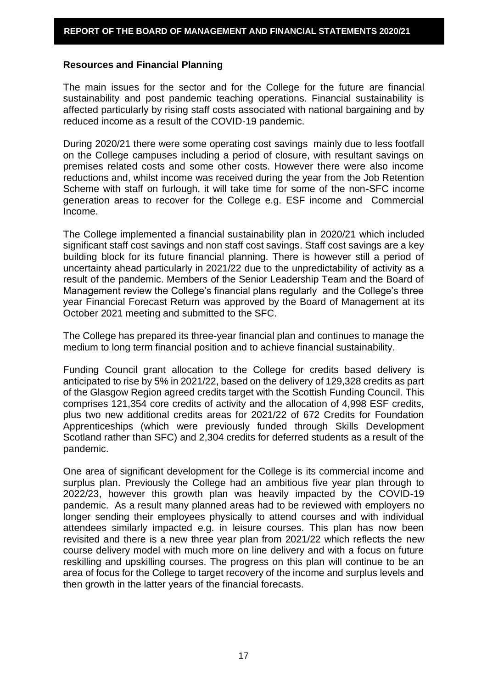#### **Resources and Financial Planning**

The main issues for the sector and for the College for the future are financial sustainability and post pandemic teaching operations. Financial sustainability is affected particularly by rising staff costs associated with national bargaining and by reduced income as a result of the COVID-19 pandemic.

During 2020/21 there were some operating cost savings mainly due to less footfall on the College campuses including a period of closure, with resultant savings on premises related costs and some other costs. However there were also income reductions and, whilst income was received during the year from the Job Retention Scheme with staff on furlough, it will take time for some of the non-SFC income generation areas to recover for the College e.g. ESF income and Commercial Income.

The College implemented a financial sustainability plan in 2020/21 which included significant staff cost savings and non staff cost savings. Staff cost savings are a key building block for its future financial planning. There is however still a period of uncertainty ahead particularly in 2021/22 due to the unpredictability of activity as a result of the pandemic. Members of the Senior Leadership Team and the Board of Management review the College's financial plans regularly and the College's three year Financial Forecast Return was approved by the Board of Management at its October 2021 meeting and submitted to the SFC.

The College has prepared its three-year financial plan and continues to manage the medium to long term financial position and to achieve financial sustainability.

Funding Council grant allocation to the College for credits based delivery is anticipated to rise by 5% in 2021/22, based on the delivery of 129,328 credits as part of the Glasgow Region agreed credits target with the Scottish Funding Council. This comprises 121,354 core credits of activity and the allocation of 4,998 ESF credits, plus two new additional credits areas for 2021/22 of 672 Credits for Foundation Apprenticeships (which were previously funded through Skills Development Scotland rather than SFC) and 2,304 credits for deferred students as a result of the pandemic.

One area of significant development for the College is its commercial income and surplus plan. Previously the College had an ambitious five year plan through to 2022/23, however this growth plan was heavily impacted by the COVID-19 pandemic. As a result many planned areas had to be reviewed with employers no longer sending their employees physically to attend courses and with individual attendees similarly impacted e.g. in leisure courses. This plan has now been revisited and there is a new three year plan from 2021/22 which reflects the new course delivery model with much more on line delivery and with a focus on future reskilling and upskilling courses. The progress on this plan will continue to be an area of focus for the College to target recovery of the income and surplus levels and then growth in the latter years of the financial forecasts.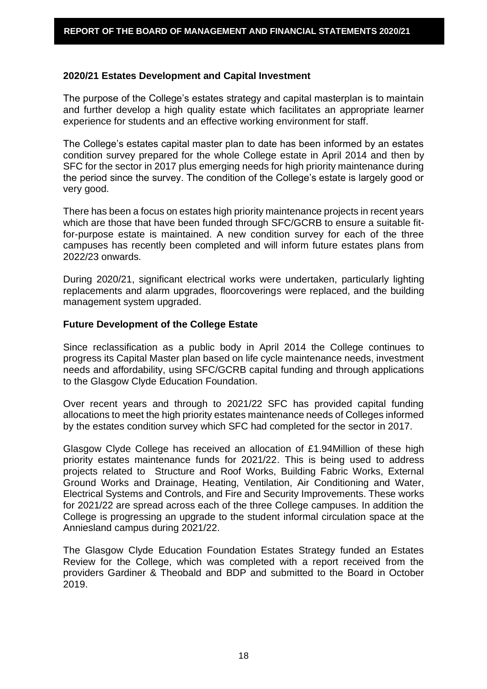#### **2020/21 Estates Development and Capital Investment**

The purpose of the College's estates strategy and capital masterplan is to maintain and further develop a high quality estate which facilitates an appropriate learner experience for students and an effective working environment for staff.

The College's estates capital master plan to date has been informed by an estates condition survey prepared for the whole College estate in April 2014 and then by SFC for the sector in 2017 plus emerging needs for high priority maintenance during the period since the survey. The condition of the College's estate is largely good or very good.

There has been a focus on estates high priority maintenance projects in recent years which are those that have been funded through SFC/GCRB to ensure a suitable fitfor-purpose estate is maintained. A new condition survey for each of the three campuses has recently been completed and will inform future estates plans from 2022/23 onwards.

During 2020/21, significant electrical works were undertaken, particularly lighting replacements and alarm upgrades, floorcoverings were replaced, and the building management system upgraded.

#### **Future Development of the College Estate**

Since reclassification as a public body in April 2014 the College continues to progress its Capital Master plan based on life cycle maintenance needs, investment needs and affordability, using SFC/GCRB capital funding and through applications to the Glasgow Clyde Education Foundation.

Over recent years and through to 2021/22 SFC has provided capital funding allocations to meet the high priority estates maintenance needs of Colleges informed by the estates condition survey which SFC had completed for the sector in 2017.

Glasgow Clyde College has received an allocation of £1.94Million of these high priority estates maintenance funds for 2021/22. This is being used to address projects related to Structure and Roof Works, Building Fabric Works, External Ground Works and Drainage, Heating, Ventilation, Air Conditioning and Water, Electrical Systems and Controls, and Fire and Security Improvements. These works for 2021/22 are spread across each of the three College campuses. In addition the College is progressing an upgrade to the student informal circulation space at the Anniesland campus during 2021/22.

The Glasgow Clyde Education Foundation Estates Strategy funded an Estates Review for the College, which was completed with a report received from the providers Gardiner & Theobald and BDP and submitted to the Board in October 2019.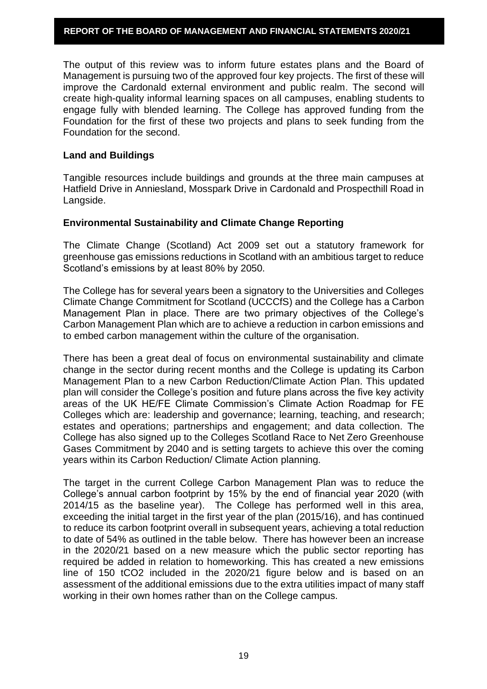The output of this review was to inform future estates plans and the Board of Management is pursuing two of the approved four key projects. The first of these will improve the Cardonald external environment and public realm. The second will create high-quality informal learning spaces on all campuses, enabling students to engage fully with blended learning. The College has approved funding from the Foundation for the first of these two projects and plans to seek funding from the Foundation for the second.

#### **Land and Buildings**

Tangible resources include buildings and grounds at the three main campuses at Hatfield Drive in Anniesland, Mosspark Drive in Cardonald and Prospecthill Road in Langside.

#### **Environmental Sustainability and Climate Change Reporting**

The Climate Change (Scotland) Act 2009 set out a statutory framework for greenhouse gas emissions reductions in Scotland with an ambitious target to reduce Scotland's emissions by at least 80% by 2050.

The College has for several years been a signatory to the Universities and Colleges Climate Change Commitment for Scotland (UCCCfS) and the College has a Carbon Management Plan in place. There are two primary objectives of the College's Carbon Management Plan which are to achieve a reduction in carbon emissions and to embed carbon management within the culture of the organisation.

There has been a great deal of focus on environmental sustainability and climate change in the sector during recent months and the College is updating its Carbon Management Plan to a new Carbon Reduction/Climate Action Plan. This updated plan will consider the College's position and future plans across the five key activity areas of the UK HE/FE Climate Commission's Climate Action Roadmap for FE Colleges which are: leadership and governance; learning, teaching, and research; estates and operations; partnerships and engagement; and data collection. The College has also signed up to the Colleges Scotland Race to Net Zero Greenhouse Gases Commitment by 2040 and is setting targets to achieve this over the coming years within its Carbon Reduction/ Climate Action planning.

The target in the current College Carbon Management Plan was to reduce the College's annual carbon footprint by 15% by the end of financial year 2020 (with 2014/15 as the baseline year). The College has performed well in this area, exceeding the initial target in the first year of the plan (2015/16), and has continued to reduce its carbon footprint overall in subsequent years, achieving a total reduction to date of 54% as outlined in the table below. There has however been an increase in the 2020/21 based on a new measure which the public sector reporting has required be added in relation to homeworking. This has created a new emissions line of 150 tCO2 included in the 2020/21 figure below and is based on an assessment of the additional emissions due to the extra utilities impact of many staff working in their own homes rather than on the College campus.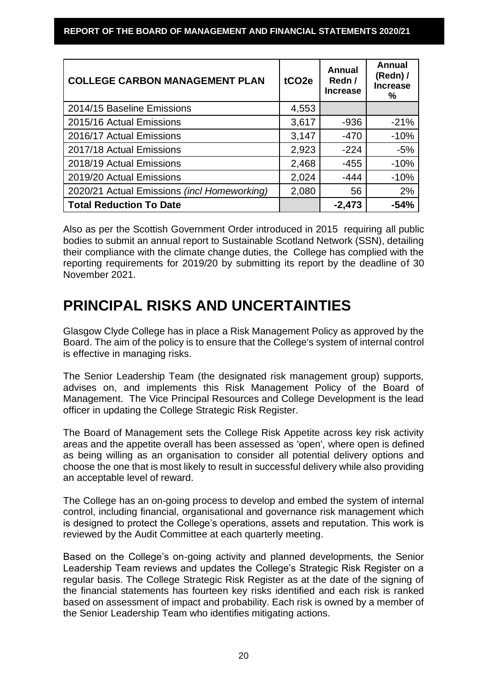| <b>COLLEGE CARBON MANAGEMENT PLAN</b>       | tCO <sub>2e</sub> | Annual<br>Redn /<br><b>Increase</b> | <b>Annual</b><br>(Redn) $/$<br><b>Increase</b><br>℅ |
|---------------------------------------------|-------------------|-------------------------------------|-----------------------------------------------------|
| 2014/15 Baseline Emissions                  | 4,553             |                                     |                                                     |
| 2015/16 Actual Emissions                    | 3,617             | $-936$                              | $-21%$                                              |
| 2016/17 Actual Emissions                    | 3,147             | $-470$                              | $-10%$                                              |
| 2017/18 Actual Emissions                    | 2,923             | $-224$                              | $-5%$                                               |
| 2018/19 Actual Emissions                    | 2,468             | $-455$                              | $-10%$                                              |
| 2019/20 Actual Emissions                    | 2,024             | $-444$                              | $-10%$                                              |
| 2020/21 Actual Emissions (incl Homeworking) | 2,080             | 56                                  | 2%                                                  |
| <b>Total Reduction To Date</b>              |                   | $-2,473$                            | $-54%$                                              |

Also as per the Scottish Government Order introduced in 2015 requiring all public bodies to submit an annual report to Sustainable Scotland Network (SSN), detailing their compliance with the climate change duties, the College has complied with the reporting requirements for 2019/20 by submitting its report by the deadline of 30 November 2021.

# **PRINCIPAL RISKS AND UNCERTAINTIES**

Glasgow Clyde College has in place a Risk Management Policy as approved by the Board. The aim of the policy is to ensure that the College's system of internal control is effective in managing risks.

The Senior Leadership Team (the designated risk management group) supports, advises on, and implements this Risk Management Policy of the Board of Management. The Vice Principal Resources and College Development is the lead officer in updating the College Strategic Risk Register.

The Board of Management sets the College Risk Appetite across key risk activity areas and the appetite overall has been assessed as 'open', where open is defined as being willing as an organisation to consider all potential delivery options and choose the one that is most likely to result in successful delivery while also providing an acceptable level of reward.

The College has an on-going process to develop and embed the system of internal control, including financial, organisational and governance risk management which is designed to protect the College's operations, assets and reputation. This work is reviewed by the Audit Committee at each quarterly meeting.

Based on the College's on-going activity and planned developments, the Senior Leadership Team reviews and updates the College's Strategic Risk Register on a regular basis. The College Strategic Risk Register as at the date of the signing of the financial statements has fourteen key risks identified and each risk is ranked based on assessment of impact and probability. Each risk is owned by a member of the Senior Leadership Team who identifies mitigating actions.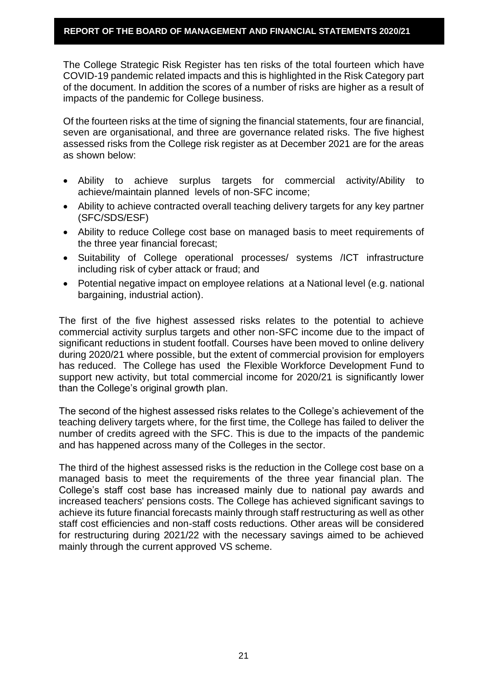The College Strategic Risk Register has ten risks of the total fourteen which have COVID-19 pandemic related impacts and this is highlighted in the Risk Category part of the document. In addition the scores of a number of risks are higher as a result of impacts of the pandemic for College business.

Of the fourteen risks at the time of signing the financial statements, four are financial, seven are organisational, and three are governance related risks. The five highest assessed risks from the College risk register as at December 2021 are for the areas as shown below:

- Ability to achieve surplus targets for commercial activity/Ability to achieve/maintain planned levels of non-SFC income;
- Ability to achieve contracted overall teaching delivery targets for any key partner (SFC/SDS/ESF)
- Ability to reduce College cost base on managed basis to meet requirements of the three year financial forecast;
- Suitability of College operational processes/ systems /ICT infrastructure including risk of cyber attack or fraud; and
- Potential negative impact on employee relations at a National level (e.g. national bargaining, industrial action).

The first of the five highest assessed risks relates to the potential to achieve commercial activity surplus targets and other non-SFC income due to the impact of significant reductions in student footfall. Courses have been moved to online delivery during 2020/21 where possible, but the extent of commercial provision for employers has reduced. The College has used the Flexible Workforce Development Fund to support new activity, but total commercial income for 2020/21 is significantly lower than the College's original growth plan.

The second of the highest assessed risks relates to the College's achievement of the teaching delivery targets where, for the first time, the College has failed to deliver the number of credits agreed with the SFC. This is due to the impacts of the pandemic and has happened across many of the Colleges in the sector.

The third of the highest assessed risks is the reduction in the College cost base on a managed basis to meet the requirements of the three year financial plan. The College's staff cost base has increased mainly due to national pay awards and increased teachers' pensions costs. The College has achieved significant savings to achieve its future financial forecasts mainly through staff restructuring as well as other staff cost efficiencies and non-staff costs reductions. Other areas will be considered for restructuring during 2021/22 with the necessary savings aimed to be achieved mainly through the current approved VS scheme.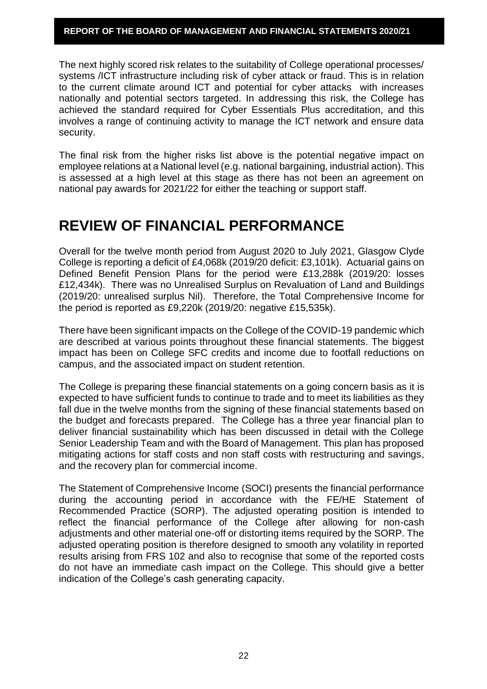The next highly scored risk relates to the suitability of College operational processes/ systems /ICT infrastructure including risk of cyber attack or fraud. This is in relation to the current climate around ICT and potential for cyber attacks with increases nationally and potential sectors targeted. In addressing this risk, the College has achieved the standard required for Cyber Essentials Plus accreditation, and this involves a range of continuing activity to manage the ICT network and ensure data security.

The final risk from the higher risks list above is the potential negative impact on employee relations at a National level (e.g. national bargaining, industrial action). This is assessed at a high level at this stage as there has not been an agreement on national pay awards for 2021/22 for either the teaching or support staff.

# **REVIEW OF FINANCIAL PERFORMANCE**

Overall for the twelve month period from August 2020 to July 2021, Glasgow Clyde College is reporting a deficit of £4,068k (2019/20 deficit: £3,101k). Actuarial gains on Defined Benefit Pension Plans for the period were £13,288k (2019/20: losses £12,434k). There was no Unrealised Surplus on Revaluation of Land and Buildings (2019/20: unrealised surplus Nil). Therefore, the Total Comprehensive Income for the period is reported as £9,220k (2019/20: negative £15,535k).

There have been significant impacts on the College of the COVID-19 pandemic which are described at various points throughout these financial statements. The biggest impact has been on College SFC credits and income due to footfall reductions on campus, and the associated impact on student retention.

The College is preparing these financial statements on a going concern basis as it is expected to have sufficient funds to continue to trade and to meet its liabilities as they fall due in the twelve months from the signing of these financial statements based on the budget and forecasts prepared. The College has a three year financial plan to deliver financial sustainability which has been discussed in detail with the College Senior Leadership Team and with the Board of Management. This plan has proposed mitigating actions for staff costs and non staff costs with restructuring and savings, and the recovery plan for commercial income.

The Statement of Comprehensive Income (SOCI) presents the financial performance during the accounting period in accordance with the FE/HE Statement of Recommended Practice (SORP). The adjusted operating position is intended to reflect the financial performance of the College after allowing for non-cash adjustments and other material one-off or distorting items required by the SORP. The adjusted operating position is therefore designed to smooth any volatility in reported results arising from FRS 102 and also to recognise that some of the reported costs do not have an immediate cash impact on the College. This should give a better indication of the College's cash generating capacity.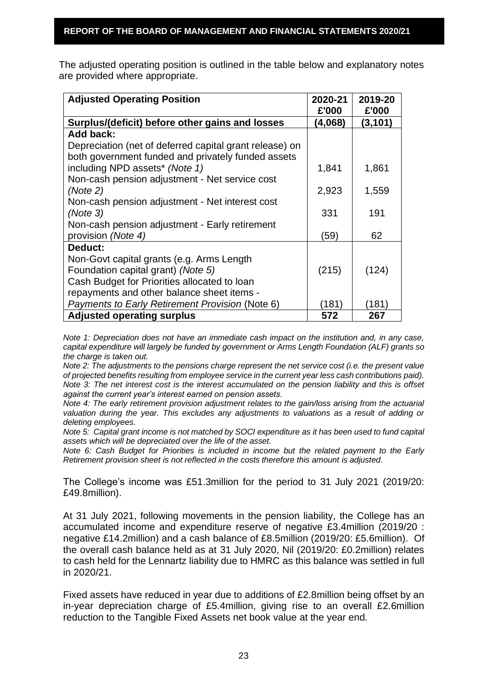The adjusted operating position is outlined in the table below and explanatory notes are provided where appropriate.

| <b>Adjusted Operating Position</b>                      | 2020-21<br>£'000 | 2019-20<br>£'000 |
|---------------------------------------------------------|------------------|------------------|
| Surplus/(deficit) before other gains and losses         | (4,068)          | (3, 101)         |
| Add back:                                               |                  |                  |
| Depreciation (net of deferred capital grant release) on |                  |                  |
| both government funded and privately funded assets      |                  |                  |
| including NPD assets* (Note 1)                          | 1,841            | 1,861            |
| Non-cash pension adjustment - Net service cost          |                  |                  |
| (Note 2)                                                | 2,923            | 1,559            |
| Non-cash pension adjustment - Net interest cost         |                  |                  |
| (Note 3)                                                | 331              | 191              |
| Non-cash pension adjustment - Early retirement          |                  |                  |
| provision (Note 4)                                      | (59)             | 62               |
| Deduct:                                                 |                  |                  |
| Non-Govt capital grants (e.g. Arms Length               |                  |                  |
| Foundation capital grant) (Note 5)                      | (215)            | (124)            |
| Cash Budget for Priorities allocated to loan            |                  |                  |
| repayments and other balance sheet items -              |                  |                  |
| Payments to Early Retirement Provision (Note 6)         | (181)            | (181)            |
| <b>Adjusted operating surplus</b>                       | 572              | 267              |

*Note 1: Depreciation does not have an immediate cash impact on the institution and, in any case, capital expenditure will largely be funded by government or Arms Length Foundation (ALF) grants so the charge is taken out.* 

*Note 2: The adjustments to the pensions charge represent the net service cost (i.e. the present value of projected benefits resulting from employee service in the current year less cash contributions paid). Note 3: The net interest cost is the interest accumulated on the pension liability and this is offset against the current year's interest earned on pension assets.* 

*Note 4: The early retirement provision adjustment relates to the gain/loss arising from the actuarial valuation during the year. This excludes any adjustments to valuations as a result of adding or deleting employees.* 

*Note 5: Capital grant income is not matched by SOCI expenditure as it has been used to fund capital assets which will be depreciated over the life of the asset.* 

*Note 6: Cash Budget for Priorities is included in income but the related payment to the Early Retirement provision sheet is not reflected in the costs therefore this amount is adjusted.*

The College's income was £51.3million for the period to 31 July 2021 (2019/20: £49.8million).

At 31 July 2021, following movements in the pension liability, the College has an accumulated income and expenditure reserve of negative £3.4million (2019/20 : negative £14.2million) and a cash balance of £8.5million (2019/20: £5.6million). Of the overall cash balance held as at 31 July 2020, Nil (2019/20: £0.2million) relates to cash held for the Lennartz liability due to HMRC as this balance was settled in full in 2020/21.

Fixed assets have reduced in year due to additions of £2.8million being offset by an in-year depreciation charge of £5.4million, giving rise to an overall £2.6million reduction to the Tangible Fixed Assets net book value at the year end.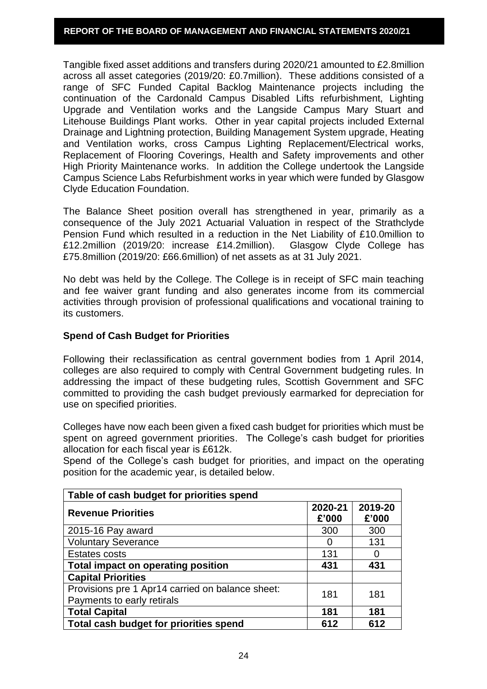Tangible fixed asset additions and transfers during 2020/21 amounted to £2.8million across all asset categories (2019/20: £0.7million). These additions consisted of a range of SFC Funded Capital Backlog Maintenance projects including the continuation of the Cardonald Campus Disabled Lifts refurbishment, Lighting Upgrade and Ventilation works and the Langside Campus Mary Stuart and Litehouse Buildings Plant works. Other in year capital projects included External Drainage and Lightning protection, Building Management System upgrade, Heating and Ventilation works, cross Campus Lighting Replacement/Electrical works, Replacement of Flooring Coverings, Health and Safety improvements and other High Priority Maintenance works. In addition the College undertook the Langside Campus Science Labs Refurbishment works in year which were funded by Glasgow Clyde Education Foundation.

The Balance Sheet position overall has strengthened in year, primarily as a consequence of the July 2021 Actuarial Valuation in respect of the Strathclyde Pension Fund which resulted in a reduction in the Net Liability of £10.0million to £12.2million (2019/20: increase £14.2million). Glasgow Clyde College has £75.8million (2019/20: £66.6million) of net assets as at 31 July 2021.

No debt was held by the College. The College is in receipt of SFC main teaching and fee waiver grant funding and also generates income from its commercial activities through provision of professional qualifications and vocational training to its customers.

#### **Spend of Cash Budget for Priorities**

Following their reclassification as central government bodies from 1 April 2014, colleges are also required to comply with Central Government budgeting rules. In addressing the impact of these budgeting rules, Scottish Government and SFC committed to providing the cash budget previously earmarked for depreciation for use on specified priorities.

Colleges have now each been given a fixed cash budget for priorities which must be spent on agreed government priorities. The College's cash budget for priorities allocation for each fiscal year is £612k.

Spend of the College's cash budget for priorities, and impact on the operating position for the academic year, is detailed below.

| Table of cash budget for priorities spend                                      |                  |                  |  |  |
|--------------------------------------------------------------------------------|------------------|------------------|--|--|
| <b>Revenue Priorities</b>                                                      | 2020-21<br>£'000 | 2019-20<br>£'000 |  |  |
| 2015-16 Pay award                                                              | 300              | 300              |  |  |
| <b>Voluntary Severance</b>                                                     | $\mathbf{I}$     | 131              |  |  |
| <b>Estates costs</b>                                                           | 131              |                  |  |  |
| Total impact on operating position                                             | 431              | 431              |  |  |
| <b>Capital Priorities</b>                                                      |                  |                  |  |  |
| Provisions pre 1 Apr14 carried on balance sheet:<br>Payments to early retirals | 181              | 181              |  |  |
| <b>Total Capital</b>                                                           | 181              | 181              |  |  |
| Total cash budget for priorities spend                                         | 612              | 612              |  |  |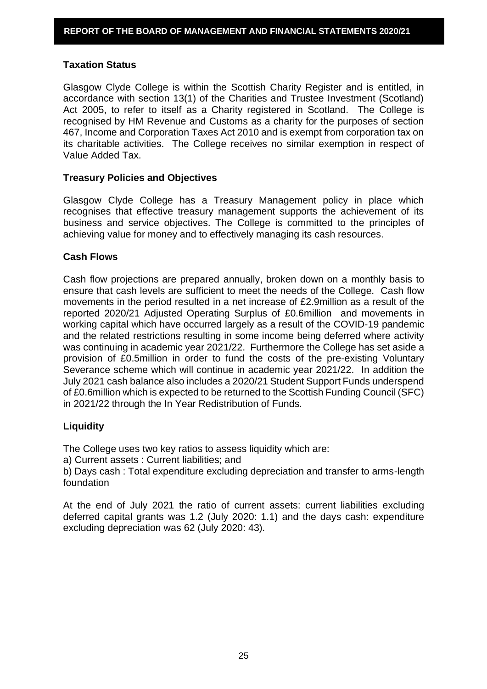#### **Taxation Status**

Glasgow Clyde College is within the Scottish Charity Register and is entitled, in accordance with section 13(1) of the Charities and Trustee Investment (Scotland) Act 2005, to refer to itself as a Charity registered in Scotland. The College is recognised by HM Revenue and Customs as a charity for the purposes of section 467, Income and Corporation Taxes Act 2010 and is exempt from corporation tax on its charitable activities. The College receives no similar exemption in respect of Value Added Tax.

#### **Treasury Policies and Objectives**

Glasgow Clyde College has a Treasury Management policy in place which recognises that effective treasury management supports the achievement of its business and service objectives. The College is committed to the principles of achieving value for money and to effectively managing its cash resources.

#### **Cash Flows**

Cash flow projections are prepared annually, broken down on a monthly basis to ensure that cash levels are sufficient to meet the needs of the College. Cash flow movements in the period resulted in a net increase of £2.9million as a result of the reported 2020/21 Adjusted Operating Surplus of £0.6million and movements in working capital which have occurred largely as a result of the COVID-19 pandemic and the related restrictions resulting in some income being deferred where activity was continuing in academic year 2021/22. Furthermore the College has set aside a provision of £0.5million in order to fund the costs of the pre-existing Voluntary Severance scheme which will continue in academic year 2021/22. In addition the July 2021 cash balance also includes a 2020/21 Student Support Funds underspend of £0.6million which is expected to be returned to the Scottish Funding Council (SFC) in 2021/22 through the In Year Redistribution of Funds.

# **Liquidity**

The College uses two key ratios to assess liquidity which are:

a) Current assets : Current liabilities; and

b) Days cash : Total expenditure excluding depreciation and transfer to arms-length foundation

At the end of July 2021 the ratio of current assets: current liabilities excluding deferred capital grants was 1.2 (July 2020: 1.1) and the days cash: expenditure excluding depreciation was 62 (July 2020: 43).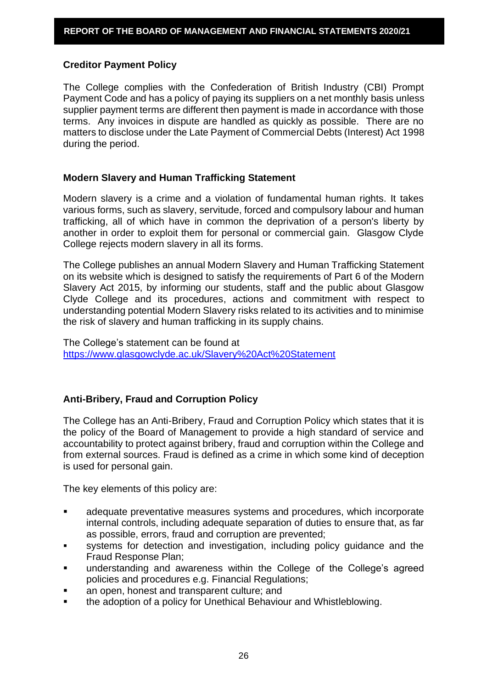# **Creditor Payment Policy**

The College complies with the Confederation of British Industry (CBI) Prompt Payment Code and has a policy of paying its suppliers on a net monthly basis unless supplier payment terms are different then payment is made in accordance with those terms. Any invoices in dispute are handled as quickly as possible. There are no matters to disclose under the Late Payment of Commercial Debts (Interest) Act 1998 during the period.

#### **Modern Slavery and Human Trafficking Statement**

Modern slavery is a crime and a violation of fundamental human rights. It takes various forms, such as slavery, servitude, forced and compulsory labour and human trafficking, all of which have in common the deprivation of a person's liberty by another in order to exploit them for personal or commercial gain. Glasgow Clyde College rejects modern slavery in all its forms.

The College publishes an annual Modern Slavery and Human Trafficking Statement on its website which is designed to satisfy the requirements of Part 6 of the Modern Slavery Act 2015, by informing our students, staff and the public about Glasgow Clyde College and its procedures, actions and commitment with respect to understanding potential Modern Slavery risks related to its activities and to minimise the risk of slavery and human trafficking in its supply chains.

The College's statement can be found at <https://www.glasgowclyde.ac.uk/Slavery%20Act%20Statement>

# **Anti-Bribery, Fraud and Corruption Policy**

The College has an Anti-Bribery, Fraud and Corruption Policy which states that it is the policy of the Board of Management to provide a high standard of service and accountability to protect against bribery, fraud and corruption within the College and from external sources. Fraud is defined as a crime in which some kind of deception is used for personal gain.

The key elements of this policy are:

- adequate preventative measures systems and procedures, which incorporate internal controls, including adequate separation of duties to ensure that, as far as possible, errors, fraud and corruption are prevented;
- systems for detection and investigation, including policy guidance and the Fraud Response Plan;
- understanding and awareness within the College of the College's agreed policies and procedures e.g. Financial Regulations;
- an open, honest and transparent culture; and
- the adoption of a policy for Unethical Behaviour and Whistleblowing.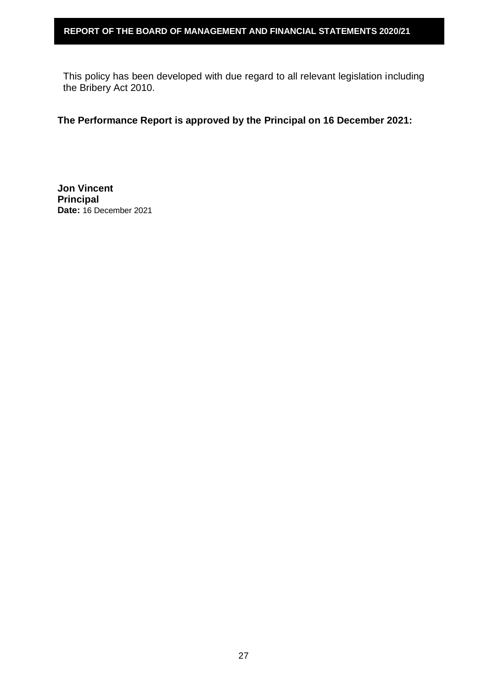This policy has been developed with due regard to all relevant legislation including the Bribery Act 2010.

# **The Performance Report is approved by the Principal on 16 December 2021:**

**Jon Vincent Principal Date:** 16 December 2021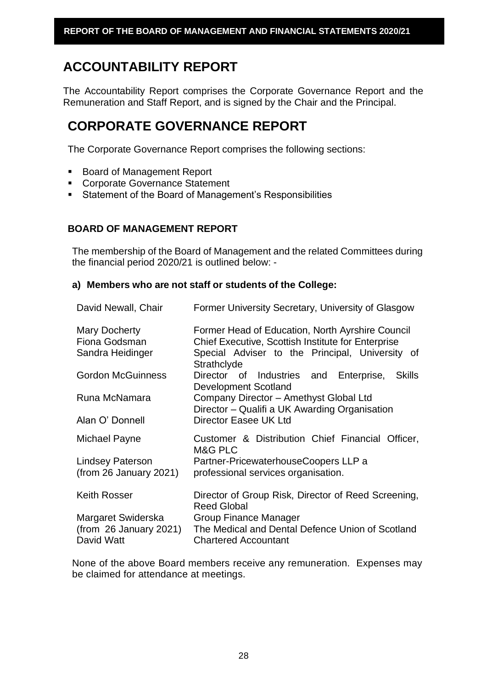# **ACCOUNTABILITY REPORT**

The Accountability Report comprises the Corporate Governance Report and the Remuneration and Staff Report, and is signed by the Chair and the Principal.

# **CORPORATE GOVERNANCE REPORT**

The Corporate Governance Report comprises the following sections:

- Board of Management Report
- **EXECOTE:** Corporate Governance Statement
- Statement of the Board of Management's Responsibilities

# **BOARD OF MANAGEMENT REPORT**

The membership of the Board of Management and the related Committees during the financial period 2020/21 is outlined below: -

# **a) Members who are not staff or students of the College:**

| David Newall, Chair                                | Former University Secretary, University of Glasgow                                                                                                                       |  |  |  |
|----------------------------------------------------|--------------------------------------------------------------------------------------------------------------------------------------------------------------------------|--|--|--|
| Mary Docherty<br>Fiona Godsman<br>Sandra Heidinger | Former Head of Education, North Ayrshire Council<br>Chief Executive, Scottish Institute for Enterprise<br>Special Adviser to the Principal, University of<br>Strathclyde |  |  |  |
| <b>Gordon McGuinness</b>                           | Director of Industries and Enterprise,<br><b>Skills</b><br><b>Development Scotland</b>                                                                                   |  |  |  |
| Runa McNamara                                      | Company Director - Amethyst Global Ltd<br>Director - Qualifi a UK Awarding Organisation                                                                                  |  |  |  |
| Alan O' Donnell                                    | Director Easee UK Ltd                                                                                                                                                    |  |  |  |
| Michael Payne                                      | Customer & Distribution Chief Financial Officer,<br>M&G PLC                                                                                                              |  |  |  |
| Lindsey Paterson<br>(from 26 January 2021)         | Partner-PricewaterhouseCoopers LLP a<br>professional services organisation.                                                                                              |  |  |  |
| <b>Keith Rosser</b>                                | Director of Group Risk, Director of Reed Screening,<br><b>Reed Global</b>                                                                                                |  |  |  |
| Margaret Swiderska                                 | <b>Group Finance Manager</b>                                                                                                                                             |  |  |  |
| (from 26 January 2021)<br>David Watt               | The Medical and Dental Defence Union of Scotland<br><b>Chartered Accountant</b>                                                                                          |  |  |  |

None of the above Board members receive any remuneration. Expenses may be claimed for attendance at meetings.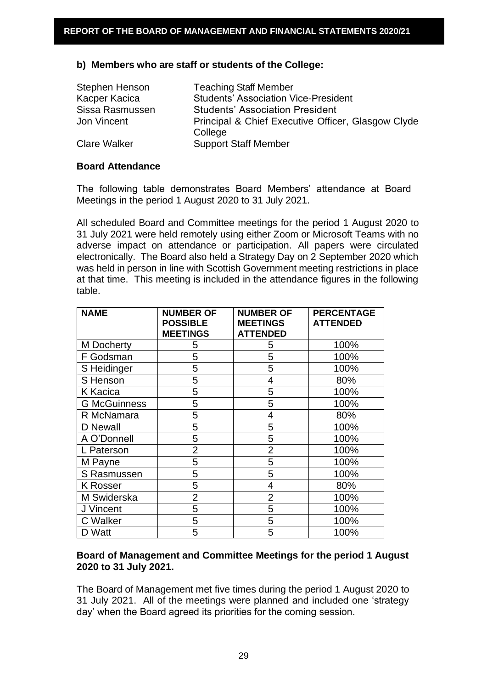#### **b) Members who are staff or students of the College:**

| Stephen Henson      | <b>Teaching Staff Member</b>                       |
|---------------------|----------------------------------------------------|
| Kacper Kacica       | <b>Students' Association Vice-President</b>        |
| Sissa Rasmussen     | <b>Students' Association President</b>             |
| Jon Vincent         | Principal & Chief Executive Officer, Glasgow Clyde |
|                     | College                                            |
| <b>Clare Walker</b> | <b>Support Staff Member</b>                        |

#### **Board Attendance**

The following table demonstrates Board Members' attendance at Board Meetings in the period 1 August 2020 to 31 July 2021.

All scheduled Board and Committee meetings for the period 1 August 2020 to 31 July 2021 were held remotely using either Zoom or Microsoft Teams with no adverse impact on attendance or participation. All papers were circulated electronically. The Board also held a Strategy Day on 2 September 2020 which was held in person in line with Scottish Government meeting restrictions in place at that time. This meeting is included in the attendance figures in the following table.

| <b>NAME</b>         | <b>NUMBER OF</b><br><b>POSSIBLE</b><br><b>MEETINGS</b> | <b>NUMBER OF</b><br><b>MEETINGS</b><br><b>ATTENDED</b> | <b>PERCENTAGE</b><br><b>ATTENDED</b> |
|---------------------|--------------------------------------------------------|--------------------------------------------------------|--------------------------------------|
| M Docherty          | 5                                                      | 5                                                      | 100%                                 |
| F Godsman           | 5                                                      | 5                                                      | 100%                                 |
| S Heidinger         | 5                                                      | 5                                                      | 100%                                 |
| S Henson            | 5                                                      | 4                                                      | 80%                                  |
| <b>K</b> Kacica     | 5                                                      | 5                                                      | 100%                                 |
| <b>G McGuinness</b> | 5                                                      | 5                                                      | 100%                                 |
| R McNamara          | 5                                                      | $\overline{4}$                                         | 80%                                  |
| D Newall            | 5                                                      | 5                                                      | 100%                                 |
| A O'Donnell         | 5                                                      | 5                                                      | 100%                                 |
| L Paterson          | $\overline{2}$                                         | $\overline{2}$                                         | 100%                                 |
| M Payne             | 5                                                      | 5                                                      | 100%                                 |
| S Rasmussen         | 5                                                      | 5                                                      | 100%                                 |
| <b>K</b> Rosser     | 5                                                      | 4                                                      | 80%                                  |
| M Swiderska         | $\overline{2}$                                         | $\overline{2}$                                         | 100%                                 |
| J Vincent           | 5                                                      | 5                                                      | 100%                                 |
| C Walker            | 5                                                      | 5                                                      | 100%                                 |
| D Watt              | 5                                                      | 5                                                      | 100%                                 |

# **Board of Management and Committee Meetings for the period 1 August 2020 to 31 July 2021.**

The Board of Management met five times during the period 1 August 2020 to 31 July 2021. All of the meetings were planned and included one 'strategy day' when the Board agreed its priorities for the coming session.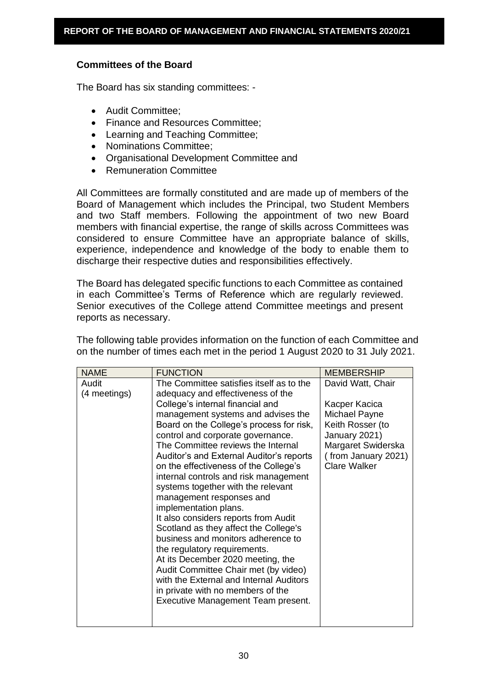# **Committees of the Board**

The Board has six standing committees: -

- Audit Committee;
- Finance and Resources Committee;
- Learning and Teaching Committee;
- Nominations Committee;
- Organisational Development Committee and
- Remuneration Committee

All Committees are formally constituted and are made up of members of the Board of Management which includes the Principal, two Student Members and two Staff members. Following the appointment of two new Board members with financial expertise, the range of skills across Committees was considered to ensure Committee have an appropriate balance of skills, experience, independence and knowledge of the body to enable them to discharge their respective duties and responsibilities effectively.

The Board has delegated specific functions to each Committee as contained in each Committee's Terms of Reference which are regularly reviewed. Senior executives of the College attend Committee meetings and present reports as necessary.

The following table provides information on the function of each Committee and on the number of times each met in the period 1 August 2020 to 31 July 2021.

| <b>NAME</b>  | <b>FUNCTION</b>                                                | <b>MEMBERSHIP</b>   |
|--------------|----------------------------------------------------------------|---------------------|
| Audit        | The Committee satisfies itself as to the                       | David Watt, Chair   |
| (4 meetings) | adequacy and effectiveness of the                              |                     |
|              | College's internal financial and                               | Kacper Kacica       |
|              | management systems and advises the                             | Michael Payne       |
|              | Board on the College's process for risk,                       | Keith Rosser (to    |
|              | control and corporate governance.                              | January 2021)       |
|              | The Committee reviews the Internal                             | Margaret Swiderska  |
|              | Auditor's and External Auditor's reports                       | (from January 2021) |
|              | on the effectiveness of the College's                          | <b>Clare Walker</b> |
|              | internal controls and risk management                          |                     |
|              | systems together with the relevant<br>management responses and |                     |
|              | implementation plans.                                          |                     |
|              | It also considers reports from Audit                           |                     |
|              | Scotland as they affect the College's                          |                     |
|              | business and monitors adherence to                             |                     |
|              | the regulatory requirements.                                   |                     |
|              | At its December 2020 meeting, the                              |                     |
|              | Audit Committee Chair met (by video)                           |                     |
|              | with the External and Internal Auditors                        |                     |
|              | in private with no members of the                              |                     |
|              | Executive Management Team present.                             |                     |
|              |                                                                |                     |
|              |                                                                |                     |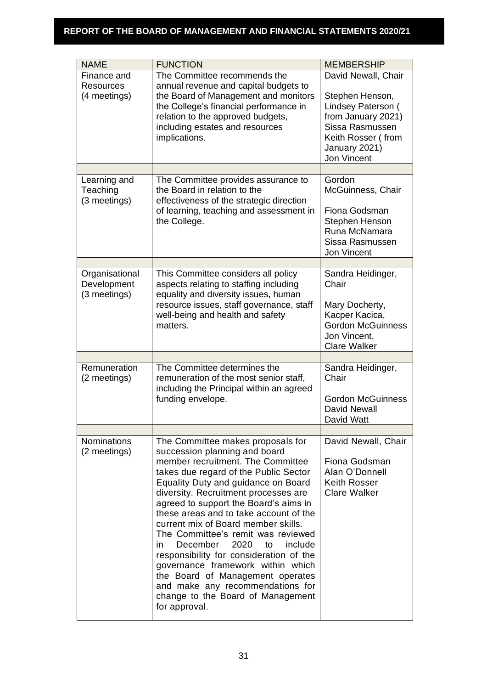| <b>NAME</b>                                   | <b>FUNCTION</b>                                                                                                                                                                                                                                                                                                                                                                                                                                                                                                                                                                                                                                           | <b>MEMBERSHIP</b>                                                                                                                                           |
|-----------------------------------------------|-----------------------------------------------------------------------------------------------------------------------------------------------------------------------------------------------------------------------------------------------------------------------------------------------------------------------------------------------------------------------------------------------------------------------------------------------------------------------------------------------------------------------------------------------------------------------------------------------------------------------------------------------------------|-------------------------------------------------------------------------------------------------------------------------------------------------------------|
| Finance and<br>Resources<br>(4 meetings)      | The Committee recommends the<br>annual revenue and capital budgets to<br>the Board of Management and monitors<br>the College's financial performance in<br>relation to the approved budgets,<br>including estates and resources<br>implications.                                                                                                                                                                                                                                                                                                                                                                                                          | David Newall, Chair<br>Stephen Henson,<br>Lindsey Paterson (<br>from January 2021)<br>Sissa Rasmussen<br>Keith Rosser (from<br>January 2021)<br>Jon Vincent |
|                                               |                                                                                                                                                                                                                                                                                                                                                                                                                                                                                                                                                                                                                                                           |                                                                                                                                                             |
| Learning and<br>Teaching<br>(3 meetings)      | The Committee provides assurance to<br>the Board in relation to the<br>effectiveness of the strategic direction<br>of learning, teaching and assessment in<br>the College.                                                                                                                                                                                                                                                                                                                                                                                                                                                                                | Gordon<br>McGuinness, Chair<br>Fiona Godsman<br>Stephen Henson<br>Runa McNamara<br>Sissa Rasmussen<br>Jon Vincent                                           |
|                                               |                                                                                                                                                                                                                                                                                                                                                                                                                                                                                                                                                                                                                                                           |                                                                                                                                                             |
| Organisational<br>Development<br>(3 meetings) | This Committee considers all policy<br>aspects relating to staffing including<br>equality and diversity issues, human<br>resource issues, staff governance, staff<br>well-being and health and safety<br>matters.                                                                                                                                                                                                                                                                                                                                                                                                                                         | Sandra Heidinger,<br>Chair<br>Mary Docherty,<br>Kacper Kacica,<br><b>Gordon McGuinness</b><br>Jon Vincent,<br><b>Clare Walker</b>                           |
|                                               |                                                                                                                                                                                                                                                                                                                                                                                                                                                                                                                                                                                                                                                           |                                                                                                                                                             |
| Remuneration<br>(2 meetings)                  | The Committee determines the<br>remuneration of the most senior staff,<br>including the Principal within an agreed<br>funding envelope.                                                                                                                                                                                                                                                                                                                                                                                                                                                                                                                   | Sandra Heidinger,<br>Chair<br><b>Gordon McGuinness</b><br><b>David Newall</b><br>David Watt                                                                 |
|                                               |                                                                                                                                                                                                                                                                                                                                                                                                                                                                                                                                                                                                                                                           |                                                                                                                                                             |
| <b>Nominations</b><br>(2 meetings)            | The Committee makes proposals for<br>succession planning and board<br>member recruitment. The Committee<br>takes due regard of the Public Sector<br>Equality Duty and guidance on Board<br>diversity. Recruitment processes are<br>agreed to support the Board's aims in<br>these areas and to take account of the<br>current mix of Board member skills.<br>The Committee's remit was reviewed<br>December<br>2020<br>include<br>in.<br>to<br>responsibility for consideration of the<br>governance framework within which<br>the Board of Management operates<br>and make any recommendations for<br>change to the Board of Management<br>for approval. | David Newall, Chair<br>Fiona Godsman<br>Alan O'Donnell<br><b>Keith Rosser</b><br><b>Clare Walker</b>                                                        |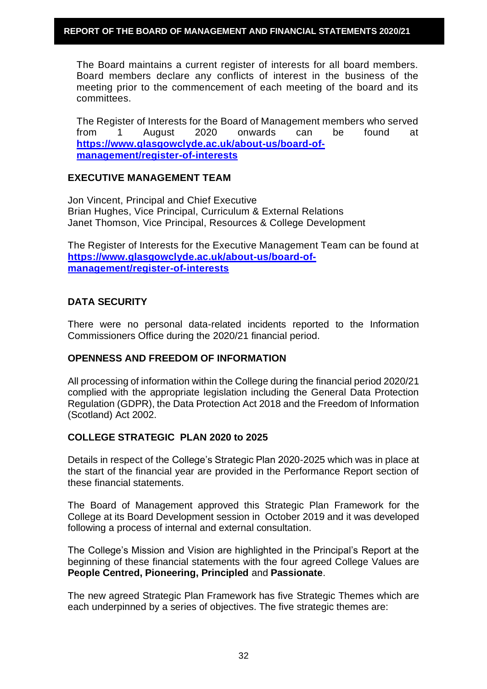The Board maintains a current register of interests for all board members. Board members declare any conflicts of interest in the business of the meeting prior to the commencement of each meeting of the board and its committees.

The Register of Interests for the Board of Management members who served from 1 August 2020 onwards can be found at **[https://www.glasgowclyde.ac.uk/about-us/board-of](https://www.glasgowclyde.ac.uk/about-us/board-of-management/register-of-interests)[management/register-of-interests](https://www.glasgowclyde.ac.uk/about-us/board-of-management/register-of-interests)**

#### **EXECUTIVE MANAGEMENT TEAM**

Jon Vincent, Principal and Chief Executive Brian Hughes, Vice Principal, Curriculum & External Relations Janet Thomson, Vice Principal, Resources & College Development

The Register of Interests for the Executive Management Team can be found at **[https://www.glasgowclyde.ac.uk/about-us/board-of](https://www.glasgowclyde.ac.uk/about-us/board-of-management/register-of-interests)[management/register-of-interests](https://www.glasgowclyde.ac.uk/about-us/board-of-management/register-of-interests)**

# **DATA SECURITY**

There were no personal data-related incidents reported to the Information Commissioners Office during the 2020/21 financial period.

# **OPENNESS AND FREEDOM OF INFORMATION**

All processing of information within the College during the financial period 2020/21 complied with the appropriate legislation including the General Data Protection Regulation (GDPR), the Data Protection Act 2018 and the Freedom of Information (Scotland) Act 2002.

# **COLLEGE STRATEGIC PLAN 2020 to 2025**

Details in respect of the College's Strategic Plan 2020-2025 which was in place at the start of the financial year are provided in the Performance Report section of these financial statements.

The Board of Management approved this Strategic Plan Framework for the College at its Board Development session in October 2019 and it was developed following a process of internal and external consultation.

The College's Mission and Vision are highlighted in the Principal's Report at the beginning of these financial statements with the four agreed College Values are **People Centred, Pioneering, Principled** and **Passionate**.

The new agreed Strategic Plan Framework has five Strategic Themes which are each underpinned by a series of objectives. The five strategic themes are: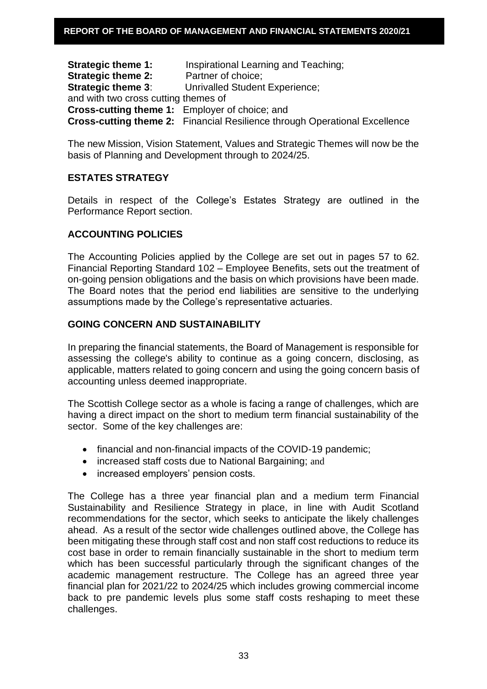**Strategic theme 1:** Inspirational Learning and Teaching; **Strategic theme 2:** Partner of choice; **Strategic theme 3:** Unrivalled Student Experience; and with two cross cutting themes of **Cross-cutting theme 1:** Employer of choice; and **Cross-cutting theme 2:** Financial Resilience through Operational Excellence

The new Mission, Vision Statement, Values and Strategic Themes will now be the basis of Planning and Development through to 2024/25.

# **ESTATES STRATEGY**

Details in respect of the College's Estates Strategy are outlined in the Performance Report section.

# **ACCOUNTING POLICIES**

The Accounting Policies applied by the College are set out in pages 57 to 62. Financial Reporting Standard 102 – Employee Benefits, sets out the treatment of on-going pension obligations and the basis on which provisions have been made. The Board notes that the period end liabilities are sensitive to the underlying assumptions made by the College's representative actuaries.

# **GOING CONCERN AND SUSTAINABILITY**

In preparing the financial statements, the Board of Management is responsible for assessing the college's ability to continue as a going concern, disclosing, as applicable, matters related to going concern and using the going concern basis of accounting unless deemed inappropriate.

The Scottish College sector as a whole is facing a range of challenges, which are having a direct impact on the short to medium term financial sustainability of the sector. Some of the key challenges are:

- financial and non-financial impacts of the COVID-19 pandemic;
- increased staff costs due to National Bargaining; and
- increased employers' pension costs.

The College has a three year financial plan and a medium term Financial Sustainability and Resilience Strategy in place, in line with Audit Scotland recommendations for the sector, which seeks to anticipate the likely challenges ahead. As a result of the sector wide challenges outlined above, the College has been mitigating these through staff cost and non staff cost reductions to reduce its cost base in order to remain financially sustainable in the short to medium term which has been successful particularly through the significant changes of the academic management restructure. The College has an agreed three year financial plan for 2021/22 to 2024/25 which includes growing commercial income back to pre pandemic levels plus some staff costs reshaping to meet these challenges.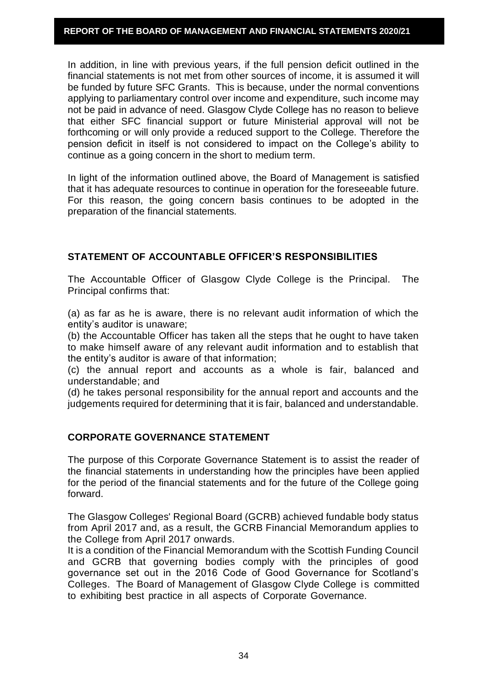In addition, in line with previous years, if the full pension deficit outlined in the financial statements is not met from other sources of income, it is assumed it will be funded by future SFC Grants. This is because, under the normal conventions applying to parliamentary control over income and expenditure, such income may not be paid in advance of need. Glasgow Clyde College has no reason to believe that either SFC financial support or future Ministerial approval will not be forthcoming or will only provide a reduced support to the College. Therefore the pension deficit in itself is not considered to impact on the College's ability to continue as a going concern in the short to medium term.

In light of the information outlined above, the Board of Management is satisfied that it has adequate resources to continue in operation for the foreseeable future. For this reason, the going concern basis continues to be adopted in the preparation of the financial statements.

# **STATEMENT OF ACCOUNTABLE OFFICER'S RESPONSIBILITIES**

The Accountable Officer of Glasgow Clyde College is the Principal. The Principal confirms that:

(a) as far as he is aware, there is no relevant audit information of which the entity's auditor is unaware;

(b) the Accountable Officer has taken all the steps that he ought to have taken to make himself aware of any relevant audit information and to establish that the entity's auditor is aware of that information;

(c) the annual report and accounts as a whole is fair, balanced and understandable; and

(d) he takes personal responsibility for the annual report and accounts and the judgements required for determining that it is fair, balanced and understandable.

# **CORPORATE GOVERNANCE STATEMENT**

The purpose of this Corporate Governance Statement is to assist the reader of the financial statements in understanding how the principles have been applied for the period of the financial statements and for the future of the College going forward.

The Glasgow Colleges' Regional Board (GCRB) achieved fundable body status from April 2017 and, as a result, the GCRB Financial Memorandum applies to the College from April 2017 onwards.

It is a condition of the Financial Memorandum with the Scottish Funding Council and GCRB that governing bodies comply with the principles of good governance set out in the 2016 Code of Good Governance for Scotland's Colleges. The Board of Management of Glasgow Clyde College is committed to exhibiting best practice in all aspects of Corporate Governance.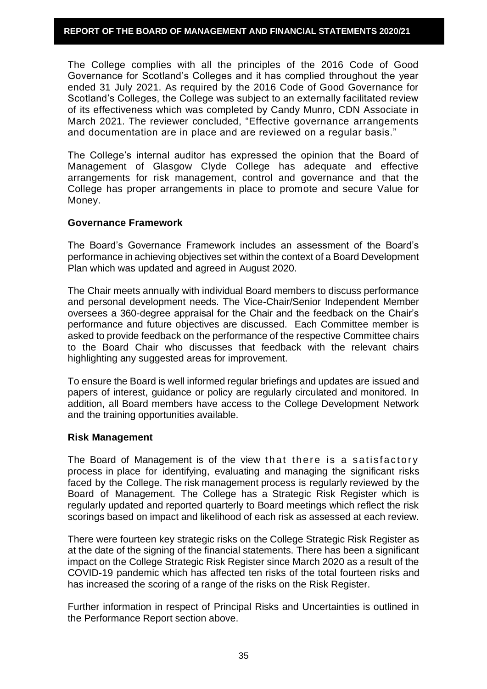The College complies with all the principles of the 2016 Code of Good Governance for Scotland's Colleges and it has complied throughout the year ended 31 July 2021. As required by the 2016 Code of Good Governance for Scotland's Colleges, the College was subject to an externally facilitated review of its effectiveness which was completed by Candy Munro, CDN Associate in March 2021. The reviewer concluded, "Effective governance arrangements and documentation are in place and are reviewed on a regular basis."

The College's internal auditor has expressed the opinion that the Board of Management of Glasgow Clyde College has adequate and effective arrangements for risk management, control and governance and that the College has proper arrangements in place to promote and secure Value for Money.

# **Governance Framework**

The Board's Governance Framework includes an assessment of the Board's performance in achieving objectives set within the context of a Board Development Plan which was updated and agreed in August 2020.

The Chair meets annually with individual Board members to discuss performance and personal development needs. The Vice-Chair/Senior Independent Member oversees a 360-degree appraisal for the Chair and the feedback on the Chair's performance and future objectives are discussed. Each Committee member is asked to provide feedback on the performance of the respective Committee chairs to the Board Chair who discusses that feedback with the relevant chairs highlighting any suggested areas for improvement.

To ensure the Board is well informed regular briefings and updates are issued and papers of interest, guidance or policy are regularly circulated and monitored. In addition, all Board members have access to the College Development Network and the training opportunities available.

#### **Risk Management**

The Board of Management is of the view that there is a satisfactory process in place for identifying, evaluating and managing the significant risks faced by the College. The risk management process is regularly reviewed by the Board of Management. The College has a Strategic Risk Register which is regularly updated and reported quarterly to Board meetings which reflect the risk scorings based on impact and likelihood of each risk as assessed at each review.

There were fourteen key strategic risks on the College Strategic Risk Register as at the date of the signing of the financial statements. There has been a significant impact on the College Strategic Risk Register since March 2020 as a result of the COVID-19 pandemic which has affected ten risks of the total fourteen risks and has increased the scoring of a range of the risks on the Risk Register.

Further information in respect of Principal Risks and Uncertainties is outlined in the Performance Report section above.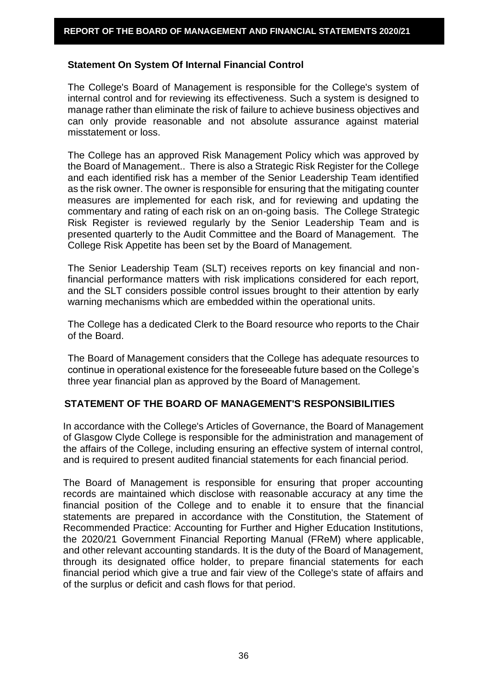### **Statement On System Of Internal Financial Control**

The College's Board of Management is responsible for the College's system of internal control and for reviewing its effectiveness. Such a system is designed to manage rather than eliminate the risk of failure to achieve business objectives and can only provide reasonable and not absolute assurance against material misstatement or loss.

The College has an approved Risk Management Policy which was approved by the Board of Management.. There is also a Strategic Risk Register for the College and each identified risk has a member of the Senior Leadership Team identified as the risk owner. The owner is responsible for ensuring that the mitigating counter measures are implemented for each risk, and for reviewing and updating the commentary and rating of each risk on an on-going basis. The College Strategic Risk Register is reviewed regularly by the Senior Leadership Team and is presented quarterly to the Audit Committee and the Board of Management. The College Risk Appetite has been set by the Board of Management.

The Senior Leadership Team (SLT) receives reports on key financial and nonfinancial performance matters with risk implications considered for each report, and the SLT considers possible control issues brought to their attention by early warning mechanisms which are embedded within the operational units.

The College has a dedicated Clerk to the Board resource who reports to the Chair of the Board.

The Board of Management considers that the College has adequate resources to continue in operational existence for the foreseeable future based on the College's three year financial plan as approved by the Board of Management.

# **STATEMENT OF THE BOARD OF MANAGEMENT'S RESPONSIBILITIES**

In accordance with the College's Articles of Governance, the Board of Management of Glasgow Clyde College is responsible for the administration and management of the affairs of the College, including ensuring an effective system of internal control, and is required to present audited financial statements for each financial period.

The Board of Management is responsible for ensuring that proper accounting records are maintained which disclose with reasonable accuracy at any time the financial position of the College and to enable it to ensure that the financial statements are prepared in accordance with the Constitution, the Statement of Recommended Practice: Accounting for Further and Higher Education Institutions, the 2020/21 Government Financial Reporting Manual (FReM) where applicable, and other relevant accounting standards. It is the duty of the Board of Management, through its designated office holder, to prepare financial statements for each financial period which give a true and fair view of the College's state of affairs and of the surplus or deficit and cash flows for that period.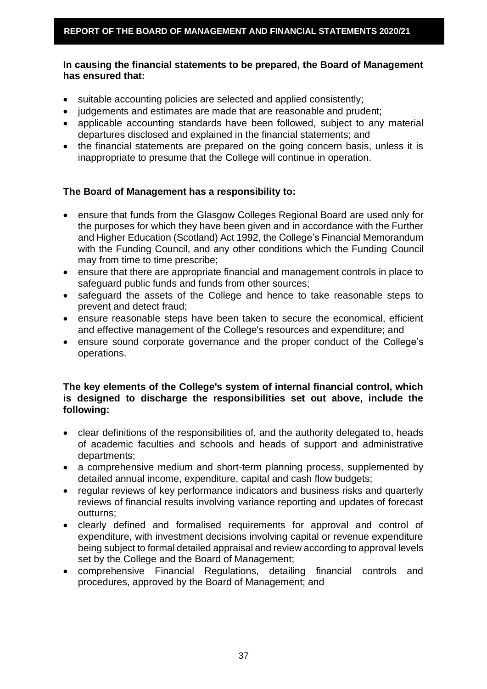# **In causing the financial statements to be prepared, the Board of Management has ensured that:**

- suitable accounting policies are selected and applied consistently;
- judgements and estimates are made that are reasonable and prudent;
- applicable accounting standards have been followed, subject to any material departures disclosed and explained in the financial statements; and
- the financial statements are prepared on the going concern basis, unless it is inappropriate to presume that the College will continue in operation.

# **The Board of Management has a responsibility to:**

- ensure that funds from the Glasgow Colleges Regional Board are used only for the purposes for which they have been given and in accordance with the Further and Higher Education (Scotland) Act 1992, the College's Financial Memorandum with the Funding Council, and any other conditions which the Funding Council may from time to time prescribe;
- ensure that there are appropriate financial and management controls in place to safeguard public funds and funds from other sources;
- safeguard the assets of the College and hence to take reasonable steps to prevent and detect fraud;
- ensure reasonable steps have been taken to secure the economical, efficient and effective management of the College's resources and expenditure; and
- ensure sound corporate governance and the proper conduct of the College's operations.

# **The key elements of the College's system of internal financial control, which is designed to discharge the responsibilities set out above, include the following:**

- clear definitions of the responsibilities of, and the authority delegated to, heads of academic faculties and schools and heads of support and administrative departments;
- a comprehensive medium and short-term planning process, supplemented by detailed annual income, expenditure, capital and cash flow budgets;
- regular reviews of key performance indicators and business risks and quarterly reviews of financial results involving variance reporting and updates of forecast outturns;
- clearly defined and formalised requirements for approval and control of expenditure, with investment decisions involving capital or revenue expenditure being subject to formal detailed appraisal and review according to approval levels set by the College and the Board of Management;
- comprehensive Financial Regulations, detailing financial controls and procedures, approved by the Board of Management; and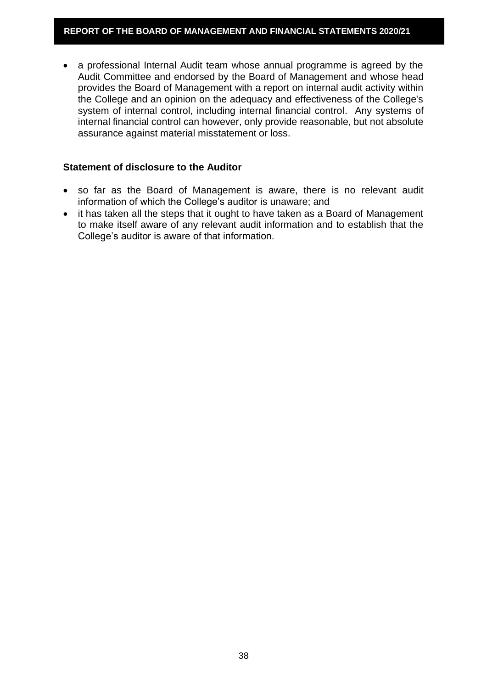• a professional Internal Audit team whose annual programme is agreed by the Audit Committee and endorsed by the Board of Management and whose head provides the Board of Management with a report on internal audit activity within the College and an opinion on the adequacy and effectiveness of the College's system of internal control, including internal financial control. Any systems of internal financial control can however, only provide reasonable, but not absolute assurance against material misstatement or loss.

### **Statement of disclosure to the Auditor**

- so far as the Board of Management is aware, there is no relevant audit information of which the College's auditor is unaware; and
- it has taken all the steps that it ought to have taken as a Board of Management to make itself aware of any relevant audit information and to establish that the College's auditor is aware of that information.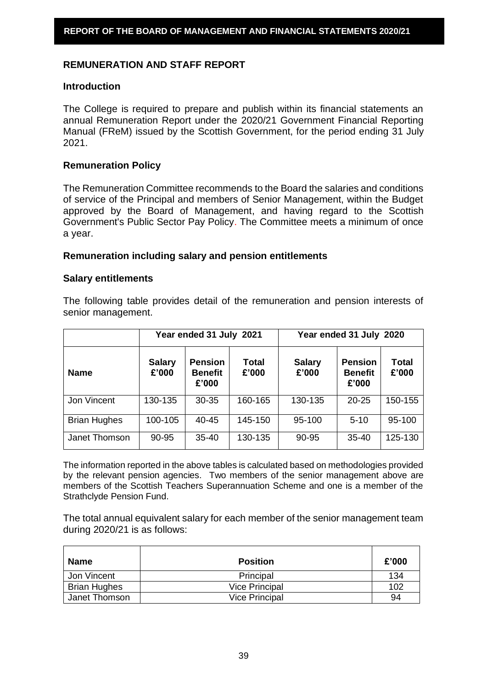# **REMUNERATION AND STAFF REPORT**

#### **Introduction**

The College is required to prepare and publish within its financial statements an annual Remuneration Report under the 2020/21 Government Financial Reporting Manual (FReM) issued by the Scottish Government, for the period ending 31 July 2021.

### **Remuneration Policy**

The Remuneration Committee recommends to the Board the salaries and conditions of service of the Principal and members of Senior Management, within the Budget approved by the Board of Management, and having regard to the Scottish Government's Public Sector Pay Policy. The Committee meets a minimum of once a year.

#### **Remuneration including salary and pension entitlements**

#### **Salary entitlements**

The following table provides detail of the remuneration and pension interests of senior management.

|                     | Year ended 31 July 2021 |                                           |                | Year ended 31 July 2020 |                                           |                |  |
|---------------------|-------------------------|-------------------------------------------|----------------|-------------------------|-------------------------------------------|----------------|--|
| <b>Name</b>         | <b>Salary</b><br>£'000  | <b>Pension</b><br><b>Benefit</b><br>£'000 | Total<br>£'000 | <b>Salary</b><br>£'000  | <b>Pension</b><br><b>Benefit</b><br>£'000 | Total<br>£'000 |  |
| Jon Vincent         | 130-135                 | 30-35                                     | 160-165        | 130-135                 | $20 - 25$                                 | 150-155        |  |
| <b>Brian Hughes</b> | 100-105                 | 40-45                                     | 145-150        | 95-100                  | $5 - 10$                                  | 95-100         |  |
| Janet Thomson       | 90-95                   | $35 - 40$                                 | 130-135        | 90-95                   | $35 - 40$                                 | 125-130        |  |

The information reported in the above tables is calculated based on methodologies provided by the relevant pension agencies. Two members of the senior management above are members of the Scottish Teachers Superannuation Scheme and one is a member of the Strathclyde Pension Fund.

The total annual equivalent salary for each member of the senior management team during 2020/21 is as follows:

| <b>Name</b>         | <b>Position</b>       | £'000 |
|---------------------|-----------------------|-------|
| Jon Vincent         | Principal             | 134   |
| <b>Brian Hughes</b> | <b>Vice Principal</b> | 102   |
| Janet Thomson       | <b>Vice Principal</b> | 94    |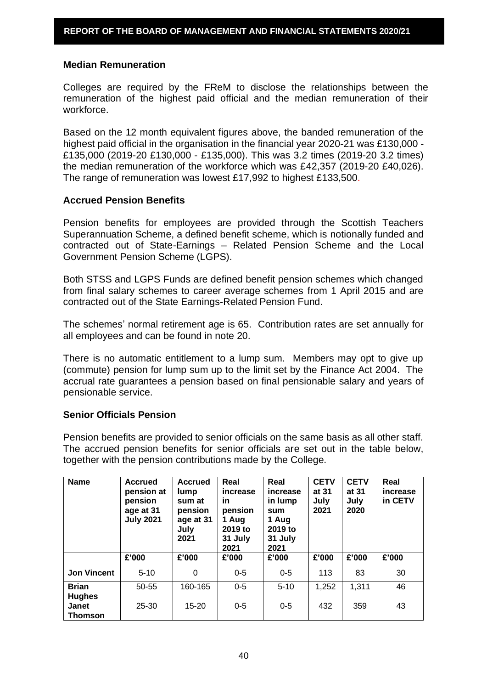#### **Median Remuneration**

Colleges are required by the FReM to disclose the relationships between the remuneration of the highest paid official and the median remuneration of their workforce.

Based on the 12 month equivalent figures above, the banded remuneration of the highest paid official in the organisation in the financial year 2020-21 was £130,000 - £135,000 (2019-20 £130,000 - £135,000). This was 3.2 times (2019-20 3.2 times) the median remuneration of the workforce which was £42,357 (2019-20 £40,026). The range of remuneration was lowest £17,992 to highest £133,500.

### **Accrued Pension Benefits**

Pension benefits for employees are provided through the Scottish Teachers Superannuation Scheme, a defined benefit scheme, which is notionally funded and contracted out of State-Earnings – Related Pension Scheme and the Local Government Pension Scheme (LGPS).

Both STSS and LGPS Funds are defined benefit pension schemes which changed from final salary schemes to career average schemes from 1 April 2015 and are contracted out of the State Earnings-Related Pension Fund.

The schemes' normal retirement age is 65. Contribution rates are set annually for all employees and can be found in note 20.

There is no automatic entitlement to a lump sum. Members may opt to give up (commute) pension for lump sum up to the limit set by the Finance Act 2004. The accrual rate guarantees a pension based on final pensionable salary and years of pensionable service.

# **Senior Officials Pension**

Pension benefits are provided to senior officials on the same basis as all other staff. The accrued pension benefits for senior officials are set out in the table below, together with the pension contributions made by the College.

| <b>Name</b>                    | <b>Accrued</b><br>pension at<br>pension<br>age at 31<br><b>July 2021</b> | <b>Accrued</b><br>lump<br>sum at<br>pension<br>age at 31<br>July<br>2021 | Real<br>increase<br>in.<br>pension<br>1 Aug<br>2019 to<br>31 July<br>2021 | Real<br>increase<br>in lump<br>sum<br>1 Aug<br>2019 to<br>31 July<br>2021 | <b>CETV</b><br>at 31<br>July<br>2021 | <b>CETV</b><br>at 31<br>July<br>2020 | Real<br>increase<br>in CETV |
|--------------------------------|--------------------------------------------------------------------------|--------------------------------------------------------------------------|---------------------------------------------------------------------------|---------------------------------------------------------------------------|--------------------------------------|--------------------------------------|-----------------------------|
|                                | £'000                                                                    | £'000                                                                    | £'000                                                                     | £'000                                                                     | £'000                                | £'000                                | £'000                       |
| <b>Jon Vincent</b>             | $5 - 10$                                                                 | 0                                                                        | $0 - 5$                                                                   | $0 - 5$                                                                   | 113                                  | 83                                   | 30                          |
| <b>Brian</b><br><b>Hughes</b>  | 50-55                                                                    | 160-165                                                                  | $0-5$                                                                     | $5 - 10$                                                                  | 1,252                                | 1,311                                | 46                          |
| <b>Janet</b><br><b>Thomson</b> | $25 - 30$                                                                | $15 - 20$                                                                | $0-5$                                                                     | $0-5$                                                                     | 432                                  | 359                                  | 43                          |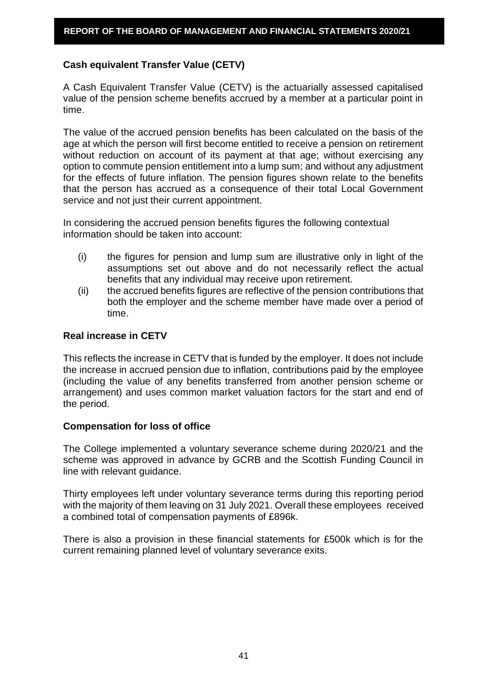# **Cash equivalent Transfer Value (CETV)**

A Cash Equivalent Transfer Value (CETV) is the actuarially assessed capitalised value of the pension scheme benefits accrued by a member at a particular point in time.

The value of the accrued pension benefits has been calculated on the basis of the age at which the person will first become entitled to receive a pension on retirement without reduction on account of its payment at that age; without exercising any option to commute pension entitlement into a lump sum; and without any adjustment for the effects of future inflation. The pension figures shown relate to the benefits that the person has accrued as a consequence of their total Local Government service and not just their current appointment.

In considering the accrued pension benefits figures the following contextual information should be taken into account:

- (i) the figures for pension and lump sum are illustrative only in light of the assumptions set out above and do not necessarily reflect the actual benefits that any individual may receive upon retirement.
- (ii) the accrued benefits figures are reflective of the pension contributions that both the employer and the scheme member have made over a period of time.

#### **Real increase in CETV**

This reflects the increase in CETV that is funded by the employer. It does not include the increase in accrued pension due to inflation, contributions paid by the employee (including the value of any benefits transferred from another pension scheme or arrangement) and uses common market valuation factors for the start and end of the period.

#### **Compensation for loss of office**

The College implemented a voluntary severance scheme during 2020/21 and the scheme was approved in advance by GCRB and the Scottish Funding Council in line with relevant guidance.

Thirty employees left under voluntary severance terms during this reporting period with the majority of them leaving on 31 July 2021. Overall these employees received a combined total of compensation payments of £896k.

There is also a provision in these financial statements for £500k which is for the current remaining planned level of voluntary severance exits.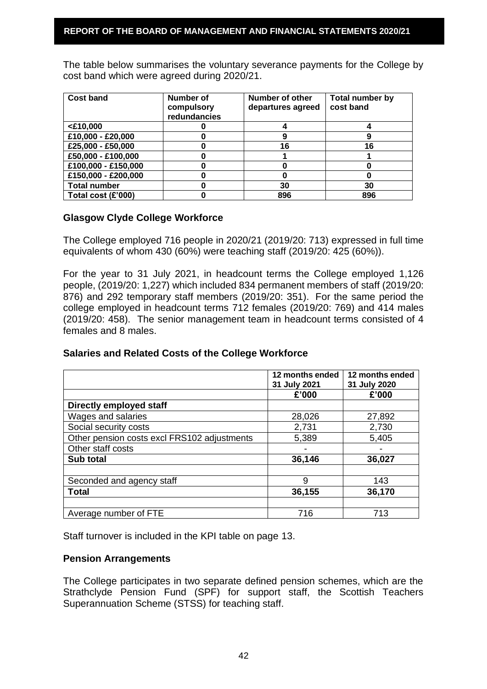The table below summarises the voluntary severance payments for the College by cost band which were agreed during 2020/21.

| <b>Cost band</b>    | <b>Number of</b><br>compulsory<br>redundancies | Number of other<br>departures agreed | Total number by<br>cost band |
|---------------------|------------------------------------------------|--------------------------------------|------------------------------|
| $<$ £10,000         |                                                |                                      |                              |
| £10,000 - £20,000   |                                                |                                      |                              |
| £25,000 - £50,000   |                                                | 16                                   | 16                           |
| £50,000 - £100,000  |                                                |                                      |                              |
| £100,000 - £150,000 |                                                |                                      |                              |
| £150,000 - £200,000 |                                                |                                      |                              |
| <b>Total number</b> |                                                | 30                                   | 30                           |
| Total cost (£'000)  |                                                | 896                                  | 896                          |

# **Glasgow Clyde College Workforce**

The College employed 716 people in 2020/21 (2019/20: 713) expressed in full time equivalents of whom 430 (60%) were teaching staff (2019/20: 425 (60%)).

For the year to 31 July 2021, in headcount terms the College employed 1,126 people, (2019/20: 1,227) which included 834 permanent members of staff (2019/20: 876) and 292 temporary staff members (2019/20: 351). For the same period the college employed in headcount terms 712 females (2019/20: 769) and 414 males (2019/20: 458). The senior management team in headcount terms consisted of 4 females and 8 males.

#### **Salaries and Related Costs of the College Workforce**

|                                             | 12 months ended<br>31 July 2021 | 12 months ended<br>31 July 2020 |
|---------------------------------------------|---------------------------------|---------------------------------|
|                                             | £'000                           | £'000                           |
| <b>Directly employed staff</b>              |                                 |                                 |
| Wages and salaries                          | 28,026                          | 27,892                          |
| Social security costs                       | 2,731                           | 2,730                           |
| Other pension costs excl FRS102 adjustments | 5,389                           | 5,405                           |
| Other staff costs                           |                                 |                                 |
| Sub total                                   | 36,146                          | 36,027                          |
|                                             |                                 |                                 |
| Seconded and agency staff                   | 9                               | 143                             |
| <b>Total</b>                                | 36,155                          | 36,170                          |
|                                             |                                 |                                 |
| Average number of FTE                       | 716                             | 713                             |

Staff turnover is included in the KPI table on page 13.

# **Pension Arrangements**

The College participates in two separate defined pension schemes, which are the Strathclyde Pension Fund (SPF) for support staff, the Scottish Teachers Superannuation Scheme (STSS) for teaching staff.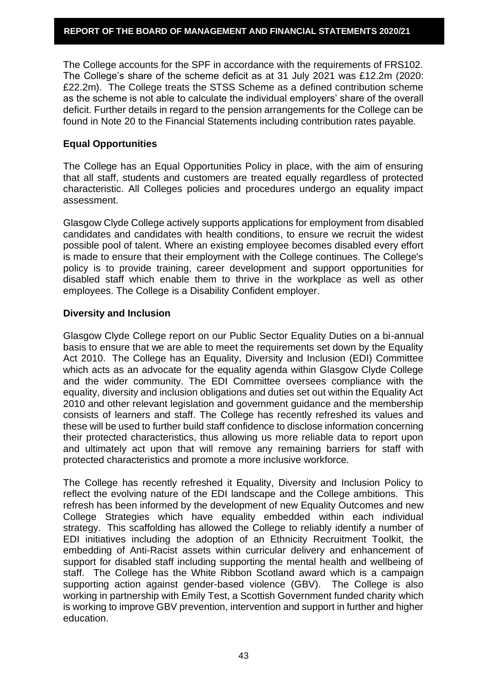The College accounts for the SPF in accordance with the requirements of FRS102. The College's share of the scheme deficit as at 31 July 2021 was £12.2m (2020: £22.2m). The College treats the STSS Scheme as a defined contribution scheme as the scheme is not able to calculate the individual employers' share of the overall deficit. Further details in regard to the pension arrangements for the College can be found in Note 20 to the Financial Statements including contribution rates payable.

# **Equal Opportunities**

The College has an Equal Opportunities Policy in place, with the aim of ensuring that all staff, students and customers are treated equally regardless of protected characteristic. All Colleges policies and procedures undergo an equality impact assessment.

Glasgow Clyde College actively supports applications for employment from disabled candidates and candidates with health conditions, to ensure we recruit the widest possible pool of talent. Where an existing employee becomes disabled every effort is made to ensure that their employment with the College continues. The College's policy is to provide training, career development and support opportunities for disabled staff which enable them to thrive in the workplace as well as other employees. The College is a Disability Confident employer.

# **Diversity and Inclusion**

Glasgow Clyde College report on our Public Sector Equality Duties on a bi-annual basis to ensure that we are able to meet the requirements set down by the Equality Act 2010. The College has an Equality, Diversity and Inclusion (EDI) Committee which acts as an advocate for the equality agenda within Glasgow Clyde College and the wider community. The EDI Committee oversees compliance with the equality, diversity and inclusion obligations and duties set out within the Equality Act 2010 and other relevant legislation and government guidance and the membership consists of learners and staff. The College has recently refreshed its values and these will be used to further build staff confidence to disclose information concerning their protected characteristics, thus allowing us more reliable data to report upon and ultimately act upon that will remove any remaining barriers for staff with protected characteristics and promote a more inclusive workforce.

The College has recently refreshed it Equality, Diversity and Inclusion Policy to reflect the evolving nature of the EDI landscape and the College ambitions. This refresh has been informed by the development of new Equality Outcomes and new College Strategies which have equality embedded within each individual strategy. This scaffolding has allowed the College to reliably identify a number of EDI initiatives including the adoption of an Ethnicity Recruitment Toolkit, the embedding of Anti-Racist assets within curricular delivery and enhancement of support for disabled staff including supporting the mental health and wellbeing of staff. The College has the White Ribbon Scotland award which is a campaign supporting action against gender-based violence (GBV). The College is also working in partnership with Emily Test, a Scottish Government funded charity which is working to improve GBV prevention, intervention and support in further and higher education.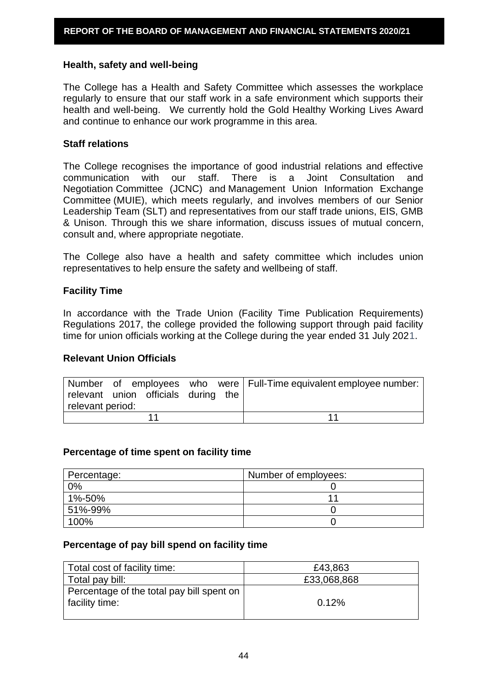#### **Health, safety and well-being**

The College has a Health and Safety Committee which assesses the workplace regularly to ensure that our staff work in a safe environment which supports their health and well-being. We currently hold the Gold Healthy Working Lives Award and continue to enhance our work programme in this area.

#### **Staff relations**

The College recognises the importance of good industrial relations and effective communication with our staff. There is a Joint Consultation and Negotiation Committee (JCNC) and Management Union Information Exchange Committee (MUIE), which meets regularly, and involves members of our Senior Leadership Team (SLT) and representatives from our staff trade unions, EIS, GMB & Unison. Through this we share information, discuss issues of mutual concern, consult and, where appropriate negotiate.

The College also have a health and safety committee which includes union representatives to help ensure the safety and wellbeing of staff.

### **Facility Time**

In accordance with the Trade Union (Facility Time Publication Requirements) Regulations 2017, the college provided the following support through paid facility time for union officials working at the College during the year ended 31 July 2021.

# **Relevant Union Officials**

|                  |                                     |  | Number of employees who were   Full-Time equivalent employee number: |
|------------------|-------------------------------------|--|----------------------------------------------------------------------|
|                  | relevant union officials during the |  |                                                                      |
| relevant period: |                                     |  |                                                                      |
|                  |                                     |  |                                                                      |

#### **Percentage of time spent on facility time**

| Percentage: | Number of employees: |
|-------------|----------------------|
| 0%          |                      |
| 1%-50%      |                      |
| 51%-99%     |                      |
| 100%        |                      |

#### **Percentage of pay bill spend on facility time**

| Total cost of facility time:              | £43,863     |
|-------------------------------------------|-------------|
| Total pay bill:                           | £33,068,868 |
| Percentage of the total pay bill spent on |             |
| facility time:                            | 0.12%       |
|                                           |             |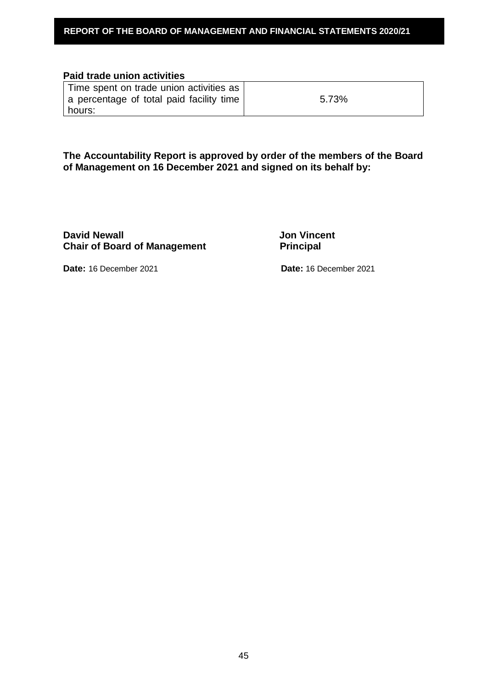### **Paid trade union activities**

| Time spent on trade union activities as  |       |
|------------------------------------------|-------|
| a percentage of total paid facility time | 5.73% |
| l hours:                                 |       |

**The Accountability Report is approved by order of the members of the Board of Management on 16 December 2021 and signed on its behalf by:**

**David Newall David Newall Chair of Board of Management Principal Principal** 

**Date:** 16 December 2021 **Date:** 16 December 2021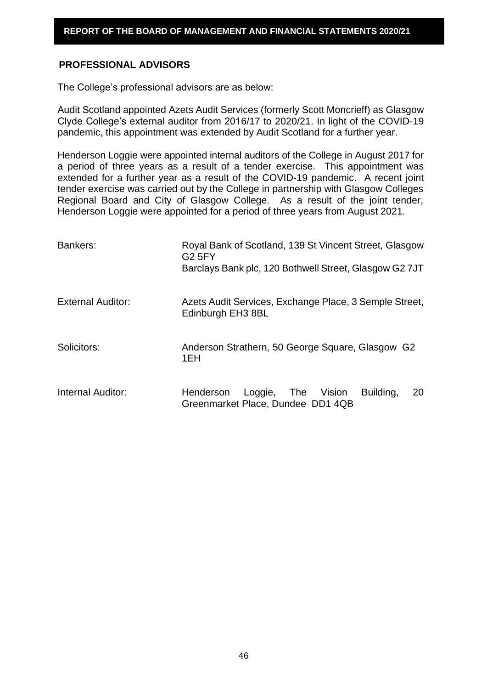# **PROFESSIONAL ADVISORS**

The College's professional advisors are as below:

Audit Scotland appointed Azets Audit Services (formerly Scott Moncrieff) as Glasgow Clyde College's external auditor from 2016/17 to 2020/21. In light of the COVID-19 pandemic, this appointment was extended by Audit Scotland for a further year.

Henderson Loggie were appointed internal auditors of the College in August 2017 for a period of three years as a result of a tender exercise. This appointment was extended for a further year as a result of the COVID-19 pandemic. A recent joint tender exercise was carried out by the College in partnership with Glasgow Colleges Regional Board and City of Glasgow College. As a result of the joint tender, Henderson Loggie were appointed for a period of three years from August 2021.

| Bankers:                 | Royal Bank of Scotland, 139 St Vincent Street, Glasgow<br><b>G2 5FY</b><br>Barclays Bank plc, 120 Bothwell Street, Glasgow G2 7JT |  |  |  |
|--------------------------|-----------------------------------------------------------------------------------------------------------------------------------|--|--|--|
| <b>External Auditor:</b> | Azets Audit Services, Exchange Place, 3 Semple Street,<br>Edinburgh EH3 8BL                                                       |  |  |  |
| Solicitors:              | Anderson Strathern, 50 George Square, Glasgow G2<br>1EH                                                                           |  |  |  |
| Internal Auditor:        | Loggie, The Vision<br>Building,<br>Henderson<br>20<br>Greenmarket Place, Dundee DD1 4QB                                           |  |  |  |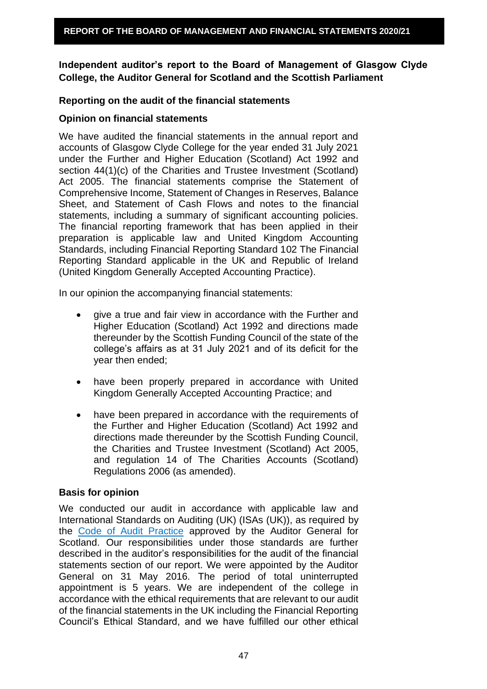**Independent auditor's report to the Board of Management of Glasgow Clyde College, the Auditor General for Scotland and the Scottish Parliament** 

## **Reporting on the audit of the financial statements**

#### **Opinion on financial statements**

We have audited the financial statements in the annual report and accounts of Glasgow Clyde College for the year ended 31 July 2021 under the Further and Higher Education (Scotland) Act 1992 and section 44(1)(c) of the Charities and Trustee Investment (Scotland) Act 2005. The financial statements comprise the Statement of Comprehensive Income, Statement of Changes in Reserves, Balance Sheet, and Statement of Cash Flows and notes to the financial statements, including a summary of significant accounting policies. The financial reporting framework that has been applied in their preparation is applicable law and United Kingdom Accounting Standards, including Financial Reporting Standard 102 The Financial Reporting Standard applicable in the UK and Republic of Ireland (United Kingdom Generally Accepted Accounting Practice).

In our opinion the accompanying financial statements:

- give a true and fair view in accordance with the Further and Higher Education (Scotland) Act 1992 and directions made thereunder by the Scottish Funding Council of the state of the college's affairs as at 31 July 2021 and of its deficit for the year then ended;
- have been properly prepared in accordance with United Kingdom Generally Accepted Accounting Practice; and
- have been prepared in accordance with the requirements of the Further and Higher Education (Scotland) Act 1992 and directions made thereunder by the Scottish Funding Council, the Charities and Trustee Investment (Scotland) Act 2005, and regulation 14 of The Charities Accounts (Scotland) Regulations 2006 (as amended).

#### **Basis for opinion**

We conducted our audit in accordance with applicable law and International Standards on Auditing (UK) (ISAs (UK)), as required by the [Code of Audit Practice](http://www.audit-scotland.gov.uk/uploads/docs/report/2016/code_audit_practice_16.pdf) approved by the Auditor General for Scotland. Our responsibilities under those standards are further described in the auditor's responsibilities for the audit of the financial statements section of our report. We were appointed by the Auditor General on 31 May 2016. The period of total uninterrupted appointment is 5 years. We are independent of the college in accordance with the ethical requirements that are relevant to our audit of the financial statements in the UK including the Financial Reporting Council's Ethical Standard, and we have fulfilled our other ethical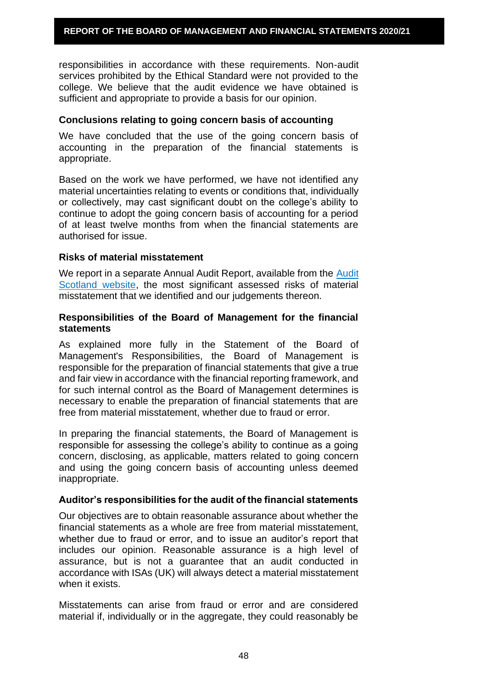responsibilities in accordance with these requirements. Non-audit services prohibited by the Ethical Standard were not provided to the college. We believe that the audit evidence we have obtained is sufficient and appropriate to provide a basis for our opinion.

#### **Conclusions relating to going concern basis of accounting**

We have concluded that the use of the going concern basis of accounting in the preparation of the financial statements is appropriate.

Based on the work we have performed, we have not identified any material uncertainties relating to events or conditions that, individually or collectively, may cast significant doubt on the college's ability to continue to adopt the going concern basis of accounting for a period of at least twelve months from when the financial statements are authorised for issue.

### **Risks of material misstatement**

We report in a separate Annual Audit Report, available from the [Audit](http://www.audit-scotland.gov.uk/our-work/annual-audits)  [Scotland website,](http://www.audit-scotland.gov.uk/our-work/annual-audits) the most significant assessed risks of material misstatement that we identified and our judgements thereon.

### **Responsibilities of the Board of Management for the financial statements**

As explained more fully in the Statement of the Board of Management's Responsibilities, the Board of Management is responsible for the preparation of financial statements that give a true and fair view in accordance with the financial reporting framework, and for such internal control as the Board of Management determines is necessary to enable the preparation of financial statements that are free from material misstatement, whether due to fraud or error.

In preparing the financial statements, the Board of Management is responsible for assessing the college's ability to continue as a going concern, disclosing, as applicable, matters related to going concern and using the going concern basis of accounting unless deemed inappropriate.

#### **Auditor's responsibilities for the audit of the financial statements**

Our objectives are to obtain reasonable assurance about whether the financial statements as a whole are free from material misstatement, whether due to fraud or error, and to issue an auditor's report that includes our opinion. Reasonable assurance is a high level of assurance, but is not a guarantee that an audit conducted in accordance with ISAs (UK) will always detect a material misstatement when it exists.

Misstatements can arise from fraud or error and are considered material if, individually or in the aggregate, they could reasonably be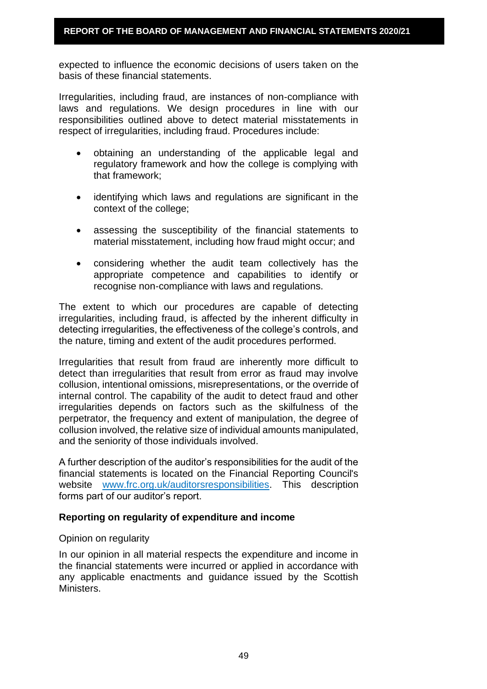expected to influence the economic decisions of users taken on the basis of these financial statements.

Irregularities, including fraud, are instances of non-compliance with laws and regulations. We design procedures in line with our responsibilities outlined above to detect material misstatements in respect of irregularities, including fraud. Procedures include:

- obtaining an understanding of the applicable legal and regulatory framework and how the college is complying with that framework;
- identifying which laws and regulations are significant in the context of the college;
- assessing the susceptibility of the financial statements to material misstatement, including how fraud might occur; and
- considering whether the audit team collectively has the appropriate competence and capabilities to identify or recognise non-compliance with laws and regulations.

The extent to which our procedures are capable of detecting irregularities, including fraud, is affected by the inherent difficulty in detecting irregularities, the effectiveness of the college's controls, and the nature, timing and extent of the audit procedures performed.

Irregularities that result from fraud are inherently more difficult to detect than irregularities that result from error as fraud may involve collusion, intentional omissions, misrepresentations, or the override of internal control. The capability of the audit to detect fraud and other irregularities depends on factors such as the skilfulness of the perpetrator, the frequency and extent of manipulation, the degree of collusion involved, the relative size of individual amounts manipulated, and the seniority of those individuals involved.

A further description of the auditor's responsibilities for the audit of the financial statements is located on the Financial Reporting Council's website [www.frc.org.uk/auditorsresponsibilities.](https://www.frc.org.uk/Our-Work/Audit-and-Actuarial-Regulation/Audit-and-assurance/Standards-and-guidance/Standards-and-guidance-for-auditors/Auditors-responsibilities-for-audit/Description-of-auditors-responsibilities-for-audit.aspx) This description forms part of our auditor's report.

# **Reporting on regularity of expenditure and income**

#### Opinion on regularity

In our opinion in all material respects the expenditure and income in the financial statements were incurred or applied in accordance with any applicable enactments and guidance issued by the Scottish Ministers.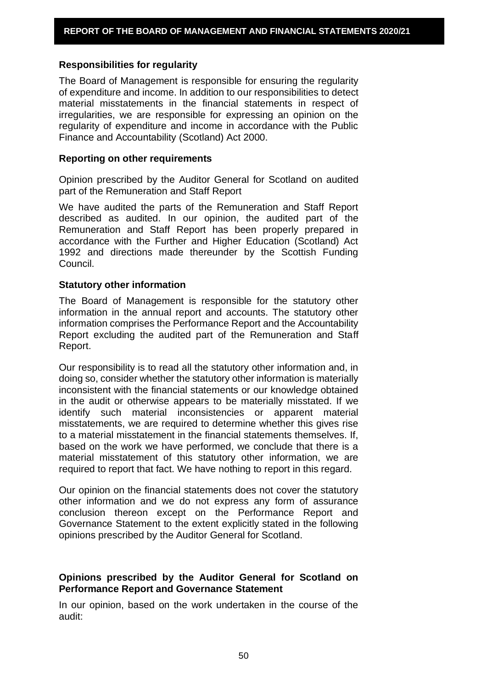### **Responsibilities for regularity**

The Board of Management is responsible for ensuring the regularity of expenditure and income. In addition to our responsibilities to detect material misstatements in the financial statements in respect of irregularities, we are responsible for expressing an opinion on the regularity of expenditure and income in accordance with the Public Finance and Accountability (Scotland) Act 2000.

#### **Reporting on other requirements**

Opinion prescribed by the Auditor General for Scotland on audited part of the Remuneration and Staff Report

We have audited the parts of the Remuneration and Staff Report described as audited. In our opinion, the audited part of the Remuneration and Staff Report has been properly prepared in accordance with the Further and Higher Education (Scotland) Act 1992 and directions made thereunder by the Scottish Funding Council.

### **Statutory other information**

The Board of Management is responsible for the statutory other information in the annual report and accounts. The statutory other information comprises the Performance Report and the Accountability Report excluding the audited part of the Remuneration and Staff Report.

Our responsibility is to read all the statutory other information and, in doing so, consider whether the statutory other information is materially inconsistent with the financial statements or our knowledge obtained in the audit or otherwise appears to be materially misstated. If we identify such material inconsistencies or apparent material misstatements, we are required to determine whether this gives rise to a material misstatement in the financial statements themselves. If, based on the work we have performed, we conclude that there is a material misstatement of this statutory other information, we are required to report that fact. We have nothing to report in this regard.

Our opinion on the financial statements does not cover the statutory other information and we do not express any form of assurance conclusion thereon except on the Performance Report and Governance Statement to the extent explicitly stated in the following opinions prescribed by the Auditor General for Scotland.

# **Opinions prescribed by the Auditor General for Scotland on Performance Report and Governance Statement**

In our opinion, based on the work undertaken in the course of the audit: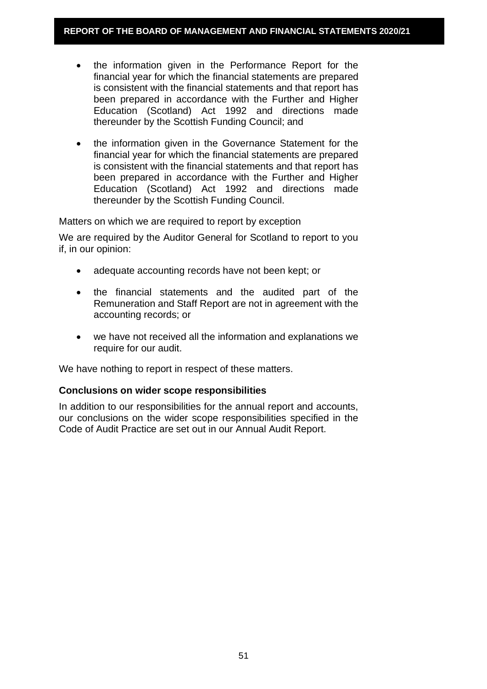- the information given in the Performance Report for the financial year for which the financial statements are prepared is consistent with the financial statements and that report has been prepared in accordance with the Further and Higher Education (Scotland) Act 1992 and directions made thereunder by the Scottish Funding Council; and
- the information given in the Governance Statement for the financial year for which the financial statements are prepared is consistent with the financial statements and that report has been prepared in accordance with the Further and Higher Education (Scotland) Act 1992 and directions made thereunder by the Scottish Funding Council.

Matters on which we are required to report by exception

We are required by the Auditor General for Scotland to report to you if, in our opinion:

- adequate accounting records have not been kept; or
- the financial statements and the audited part of the Remuneration and Staff Report are not in agreement with the accounting records; or
- we have not received all the information and explanations we require for our audit.

We have nothing to report in respect of these matters.

# **Conclusions on wider scope responsibilities**

In addition to our responsibilities for the annual report and accounts, our conclusions on the wider scope responsibilities specified in the Code of Audit Practice are set out in our Annual Audit Report.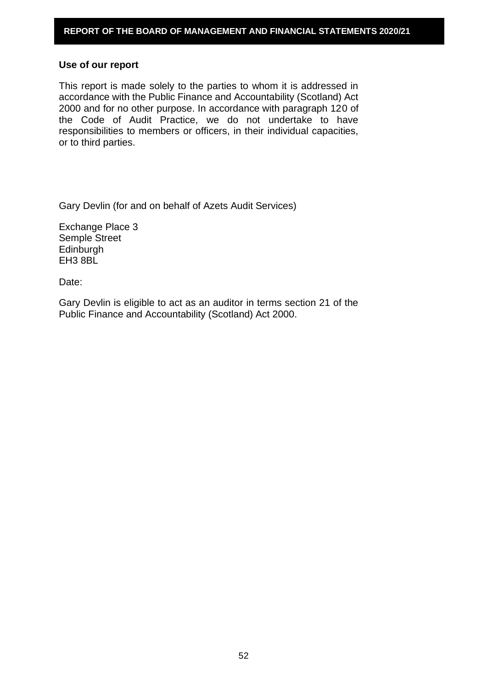#### **Use of our report**

This report is made solely to the parties to whom it is addressed in accordance with the Public Finance and Accountability (Scotland) Act 2000 and for no other purpose. In accordance with paragraph 120 of the Code of Audit Practice, we do not undertake to have responsibilities to members or officers, in their individual capacities, or to third parties.

Gary Devlin (for and on behalf of Azets Audit Services)

Exchange Place 3 Semple Street **Edinburgh** EH3 8BL

Date:

Gary Devlin is eligible to act as an auditor in terms section 21 of the Public Finance and Accountability (Scotland) Act 2000.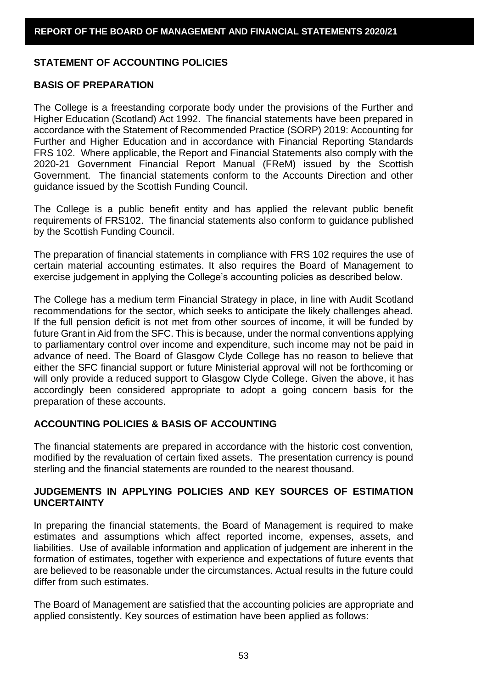### **STATEMENT OF ACCOUNTING POLICIES**

#### **BASIS OF PREPARATION**

The College is a freestanding corporate body under the provisions of the Further and Higher Education (Scotland) Act 1992. The financial statements have been prepared in accordance with the Statement of Recommended Practice (SORP) 2019: Accounting for Further and Higher Education and in accordance with Financial Reporting Standards FRS 102. Where applicable, the Report and Financial Statements also comply with the 2020-21 Government Financial Report Manual (FReM) issued by the Scottish Government. The financial statements conform to the Accounts Direction and other guidance issued by the Scottish Funding Council.

The College is a public benefit entity and has applied the relevant public benefit requirements of FRS102. The financial statements also conform to guidance published by the Scottish Funding Council.

The preparation of financial statements in compliance with FRS 102 requires the use of certain material accounting estimates. It also requires the Board of Management to exercise judgement in applying the College's accounting policies as described below.

The College has a medium term Financial Strategy in place, in line with Audit Scotland recommendations for the sector, which seeks to anticipate the likely challenges ahead. If the full pension deficit is not met from other sources of income, it will be funded by future Grant in Aid from the SFC. This is because, under the normal conventions applying to parliamentary control over income and expenditure, such income may not be paid in advance of need. The Board of Glasgow Clyde College has no reason to believe that either the SFC financial support or future Ministerial approval will not be forthcoming or will only provide a reduced support to Glasgow Clyde College. Given the above, it has accordingly been considered appropriate to adopt a going concern basis for the preparation of these accounts.

# **ACCOUNTING POLICIES & BASIS OF ACCOUNTING**

The financial statements are prepared in accordance with the historic cost convention, modified by the revaluation of certain fixed assets. The presentation currency is pound sterling and the financial statements are rounded to the nearest thousand.

# **JUDGEMENTS IN APPLYING POLICIES AND KEY SOURCES OF ESTIMATION UNCERTAINTY**

In preparing the financial statements, the Board of Management is required to make estimates and assumptions which affect reported income, expenses, assets, and liabilities. Use of available information and application of judgement are inherent in the formation of estimates, together with experience and expectations of future events that are believed to be reasonable under the circumstances. Actual results in the future could differ from such estimates.

The Board of Management are satisfied that the accounting policies are appropriate and applied consistently. Key sources of estimation have been applied as follows: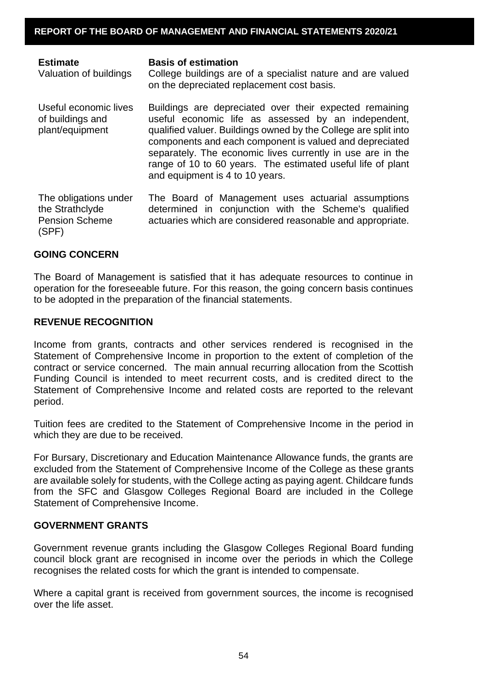| <b>Estimate</b><br>Valuation of buildings                                  | <b>Basis of estimation</b><br>College buildings are of a specialist nature and are valued<br>on the depreciated replacement cost basis.                                                                                                                                                                                                                                                                      |
|----------------------------------------------------------------------------|--------------------------------------------------------------------------------------------------------------------------------------------------------------------------------------------------------------------------------------------------------------------------------------------------------------------------------------------------------------------------------------------------------------|
| Useful economic lives<br>of buildings and<br>plant/equipment               | Buildings are depreciated over their expected remaining<br>useful economic life as assessed by an independent,<br>qualified valuer. Buildings owned by the College are split into<br>components and each component is valued and depreciated<br>separately. The economic lives currently in use are in the<br>range of 10 to 60 years. The estimated useful life of plant<br>and equipment is 4 to 10 years. |
| The obligations under<br>the Strathclyde<br><b>Pension Scheme</b><br>(SPF) | The Board of Management uses actuarial assumptions<br>determined in conjunction with the Scheme's qualified<br>actuaries which are considered reasonable and appropriate.                                                                                                                                                                                                                                    |

# **GOING CONCERN**

The Board of Management is satisfied that it has adequate resources to continue in operation for the foreseeable future. For this reason, the going concern basis continues to be adopted in the preparation of the financial statements.

### **REVENUE RECOGNITION**

Income from grants, contracts and other services rendered is recognised in the Statement of Comprehensive Income in proportion to the extent of completion of the contract or service concerned. The main annual recurring allocation from the Scottish Funding Council is intended to meet recurrent costs, and is credited direct to the Statement of Comprehensive Income and related costs are reported to the relevant period.

Tuition fees are credited to the Statement of Comprehensive Income in the period in which they are due to be received.

For Bursary, Discretionary and Education Maintenance Allowance funds, the grants are excluded from the Statement of Comprehensive Income of the College as these grants are available solely for students, with the College acting as paying agent. Childcare funds from the SFC and Glasgow Colleges Regional Board are included in the College Statement of Comprehensive Income.

# **GOVERNMENT GRANTS**

Government revenue grants including the Glasgow Colleges Regional Board funding council block grant are recognised in income over the periods in which the College recognises the related costs for which the grant is intended to compensate.

Where a capital grant is received from government sources, the income is recognised over the life asset.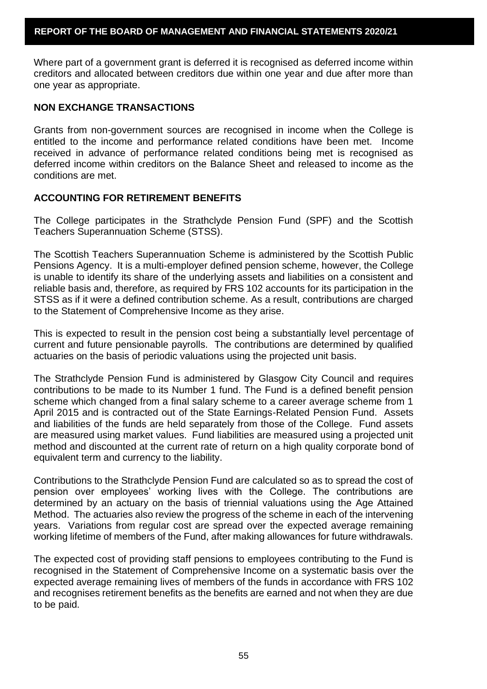Where part of a government grant is deferred it is recognised as deferred income within creditors and allocated between creditors due within one year and due after more than one year as appropriate.

## **NON EXCHANGE TRANSACTIONS**

Grants from non-government sources are recognised in income when the College is entitled to the income and performance related conditions have been met. Income received in advance of performance related conditions being met is recognised as deferred income within creditors on the Balance Sheet and released to income as the conditions are met.

### **ACCOUNTING FOR RETIREMENT BENEFITS**

The College participates in the Strathclyde Pension Fund (SPF) and the Scottish Teachers Superannuation Scheme (STSS).

The Scottish Teachers Superannuation Scheme is administered by the Scottish Public Pensions Agency. It is a multi-employer defined pension scheme, however, the College is unable to identify its share of the underlying assets and liabilities on a consistent and reliable basis and, therefore, as required by FRS 102 accounts for its participation in the STSS as if it were a defined contribution scheme. As a result, contributions are charged to the Statement of Comprehensive Income as they arise.

This is expected to result in the pension cost being a substantially level percentage of current and future pensionable payrolls. The contributions are determined by qualified actuaries on the basis of periodic valuations using the projected unit basis.

The Strathclyde Pension Fund is administered by Glasgow City Council and requires contributions to be made to its Number 1 fund. The Fund is a defined benefit pension scheme which changed from a final salary scheme to a career average scheme from 1 April 2015 and is contracted out of the State Earnings-Related Pension Fund. Assets and liabilities of the funds are held separately from those of the College. Fund assets are measured using market values. Fund liabilities are measured using a projected unit method and discounted at the current rate of return on a high quality corporate bond of equivalent term and currency to the liability.

Contributions to the Strathclyde Pension Fund are calculated so as to spread the cost of pension over employees' working lives with the College. The contributions are determined by an actuary on the basis of triennial valuations using the Age Attained Method. The actuaries also review the progress of the scheme in each of the intervening years. Variations from regular cost are spread over the expected average remaining working lifetime of members of the Fund, after making allowances for future withdrawals.

The expected cost of providing staff pensions to employees contributing to the Fund is recognised in the Statement of Comprehensive Income on a systematic basis over the expected average remaining lives of members of the funds in accordance with FRS 102 and recognises retirement benefits as the benefits are earned and not when they are due to be paid.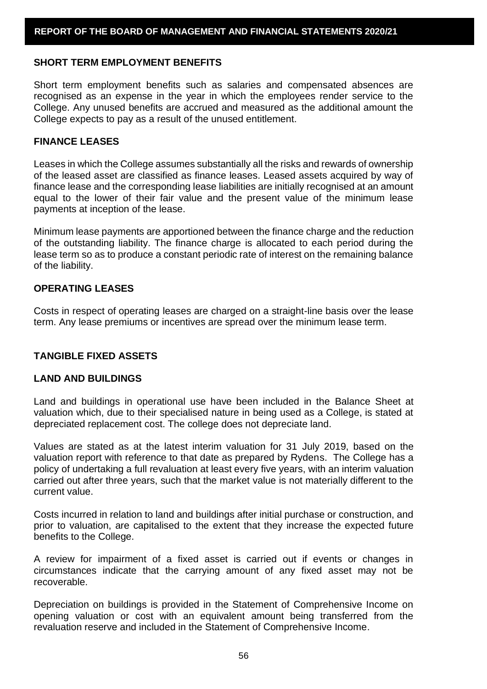#### **SHORT TERM EMPLOYMENT BENEFITS**

Short term employment benefits such as salaries and compensated absences are recognised as an expense in the year in which the employees render service to the College. Any unused benefits are accrued and measured as the additional amount the College expects to pay as a result of the unused entitlement.

## **FINANCE LEASES**

Leases in which the College assumes substantially all the risks and rewards of ownership of the leased asset are classified as finance leases. Leased assets acquired by way of finance lease and the corresponding lease liabilities are initially recognised at an amount equal to the lower of their fair value and the present value of the minimum lease payments at inception of the lease.

Minimum lease payments are apportioned between the finance charge and the reduction of the outstanding liability. The finance charge is allocated to each period during the lease term so as to produce a constant periodic rate of interest on the remaining balance of the liability.

#### **OPERATING LEASES**

Costs in respect of operating leases are charged on a straight-line basis over the lease term. Any lease premiums or incentives are spread over the minimum lease term.

#### **TANGIBLE FIXED ASSETS**

#### **LAND AND BUILDINGS**

Land and buildings in operational use have been included in the Balance Sheet at valuation which, due to their specialised nature in being used as a College, is stated at depreciated replacement cost. The college does not depreciate land.

Values are stated as at the latest interim valuation for 31 July 2019, based on the valuation report with reference to that date as prepared by Rydens. The College has a policy of undertaking a full revaluation at least every five years, with an interim valuation carried out after three years, such that the market value is not materially different to the current value.

Costs incurred in relation to land and buildings after initial purchase or construction, and prior to valuation, are capitalised to the extent that they increase the expected future benefits to the College.

A review for impairment of a fixed asset is carried out if events or changes in circumstances indicate that the carrying amount of any fixed asset may not be recoverable.

Depreciation on buildings is provided in the Statement of Comprehensive Income on opening valuation or cost with an equivalent amount being transferred from the revaluation reserve and included in the Statement of Comprehensive Income.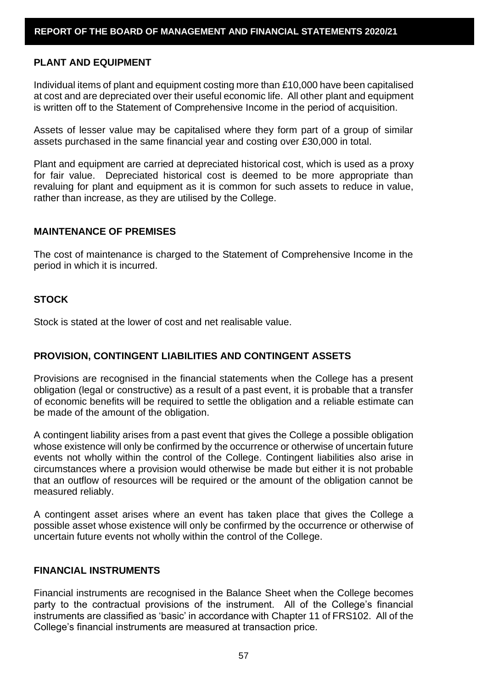#### **PLANT AND EQUIPMENT**

Individual items of plant and equipment costing more than £10,000 have been capitalised at cost and are depreciated over their useful economic life. All other plant and equipment is written off to the Statement of Comprehensive Income in the period of acquisition.

Assets of lesser value may be capitalised where they form part of a group of similar assets purchased in the same financial year and costing over £30,000 in total.

Plant and equipment are carried at depreciated historical cost, which is used as a proxy for fair value. Depreciated historical cost is deemed to be more appropriate than revaluing for plant and equipment as it is common for such assets to reduce in value, rather than increase, as they are utilised by the College.

### **MAINTENANCE OF PREMISES**

The cost of maintenance is charged to the Statement of Comprehensive Income in the period in which it is incurred.

#### **STOCK**

Stock is stated at the lower of cost and net realisable value.

### **PROVISION, CONTINGENT LIABILITIES AND CONTINGENT ASSETS**

Provisions are recognised in the financial statements when the College has a present obligation (legal or constructive) as a result of a past event, it is probable that a transfer of economic benefits will be required to settle the obligation and a reliable estimate can be made of the amount of the obligation.

A contingent liability arises from a past event that gives the College a possible obligation whose existence will only be confirmed by the occurrence or otherwise of uncertain future events not wholly within the control of the College. Contingent liabilities also arise in circumstances where a provision would otherwise be made but either it is not probable that an outflow of resources will be required or the amount of the obligation cannot be measured reliably.

A contingent asset arises where an event has taken place that gives the College a possible asset whose existence will only be confirmed by the occurrence or otherwise of uncertain future events not wholly within the control of the College.

# **FINANCIAL INSTRUMENTS**

Financial instruments are recognised in the Balance Sheet when the College becomes party to the contractual provisions of the instrument. All of the College's financial instruments are classified as 'basic' in accordance with Chapter 11 of FRS102. All of the College's financial instruments are measured at transaction price.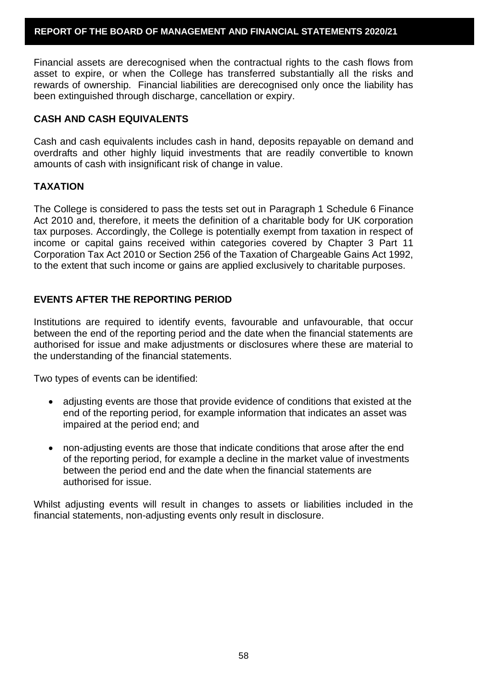Financial assets are derecognised when the contractual rights to the cash flows from asset to expire, or when the College has transferred substantially all the risks and rewards of ownership. Financial liabilities are derecognised only once the liability has been extinguished through discharge, cancellation or expiry.

# **CASH AND CASH EQUIVALENTS**

Cash and cash equivalents includes cash in hand, deposits repayable on demand and overdrafts and other highly liquid investments that are readily convertible to known amounts of cash with insignificant risk of change in value.

# **TAXATION**

The College is considered to pass the tests set out in Paragraph 1 Schedule 6 Finance Act 2010 and, therefore, it meets the definition of a charitable body for UK corporation tax purposes. Accordingly, the College is potentially exempt from taxation in respect of income or capital gains received within categories covered by Chapter 3 Part 11 Corporation Tax Act 2010 or Section 256 of the Taxation of Chargeable Gains Act 1992, to the extent that such income or gains are applied exclusively to charitable purposes.

# **EVENTS AFTER THE REPORTING PERIOD**

Institutions are required to identify events, favourable and unfavourable, that occur between the end of the reporting period and the date when the financial statements are authorised for issue and make adjustments or disclosures where these are material to the understanding of the financial statements.

Two types of events can be identified:

- adjusting events are those that provide evidence of conditions that existed at the end of the reporting period, for example information that indicates an asset was impaired at the period end; and
- non-adjusting events are those that indicate conditions that arose after the end of the reporting period, for example a decline in the market value of investments between the period end and the date when the financial statements are authorised for issue.

Whilst adjusting events will result in changes to assets or liabilities included in the financial statements, non-adjusting events only result in disclosure.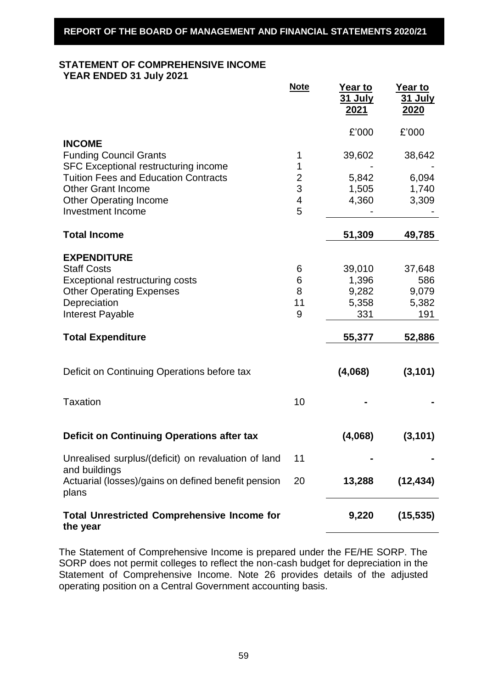# **STATEMENT OF COMPREHENSIVE INCOME**

**YEAR ENDED 31 July 2021** 

|                                                                                        | <b>Note</b> | <u>Year to</u><br><b>31 July</b><br><u> 2021</u> | <u>Year to</u><br><b>31 July</b><br><u> 2020</u> |
|----------------------------------------------------------------------------------------|-------------|--------------------------------------------------|--------------------------------------------------|
|                                                                                        |             | £'000                                            | £'000                                            |
| <b>INCOME</b><br><b>Funding Council Grants</b><br>SFC Exceptional restructuring income | 1<br>1      | 39,602                                           | 38,642                                           |
| <b>Tuition Fees and Education Contracts</b>                                            | 2           | 5,842                                            | 6,094                                            |
| <b>Other Grant Income</b>                                                              | 3           | 1,505                                            | 1,740                                            |
| <b>Other Operating Income</b><br><b>Investment Income</b>                              | 4<br>5      | 4,360                                            | 3,309                                            |
| <b>Total Income</b>                                                                    |             | 51,309                                           | 49,785                                           |
| <b>EXPENDITURE</b>                                                                     |             |                                                  |                                                  |
| <b>Staff Costs</b>                                                                     | 6           | 39,010                                           | 37,648                                           |
| <b>Exceptional restructuring costs</b>                                                 | 6           | 1,396                                            | 586                                              |
| <b>Other Operating Expenses</b>                                                        | 8           | 9,282                                            | 9,079                                            |
| Depreciation                                                                           | 11          | 5,358                                            | 5,382                                            |
| <b>Interest Payable</b>                                                                | 9           | 331                                              | 191                                              |
| <b>Total Expenditure</b>                                                               |             | 55,377                                           | 52,886                                           |
|                                                                                        |             |                                                  |                                                  |
| Deficit on Continuing Operations before tax                                            |             | (4,068)                                          | (3, 101)                                         |
| <b>Taxation</b>                                                                        | 10          |                                                  |                                                  |
| Deficit on Continuing Operations after tax                                             |             | (4,068)                                          | (3, 101)                                         |
| Unrealised surplus/(deficit) on revaluation of land<br>and buildings                   | 11          |                                                  |                                                  |
| Actuarial (losses)/gains on defined benefit pension<br>plans                           | 20          | 13,288                                           | (12, 434)                                        |
| <b>Total Unrestricted Comprehensive Income for</b><br>the year                         |             | 9,220                                            | (15, 535)                                        |

The Statement of Comprehensive Income is prepared under the FE/HE SORP. The SORP does not permit colleges to reflect the non-cash budget for depreciation in the Statement of Comprehensive Income. Note 26 provides details of the adjusted operating position on a Central Government accounting basis.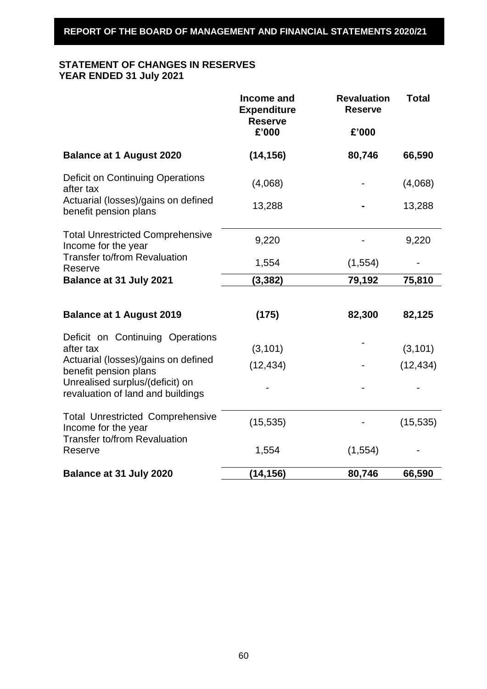# **STATEMENT OF CHANGES IN RESERVES YEAR ENDED 31 July 2021**

|                                                                      | Income and<br><b>Expenditure</b><br><b>Reserve</b><br>£'000 | <b>Revaluation</b><br><b>Reserve</b><br>£'000 | <b>Total</b> |
|----------------------------------------------------------------------|-------------------------------------------------------------|-----------------------------------------------|--------------|
| <b>Balance at 1 August 2020</b>                                      | (14, 156)                                                   | 80,746                                        | 66,590       |
| <b>Deficit on Continuing Operations</b><br>after tax                 | (4,068)                                                     |                                               | (4,068)      |
| Actuarial (losses)/gains on defined<br>benefit pension plans         | 13,288                                                      |                                               | 13,288       |
| <b>Total Unrestricted Comprehensive</b><br>Income for the year       | 9,220                                                       |                                               | 9,220        |
| <b>Transfer to/from Revaluation</b><br>Reserve                       | 1,554                                                       | (1, 554)                                      |              |
| <b>Balance at 31 July 2021</b>                                       | (3, 382)                                                    | 79,192                                        | 75,810       |
|                                                                      |                                                             |                                               |              |
| <b>Balance at 1 August 2019</b>                                      | (175)                                                       | 82,300                                        | 82,125       |
| Deficit on Continuing Operations<br>after tax                        | (3, 101)                                                    |                                               | (3, 101)     |
| Actuarial (losses)/gains on defined<br>benefit pension plans         | (12, 434)                                                   |                                               | (12, 434)    |
| Unrealised surplus/(deficit) on<br>revaluation of land and buildings |                                                             |                                               |              |
| <b>Total Unrestricted Comprehensive</b><br>Income for the year       | (15, 535)                                                   |                                               | (15, 535)    |
| <b>Transfer to/from Revaluation</b><br>Reserve                       | 1,554                                                       | (1, 554)                                      |              |
| Balance at 31 July 2020                                              | (14, 156)                                                   | 80,746                                        | 66,590       |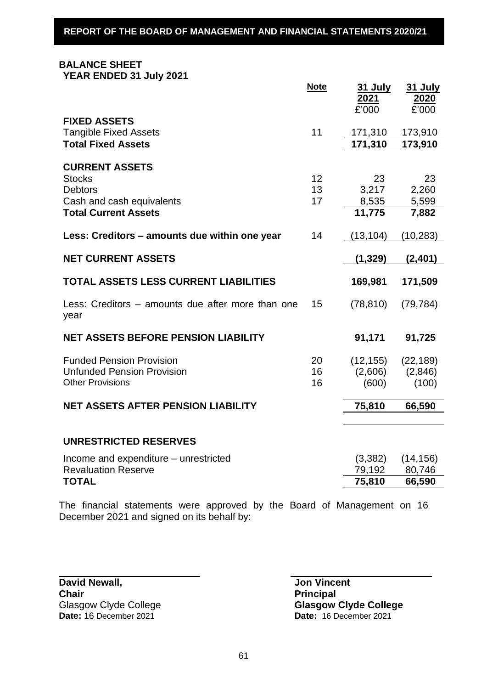# **BALANCE SHEET**

**YEAR ENDED 31 July 2021**

|                                                           | <b>Note</b> | <b>31 July</b> | <b>31 July</b> |
|-----------------------------------------------------------|-------------|----------------|----------------|
|                                                           |             | 2021           | 2020           |
| <b>FIXED ASSETS</b>                                       |             | £'000          | £'000          |
| <b>Tangible Fixed Assets</b>                              | 11          | 171,310        | 173,910        |
| <b>Total Fixed Assets</b>                                 |             | 171,310        | 173,910        |
|                                                           |             |                |                |
| <b>CURRENT ASSETS</b>                                     |             |                |                |
| <b>Stocks</b>                                             | 12          | 23             | 23             |
| <b>Debtors</b>                                            | 13          | 3,217          | 2,260          |
| Cash and cash equivalents                                 | 17          | 8,535          | 5,599          |
| <b>Total Current Assets</b>                               |             | 11,775         | 7,882          |
| Less: Creditors – amounts due within one year             | 14          | (13, 104)      | (10, 283)      |
|                                                           |             |                |                |
| <b>NET CURRENT ASSETS</b>                                 |             | (1, 329)       | (2,401)        |
| <b>TOTAL ASSETS LESS CURRENT LIABILITIES</b>              |             | 169,981        | 171,509        |
| Less: Creditors – amounts due after more than one<br>year | 15          | (78, 810)      | (79, 784)      |
| <b>NET ASSETS BEFORE PENSION LIABILITY</b>                |             | 91,171         | 91,725         |
| <b>Funded Pension Provision</b>                           | 20          | (12, 155)      | (22, 189)      |
| <b>Unfunded Pension Provision</b>                         | 16          | (2,606)        | (2,846)        |
| <b>Other Provisions</b>                                   | 16          | (600)          | (100)          |
| <b>NET ASSETS AFTER PENSION LIABILITY</b>                 |             | 75,810         | 66,590         |
|                                                           |             |                |                |
|                                                           |             |                |                |
| <b>UNRESTRICTED RESERVES</b>                              |             |                |                |
| Income and expenditure – unrestricted                     |             | (3,382)        | (14, 156)      |
| <b>Revaluation Reserve</b>                                |             | 79,192         | 80,746         |
| <b>TOTAL</b>                                              |             | 75,810         | 66,590         |
|                                                           |             |                |                |

The financial statements were approved by the Board of Management on 16 December 2021 and signed on its behalf by:

**David Newall, Communist Communist Communist Communist Communist Communist Communist Communist Communist Communist Communist Communist Communist Communist Communist Communist Communist Communist Communist Communist Communi Chair Principal**<br> **Principal**<br> **Principal**<br> **Principal** 

Glasgow Clyde College<br> **Date:** 16 December 2021<br> **Date:** 16 December 2021 **Date:** 16 December 2021 **Date:** 16 December 2021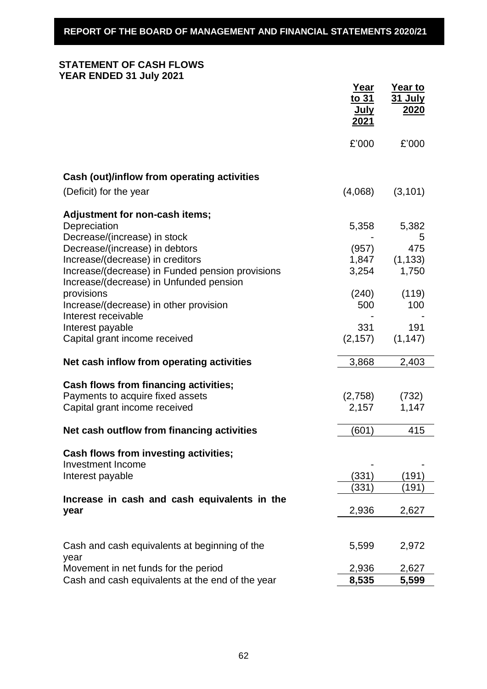# **STATEMENT OF CASH FLOWS YEAR ENDED 31 July 2021**

|                                                                                             | Year<br>to 31<br><u>July</u><br>2021 | Year to<br><u>31 July</u><br><u>2020</u> |
|---------------------------------------------------------------------------------------------|--------------------------------------|------------------------------------------|
|                                                                                             | £'000                                | £'000                                    |
| Cash (out)/inflow from operating activities                                                 |                                      |                                          |
| (Deficit) for the year                                                                      | (4,068)                              | (3, 101)                                 |
| Adjustment for non-cash items;                                                              |                                      |                                          |
| Depreciation                                                                                | 5,358                                | 5,382                                    |
| Decrease/(increase) in stock                                                                |                                      | 5                                        |
| Decrease/(increase) in debtors                                                              | (957)                                | 475                                      |
| Increase/(decrease) in creditors                                                            | 1,847                                | (1, 133)                                 |
| Increase/(decrease) in Funded pension provisions<br>Increase/(decrease) in Unfunded pension | 3,254                                | 1,750                                    |
| provisions                                                                                  | (240)                                | (119)                                    |
| Increase/(decrease) in other provision                                                      | 500                                  | 100                                      |
| Interest receivable                                                                         |                                      |                                          |
| Interest payable                                                                            | 331                                  | 191                                      |
| Capital grant income received                                                               | (2, 157)                             | (1, 147)                                 |
| Net cash inflow from operating activities                                                   | 3,868                                | 2,403                                    |
|                                                                                             |                                      |                                          |
| Cash flows from financing activities;                                                       |                                      |                                          |
| Payments to acquire fixed assets                                                            | (2,758)                              | (732)                                    |
| Capital grant income received                                                               | 2,157                                | 1,147                                    |
| Net cash outflow from financing activities                                                  | (601)                                | 415                                      |
| <b>Cash flows from investing activities;</b>                                                |                                      |                                          |
| <b>Investment Income</b>                                                                    |                                      |                                          |
| Interest payable                                                                            | (331)                                | (191)                                    |
|                                                                                             | (331)                                | (191)                                    |
| Increase in cash and cash equivalents in the                                                |                                      |                                          |
| year                                                                                        | 2,936                                | 2,627                                    |
|                                                                                             |                                      |                                          |
| Cash and cash equivalents at beginning of the                                               | 5,599                                | 2,972                                    |
| year                                                                                        |                                      |                                          |
| Movement in net funds for the period                                                        | 2,936                                | 2,627                                    |
| Cash and cash equivalents at the end of the year                                            | 8,535                                | 5,599                                    |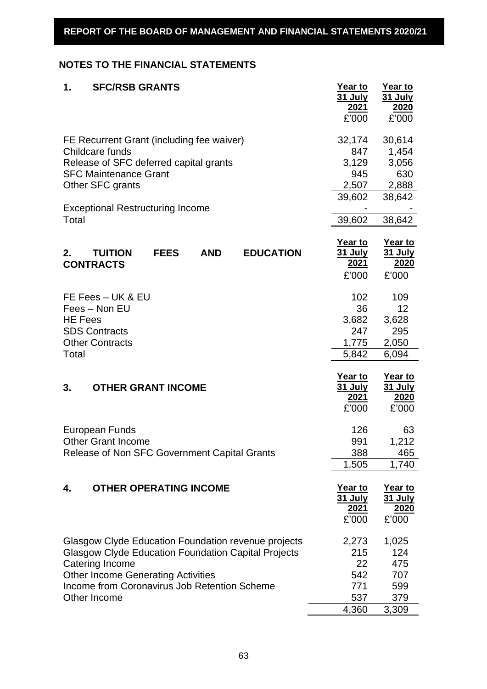# **NOTES TO THE FINANCIAL STATEMENTS**

| 1.<br><b>SFC/RSB GRANTS</b>                                           | Year to<br><u>31 July</u><br>2021 | Year to<br><u>31 July</u><br>2020 |
|-----------------------------------------------------------------------|-----------------------------------|-----------------------------------|
|                                                                       | £'000                             | £'000                             |
| FE Recurrent Grant (including fee waiver)                             | 32,174                            | 30,614                            |
| Childcare funds                                                       | 847                               | 1,454                             |
| Release of SFC deferred capital grants                                | 3,129                             | 3,056                             |
| <b>SFC Maintenance Grant</b>                                          | 945                               | 630                               |
| Other SFC grants                                                      | 2,507                             | 2,888                             |
|                                                                       | 39,602                            | 38,642                            |
| <b>Exceptional Restructuring Income</b>                               |                                   |                                   |
| Total                                                                 | 39,602                            | 38,642                            |
|                                                                       | Year to                           | Year to                           |
| <b>TUITION</b><br><b>FEES</b><br><b>AND</b><br><b>EDUCATION</b><br>2. | <b>31 July</b>                    | <b>31 July</b>                    |
| <b>CONTRACTS</b>                                                      | <u>2021</u>                       | 2020                              |
|                                                                       | £'000                             | £'000                             |
| FE Fees - UK & EU                                                     | 102                               | 109                               |
| Fees - Non EU                                                         | 36                                | 12                                |
| <b>HE Fees</b>                                                        | 3,682                             | 3,628                             |
| <b>SDS Contracts</b>                                                  | 247                               | 295                               |
| <b>Other Contracts</b>                                                | 1,775                             | 2,050                             |
| Total                                                                 | 5,842                             | 6,094                             |
|                                                                       |                                   |                                   |
| 3.<br><b>OTHER GRANT INCOME</b>                                       | Year to<br><u>31 July</u>         | Year to<br><u>31 July</u>         |
|                                                                       | 2021                              | 2020                              |
|                                                                       | £'000                             | £'000                             |
| European Funds                                                        | 126                               | 63                                |
| <b>Other Grant Income</b>                                             | 991                               | 1,212                             |
| Release of Non SFC Government Capital Grants                          | 388                               | 465                               |
|                                                                       | 1,505                             | 1,740                             |
|                                                                       |                                   |                                   |
| <b>OTHER OPERATING INCOME</b><br>4.                                   | Year to<br>31 July                | Year to<br><b>31 July</b>         |
|                                                                       | <u>2021</u>                       | <u>2020</u>                       |
|                                                                       | £'000                             | £'000                             |
| Glasgow Clyde Education Foundation revenue projects                   | 2,273                             | 1,025                             |
| <b>Glasgow Clyde Education Foundation Capital Projects</b>            | 215                               | 124                               |
| Catering Income                                                       | 22                                | 475                               |
| <b>Other Income Generating Activities</b>                             | 542                               | 707                               |
| Income from Coronavirus Job Retention Scheme                          | 771                               | 599                               |
| Other Income                                                          | 537                               | 379                               |
|                                                                       | 4,360                             | 3,309                             |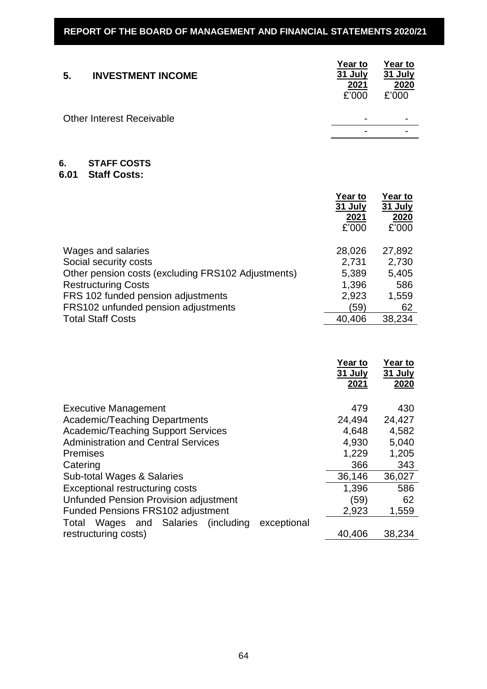| 5. | <b>INVESTMENT INCOME</b>         | Year to<br>31 July<br>2021<br>£'000 | Year to<br>31 July<br>2020<br>£'000 |
|----|----------------------------------|-------------------------------------|-------------------------------------|
|    | <b>Other Interest Receivable</b> | $\overline{\phantom{0}}$            |                                     |
|    |                                  | $\overline{\phantom{a}}$            |                                     |

#### **6. STAFF COSTS**

# **6.01 Staff Costs:**

|                                                    | Year to<br>31 July<br>2021<br>£'000 | Year to<br>31 July<br>2020<br>£'000 |
|----------------------------------------------------|-------------------------------------|-------------------------------------|
| Wages and salaries                                 | 28,026                              | 27,892                              |
| Social security costs                              | 2,731                               | 2,730                               |
| Other pension costs (excluding FRS102 Adjustments) | 5,389                               | 5,405                               |
| <b>Restructuring Costs</b>                         | 1,396                               | 586                                 |
| FRS 102 funded pension adjustments                 | 2,923                               | 1,559                               |
| FRS102 unfunded pension adjustments                | (59)                                | 62                                  |
| <b>Total Staff Costs</b>                           | 40,406                              | 38,234                              |

|                                                       | <b>Year to</b><br>31 July<br>2021 | Year to<br><b>31 July</b><br>2020 |
|-------------------------------------------------------|-----------------------------------|-----------------------------------|
| <b>Executive Management</b>                           | 479                               | 430                               |
| <b>Academic/Teaching Departments</b>                  | 24,494                            | 24,427                            |
| <b>Academic/Teaching Support Services</b>             | 4,648                             | 4,582                             |
| <b>Administration and Central Services</b>            | 4,930                             | 5,040                             |
| <b>Premises</b>                                       | 1,229                             | 1,205                             |
| Catering                                              | 366                               | 343                               |
| Sub-total Wages & Salaries                            | 36,146                            | 36,027                            |
| Exceptional restructuring costs                       | 1,396                             | 586                               |
| Unfunded Pension Provision adjustment                 | (59)                              | 62                                |
| <b>Funded Pensions FRS102 adjustment</b>              | 2,923                             | 1,559                             |
| Wages and Salaries (including<br>exceptional<br>Total |                                   |                                   |
| restructuring costs)                                  | 40,406                            | 38,234                            |
|                                                       |                                   |                                   |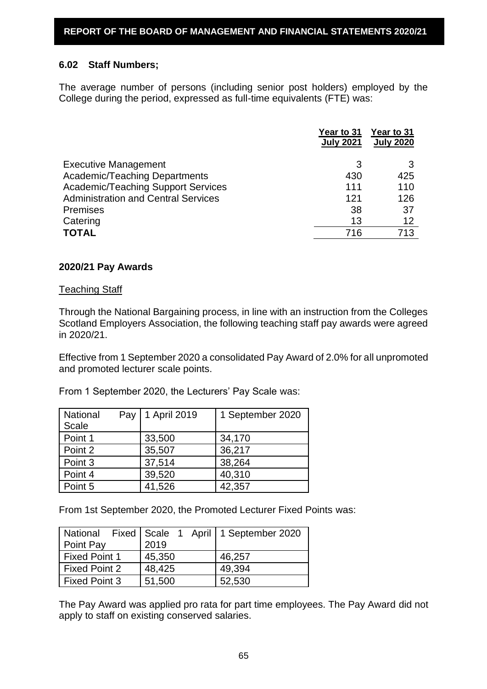### **6.02 Staff Numbers;**

The average number of persons (including senior post holders) employed by the College during the period, expressed as full-time equivalents (FTE) was:

|                                            | Year to 31<br><b>July 2021</b> | Year to 31<br><b>July 2020</b> |
|--------------------------------------------|--------------------------------|--------------------------------|
| <b>Executive Management</b>                | 3                              |                                |
| <b>Academic/Teaching Departments</b>       | 430                            | 425                            |
| <b>Academic/Teaching Support Services</b>  | 111                            | 110                            |
| <b>Administration and Central Services</b> | 121                            | 126                            |
| <b>Premises</b>                            | 38                             | 37                             |
| Catering                                   | 13                             | 12                             |
| <b>TOTAL</b>                               | 716                            | 713                            |

### **2020/21 Pay Awards**

#### Teaching Staff

Through the National Bargaining process, in line with an instruction from the Colleges Scotland Employers Association, the following teaching staff pay awards were agreed in 2020/21.

Effective from 1 September 2020 a consolidated Pay Award of 2.0% for all unpromoted and promoted lecturer scale points.

From 1 September 2020, the Lecturers' Pay Scale was:

| National<br>Scale | Pay | 1 April 2019 | 1 September 2020 |
|-------------------|-----|--------------|------------------|
| Point 1           |     | 33,500       | 34,170           |
| Point 2           |     | 35,507       | 36,217           |
| Point 3           |     | 37,514       | 38,264           |
| Point 4           |     | 39,520       | 40,310           |
| Point 5           |     | 41,526       | 42,357           |

From 1st September 2020, the Promoted Lecturer Fixed Points was:

|                      |        | National Fixed   Scale 1 April   1 September 2020 |
|----------------------|--------|---------------------------------------------------|
| Point Pay            | 2019   |                                                   |
| <b>Fixed Point 1</b> | 45,350 | 46,257                                            |
| Fixed Point 2        | 48,425 | 49,394                                            |
| <b>Fixed Point 3</b> | 51,500 | 52,530                                            |

The Pay Award was applied pro rata for part time employees. The Pay Award did not apply to staff on existing conserved salaries.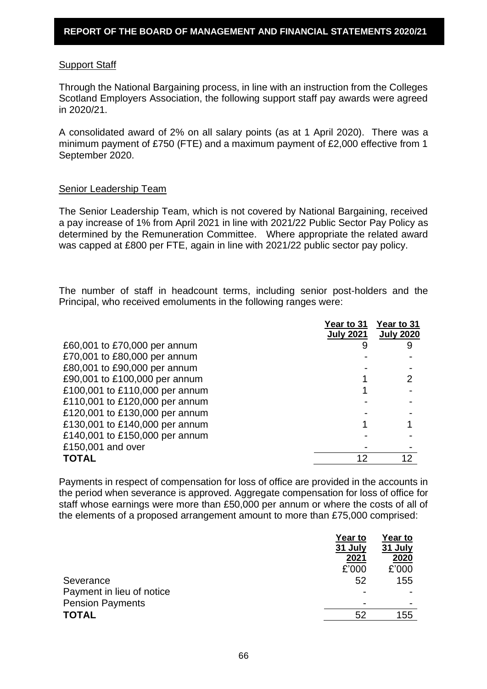### Support Staff

Through the National Bargaining process, in line with an instruction from the Colleges Scotland Employers Association, the following support staff pay awards were agreed in 2020/21.

A consolidated award of 2% on all salary points (as at 1 April 2020). There was a minimum payment of £750 (FTE) and a maximum payment of £2,000 effective from 1 September 2020.

### Senior Leadership Team

The Senior Leadership Team, which is not covered by National Bargaining, received a pay increase of 1% from April 2021 in line with 2021/22 Public Sector Pay Policy as determined by the Remuneration Committee. Where appropriate the related award was capped at £800 per FTE, again in line with 2021/22 public sector pay policy.

The number of staff in headcount terms, including senior post-holders and the Principal, who received emoluments in the following ranges were:

|                                | Year to 31<br><b>July 2021</b> | Year to 31<br><b>July 2020</b> |
|--------------------------------|--------------------------------|--------------------------------|
| £60,001 to £70,000 per annum   |                                | 9                              |
| £70,001 to £80,000 per annum   |                                |                                |
| £80,001 to £90,000 per annum   |                                |                                |
| £90,001 to £100,000 per annum  |                                |                                |
| £100,001 to £110,000 per annum |                                |                                |
| £110,001 to £120,000 per annum |                                |                                |
| £120,001 to £130,000 per annum |                                |                                |
| £130,001 to £140,000 per annum |                                |                                |
| £140,001 to £150,000 per annum |                                |                                |
| £150,001 and over              |                                |                                |
| TOTAL                          |                                | 12                             |

Payments in respect of compensation for loss of office are provided in the accounts in the period when severance is approved. Aggregate compensation for loss of office for staff whose earnings were more than £50,000 per annum or where the costs of all of the elements of a proposed arrangement amount to more than £75,000 comprised:

|                           | Year to        | Year to |
|---------------------------|----------------|---------|
|                           | 31 July        | 31 July |
|                           | 2021           | 2020    |
|                           | £'000          | £'000   |
| Severance                 | 52             | 155     |
| Payment in lieu of notice |                |         |
| <b>Pension Payments</b>   | $\blacksquare$ |         |
| TOTAL                     | 52             | 155     |
|                           |                |         |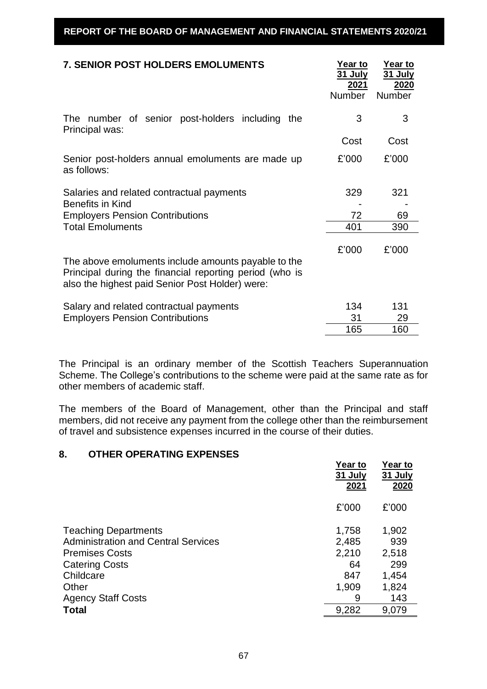| <b>7. SENIOR POST HOLDERS EMOLUMENTS</b>                                                                                                                          | Year to<br><u>31 July</u><br>2021<br><b>Number</b> | Year to<br><b>31 July</b><br>2020<br><b>Number</b> |
|-------------------------------------------------------------------------------------------------------------------------------------------------------------------|----------------------------------------------------|----------------------------------------------------|
| The number of senior post-holders including<br>the<br>Principal was:                                                                                              | 3                                                  | 3                                                  |
|                                                                                                                                                                   | Cost                                               | Cost                                               |
| Senior post-holders annual emoluments are made up<br>as follows:                                                                                                  | £'000                                              | £'000                                              |
| Salaries and related contractual payments<br><b>Benefits in Kind</b>                                                                                              | 329                                                | 321                                                |
| <b>Employers Pension Contributions</b>                                                                                                                            | 72                                                 | 69                                                 |
| <b>Total Emoluments</b>                                                                                                                                           | 401                                                | 390                                                |
| The above emoluments include amounts payable to the<br>Principal during the financial reporting period (who is<br>also the highest paid Senior Post Holder) were: | £'000                                              | £'000                                              |
| Salary and related contractual payments<br><b>Employers Pension Contributions</b>                                                                                 | 134<br>31                                          | 131<br>29                                          |
|                                                                                                                                                                   | 165                                                | 160                                                |

The Principal is an ordinary member of the Scottish Teachers Superannuation Scheme. The College's contributions to the scheme were paid at the same rate as for other members of academic staff.

The members of the Board of Management, other than the Principal and staff members, did not receive any payment from the college other than the reimbursement of travel and subsistence expenses incurred in the course of their duties.

# **8. OTHER OPERATING EXPENSES**

|                                            | Year to<br>31 July<br>2021 | Year to<br>31 July<br>2020 |
|--------------------------------------------|----------------------------|----------------------------|
|                                            | £'000                      | £'000                      |
| <b>Teaching Departments</b>                | 1,758                      | 1,902                      |
| <b>Administration and Central Services</b> | 2,485                      | 939                        |
| <b>Premises Costs</b>                      | 2,210                      | 2,518                      |
| <b>Catering Costs</b>                      | 64                         | 299                        |
| Childcare                                  | 847                        | 1,454                      |
| Other                                      | 1,909                      | 1,824                      |
| <b>Agency Staff Costs</b>                  | 9                          | 143                        |
| Total                                      | 9,282                      | 9,079                      |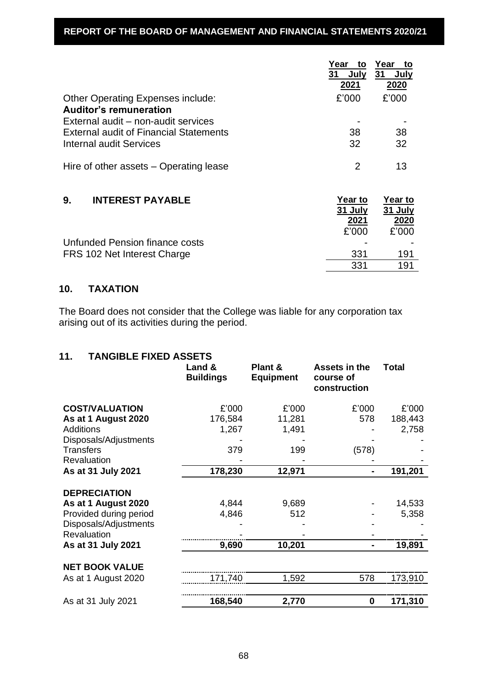# **REPORT OF THE BOARD OF MANAGEMENT AND FINANCIAL STATEMENTS 2020/21**

|                                                                    | Year<br>to<br>31<br>July<br>2021 | Year<br>to<br>31<br>July<br>2020 |
|--------------------------------------------------------------------|----------------------------------|----------------------------------|
| Other Operating Expenses include:<br><b>Auditor's remuneration</b> | £'000                            | £'000                            |
| External audit – non-audit services                                |                                  |                                  |
| <b>External audit of Financial Statements</b>                      | 38                               | 38                               |
| Internal audit Services                                            | 32                               | 32                               |
| Hire of other assets – Operating lease                             | 2                                | 13                               |
| 9.<br><b>INTEREST PAYABLE</b>                                      | Year to<br>31 July<br>2021       | Year to<br>31 July<br>2020       |
|                                                                    | £'000                            | £'000                            |
| Unfunded Pension finance costs                                     |                                  |                                  |
| FRS 102 Net Interest Charge                                        | 331                              | 191                              |
|                                                                    | 331                              | 191                              |

# **10. TAXATION**

The Board does not consider that the College was liable for any corporation tax arising out of its activities during the period.

| <b>TANGIBLE FIXED ASSETS</b><br>11. |  |
|-------------------------------------|--|
|-------------------------------------|--|

|                        | Land &<br><b>Buildings</b> | Plant &<br><b>Equipment</b> | Assets in the<br>course of<br>construction | <b>Total</b> |
|------------------------|----------------------------|-----------------------------|--------------------------------------------|--------------|
| <b>COST/VALUATION</b>  | £'000                      | £'000                       | £'000                                      | £'000        |
| As at 1 August 2020    | 176,584                    | 11,281                      | 578                                        | 188,443      |
| <b>Additions</b>       | 1,267                      | 1,491                       |                                            | 2,758        |
| Disposals/Adjustments  |                            |                             |                                            |              |
| <b>Transfers</b>       | 379                        | 199                         | (578)                                      |              |
| Revaluation            |                            |                             |                                            |              |
| As at 31 July 2021     | 178,230                    | 12,971                      |                                            | 191,201      |
| <b>DEPRECIATION</b>    |                            |                             |                                            |              |
| As at 1 August 2020    | 4,844                      | 9,689                       |                                            | 14,533       |
| Provided during period | 4,846                      | 512                         |                                            | 5,358        |
| Disposals/Adjustments  |                            |                             |                                            |              |
| Revaluation            |                            |                             |                                            |              |
| As at 31 July 2021     | 9,690                      | 10,201                      |                                            | 19,891       |
| <b>NET BOOK VALUE</b>  |                            |                             |                                            |              |
| As at 1 August 2020    | 171,740                    | 1,592                       | 578                                        | 173,910      |
|                        |                            |                             |                                            |              |
| As at 31 July 2021     | 168,540                    | 2,770                       | 0                                          | 171,310      |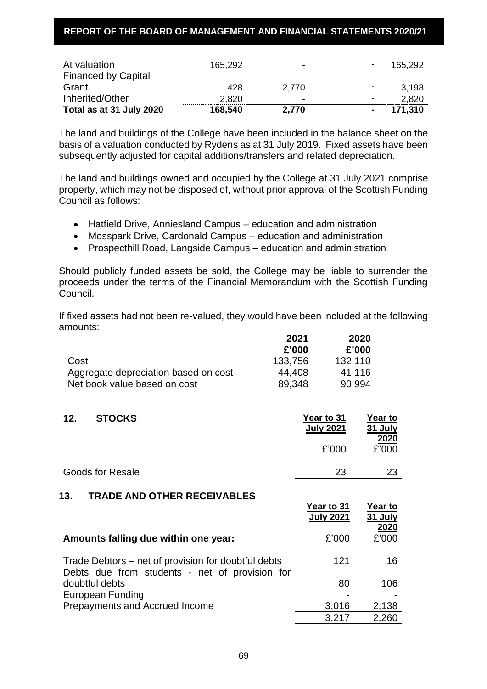### **REPORT OF THE BOARD OF MANAGEMENT AND FINANCIAL STATEMENTS 2020/21**

| At valuation<br><b>Financed by Capital</b> | 165,292 | $\overline{\phantom{0}}$ | $\overline{\phantom{a}}$ | 165,292 |
|--------------------------------------------|---------|--------------------------|--------------------------|---------|
| Grant                                      | 428     | 2.770                    | -                        | 3,198   |
| Inherited/Other                            | 2,820   | ۰                        | $\overline{\phantom{0}}$ | 2,820   |
| Total as at 31 July 2020                   | 168,540 | 2,770                    | $\blacksquare$           | 171,310 |

The land and buildings of the College have been included in the balance sheet on the basis of a valuation conducted by Rydens as at 31 July 2019. Fixed assets have been subsequently adjusted for capital additions/transfers and related depreciation.

The land and buildings owned and occupied by the College at 31 July 2021 comprise property, which may not be disposed of, without prior approval of the Scottish Funding Council as follows:

- Hatfield Drive, Anniesland Campus education and administration
- Mosspark Drive, Cardonald Campus education and administration
- Prospecthill Road, Langside Campus education and administration

Should publicly funded assets be sold, the College may be liable to surrender the proceeds under the terms of the Financial Memorandum with the Scottish Funding Council.

If fixed assets had not been re-valued, they would have been included at the following amounts:

**Year to** 

|                                      | 2021    | 2020    |
|--------------------------------------|---------|---------|
|                                      | £'000   | £'000   |
| Cost                                 | 133,756 | 132,110 |
| Aggregate depreciation based on cost | 44.408  | 41,116  |
| Net book value based on cost         | 89.348  | 90,994  |

# **12. STOCKS Year to 31**

|                         | <b>July 2021</b> | 31 July<br>2020 |
|-------------------------|------------------|-----------------|
|                         | £'000            | £'000           |
| <b>Goods for Resale</b> | 23               | 23              |
|                         |                  |                 |

#### **13. TRADE AND OTHER RECEIVABLES**

|                                                                                                       | Year to 31<br><b>July 2021</b> | Year to<br>31 July<br>2020 |
|-------------------------------------------------------------------------------------------------------|--------------------------------|----------------------------|
| Amounts falling due within one year:                                                                  | £'000                          | £'000                      |
| Trade Debtors – net of provision for doubtful debts<br>Debts due from students - net of provision for | 121                            | 16                         |
| doubtful debts<br><b>European Funding</b>                                                             | 80                             | 106                        |
| Prepayments and Accrued Income                                                                        | 3,016                          | 2,138                      |
|                                                                                                       | 3,217                          | 2,260                      |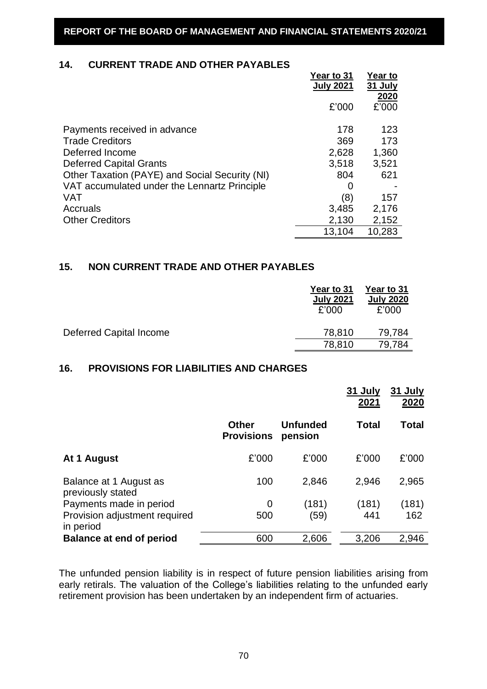# **14. CURRENT TRADE AND OTHER PAYABLES**

|                                                | <b>Year to 31</b><br><b>July 2021</b> | Year to<br>31 July |
|------------------------------------------------|---------------------------------------|--------------------|
|                                                | £'000                                 | 2020<br>£'000      |
| Payments received in advance                   | 178                                   | 123                |
| <b>Trade Creditors</b>                         | 369                                   | 173                |
| Deferred Income                                | 2,628                                 | 1,360              |
| <b>Deferred Capital Grants</b>                 | 3,518                                 | 3,521              |
| Other Taxation (PAYE) and Social Security (NI) | 804                                   | 621                |
| VAT accumulated under the Lennartz Principle   | O                                     |                    |
| <b>VAT</b>                                     | (8)                                   | 157                |
| Accruals                                       | 3,485                                 | 2,176              |
| <b>Other Creditors</b>                         | 2,130                                 | 2,152              |
|                                                | 13,104                                | 10,283             |

# **15. NON CURRENT TRADE AND OTHER PAYABLES**

|                         | Year to 31<br><b>July 2021</b><br>£'000 | Year to 31<br><b>July 2020</b><br>£'000 |
|-------------------------|-----------------------------------------|-----------------------------------------|
| Deferred Capital Income | 78,810                                  | 79,784                                  |
|                         | 78,810                                  | 79.784                                  |

### **16. PROVISIONS FOR LIABILITIES AND CHARGES**

|                                             |                                   |                            | 31 July<br>2021 | 31 July<br>2020 |
|---------------------------------------------|-----------------------------------|----------------------------|-----------------|-----------------|
|                                             | <b>Other</b><br><b>Provisions</b> | <b>Unfunded</b><br>pension | <b>Total</b>    | Total           |
| At 1 August                                 | £'000                             | £'000                      | £'000           | £'000           |
| Balance at 1 August as<br>previously stated | 100                               | 2,846                      | 2,946           | 2,965           |
| Payments made in period                     | 0                                 | (181)                      | (181)           | (181)           |
| Provision adjustment required<br>in period  | 500                               | (59)                       | 441             | 162             |
| <b>Balance at end of period</b>             | 600                               | 2,606                      | 3,206           | 2,946           |

The unfunded pension liability is in respect of future pension liabilities arising from early retirals. The valuation of the College's liabilities relating to the unfunded early retirement provision has been undertaken by an independent firm of actuaries.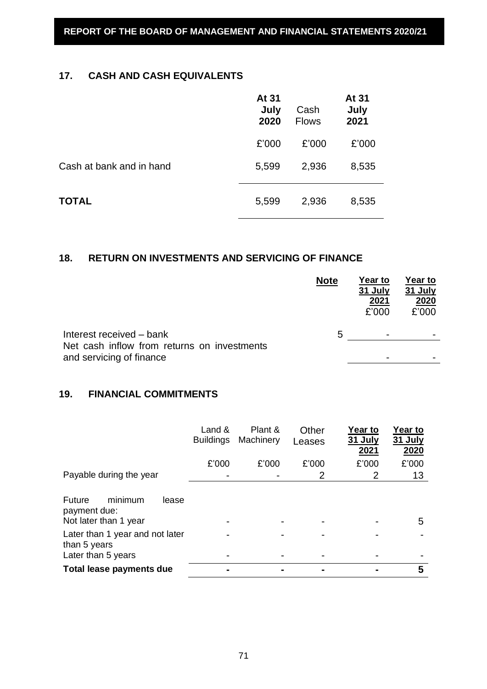# **17. CASH AND CASH EQUIVALENTS**

|                          | At 31<br>July<br>2020 | Cash<br><b>Flows</b> | At 31<br>July<br>2021 |
|--------------------------|-----------------------|----------------------|-----------------------|
|                          | £'000                 | £'000                | £'000                 |
| Cash at bank and in hand | 5,599                 | 2,936                | 8,535                 |
| <b>TOTAL</b>             | 5,599                 | 2,936                | 8,535                 |

# **18. RETURN ON INVESTMENTS AND SERVICING OF FINANCE**

|                                                                         | <b>Note</b> | Year to<br>31 July<br>2021<br>£'000 | Year to<br>31 July<br>2020<br>£'000 |
|-------------------------------------------------------------------------|-------------|-------------------------------------|-------------------------------------|
| Interest received – bank                                                | 5           | ۰                                   | -                                   |
| Net cash inflow from returns on investments<br>and servicing of finance |             |                                     |                                     |

# **19. FINANCIAL COMMITMENTS**

|                                                                       | Land &<br><b>Buildings</b> | Plant &<br>Machinery | Other<br>Leases | Year to<br>31 July<br>2021 | Year to<br>31 July<br>2020 |
|-----------------------------------------------------------------------|----------------------------|----------------------|-----------------|----------------------------|----------------------------|
|                                                                       | £'000                      | £'000                | £'000           | £'000                      | £'000                      |
| Payable during the year                                               |                            |                      | 2               | 2                          | 13                         |
| minimum<br>Future<br>lease<br>payment due:<br>Not later than 1 year   |                            |                      |                 |                            | 5                          |
| Later than 1 year and not later<br>than 5 years<br>Later than 5 years |                            |                      |                 |                            |                            |
| Total lease payments due                                              |                            |                      |                 |                            | 5                          |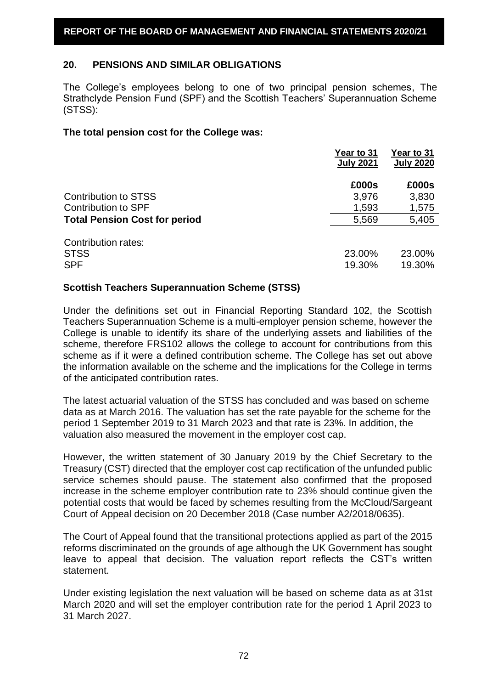# **20. PENSIONS AND SIMILAR OBLIGATIONS**

The College's employees belong to one of two principal pension schemes, The Strathclyde Pension Fund (SPF) and the Scottish Teachers' Superannuation Scheme (STSS):

### **The total pension cost for the College was:**

|                                                  | Year to 31<br><b>July 2021</b> | Year to 31<br><b>July 2020</b> |
|--------------------------------------------------|--------------------------------|--------------------------------|
|                                                  | £000s                          | £000s                          |
| <b>Contribution to STSS</b>                      | 3,976                          | 3,830                          |
| Contribution to SPF                              | 1,593                          | 1,575                          |
| <b>Total Pension Cost for period</b>             | 5,569                          | 5,405                          |
| Contribution rates:<br><b>STSS</b><br><b>SPF</b> | 23.00%<br>19.30%               | 23.00%<br>19.30%               |

## **Scottish Teachers Superannuation Scheme (STSS)**

Under the definitions set out in Financial Reporting Standard 102, the Scottish Teachers Superannuation Scheme is a multi-employer pension scheme, however the College is unable to identify its share of the underlying assets and liabilities of the scheme, therefore FRS102 allows the college to account for contributions from this scheme as if it were a defined contribution scheme. The College has set out above the information available on the scheme and the implications for the College in terms of the anticipated contribution rates.

The latest actuarial valuation of the STSS has concluded and was based on scheme data as at March 2016. The valuation has set the rate payable for the scheme for the period 1 September 2019 to 31 March 2023 and that rate is 23%. In addition, the valuation also measured the movement in the employer cost cap.

However, the written statement of 30 January 2019 by the Chief Secretary to the Treasury (CST) directed that the employer cost cap rectification of the unfunded public service schemes should pause. The statement also confirmed that the proposed increase in the scheme employer contribution rate to 23% should continue given the potential costs that would be faced by schemes resulting from the McCloud/Sargeant Court of Appeal decision on 20 December 2018 (Case number A2/2018/0635).

The Court of Appeal found that the transitional protections applied as part of the 2015 reforms discriminated on the grounds of age although the UK Government has sought leave to appeal that decision. The valuation report reflects the CST's written statement.

Under existing legislation the next valuation will be based on scheme data as at 31st March 2020 and will set the employer contribution rate for the period 1 April 2023 to 31 March 2027.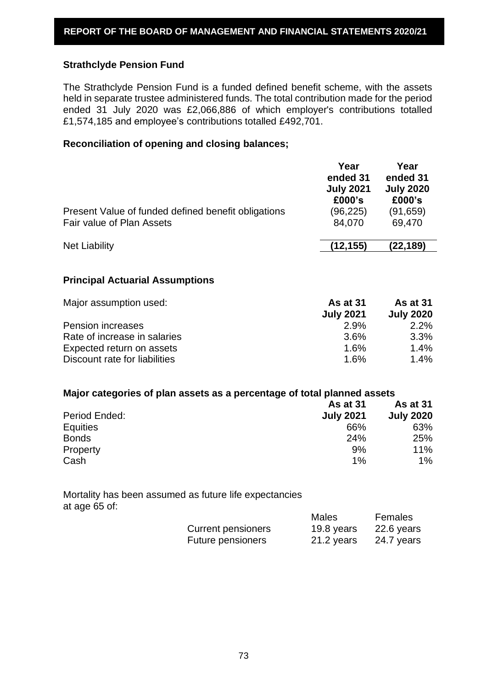### **Strathclyde Pension Fund**

The Strathclyde Pension Fund is a funded defined benefit scheme, with the assets held in separate trustee administered funds. The total contribution made for the period ended 31 July 2020 was £2,066,886 of which employer's contributions totalled £1,574,185 and employee's contributions totalled £492,701.

#### **Reconciliation of opening and closing balances;**

|                                                     | Year<br>ended 31<br><b>July 2021</b><br>£000's | Year<br>ended 31<br><b>July 2020</b><br>£000's |
|-----------------------------------------------------|------------------------------------------------|------------------------------------------------|
| Present Value of funded defined benefit obligations | (96, 225)                                      | (91, 659)                                      |
| Fair value of Plan Assets                           | 84,070                                         | 69,470                                         |
| <b>Net Liability</b>                                | (12, 155)                                      | (22, 189)                                      |

#### **Principal Actuarial Assumptions**

| Major assumption used:        | <b>As at 31</b>  | <b>As at 31</b>  |
|-------------------------------|------------------|------------------|
|                               | <b>July 2021</b> | <b>July 2020</b> |
| <b>Pension increases</b>      | 2.9%             | 2.2%             |
| Rate of increase in salaries  | 3.6%             | $3.3\%$          |
| Expected return on assets     | 1.6%             | 1.4%             |
| Discount rate for liabilities | 1.6%             | $1.4\%$          |

#### **Major categories of plan assets as a percentage of total planned assets**

|                 | <b>As at 31</b>  | <b>As at 31</b>  |
|-----------------|------------------|------------------|
| Period Ended:   | <b>July 2021</b> | <b>July 2020</b> |
| <b>Equities</b> | 66%              | 63%              |
| <b>Bonds</b>    | 24%              | 25%              |
| Property        | 9%               | 11%              |
| Cash            | 1%               | 1%               |

Mortality has been assumed as future life expectancies at age 65 of:

|                           | Males      | Females    |
|---------------------------|------------|------------|
| <b>Current pensioners</b> | 19.8 years | 22.6 years |
| Future pensioners         | 21.2 years | 24.7 years |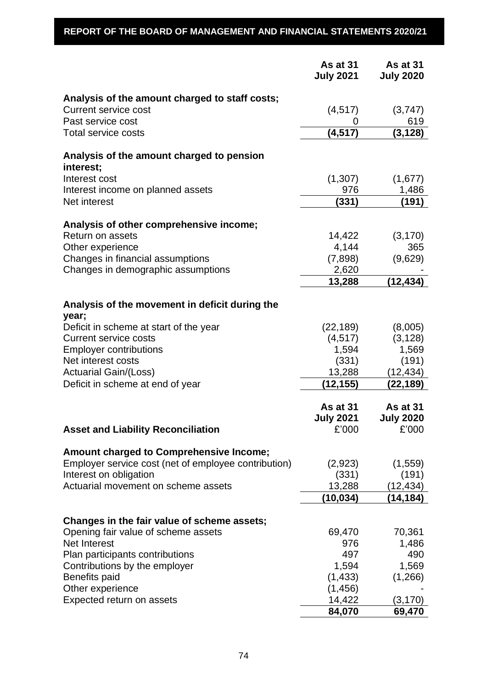# **REPORT OF THE BOARD OF MANAGEMENT AND FINANCIAL STATEMENTS 2020/21**

|                                                            | As at 31<br><b>July 2021</b>                 | As at 31<br><b>July 2020</b>                 |
|------------------------------------------------------------|----------------------------------------------|----------------------------------------------|
| Analysis of the amount charged to staff costs;             |                                              |                                              |
| <b>Current service cost</b>                                | (4, 517)                                     | (3,747)                                      |
| Past service cost                                          |                                              | 619                                          |
| <b>Total service costs</b>                                 | (4, 517)                                     | (3, 128)                                     |
| Analysis of the amount charged to pension<br>interest:     |                                              |                                              |
| Interest cost                                              | (1,307)                                      | (1,677)                                      |
| Interest income on planned assets                          | 976                                          | 1,486                                        |
| Net interest                                               | (331)                                        | (191)                                        |
| Analysis of other comprehensive income;                    |                                              |                                              |
| <b>Return on assets</b>                                    | 14,422                                       | (3, 170)                                     |
| Other experience                                           | 4,144                                        | 365                                          |
| Changes in financial assumptions                           | (7,898)                                      | (9,629)                                      |
| Changes in demographic assumptions                         | 2,620                                        |                                              |
|                                                            | 13,288                                       | (12, 434)                                    |
| Analysis of the movement in deficit during the<br>year;    |                                              |                                              |
| Deficit in scheme at start of the year                     | (22, 189)                                    | (8,005)                                      |
| <b>Current service costs</b>                               | (4, 517)                                     | (3, 128)                                     |
| <b>Employer contributions</b>                              | 1,594                                        | 1,569                                        |
| Net interest costs                                         | (331)                                        | (191)                                        |
| <b>Actuarial Gain/(Loss)</b>                               | 13,288                                       | (12,434)                                     |
| Deficit in scheme at end of year                           | (12, 155)                                    | (22,189)                                     |
| <b>Asset and Liability Reconciliation</b>                  | <b>As at 31</b><br><b>July 2021</b><br>£'000 | <b>As at 31</b><br><b>July 2020</b><br>£'000 |
| <b>Amount charged to Comprehensive Income;</b>             |                                              |                                              |
| Employer service cost (net of employee contribution)       | (2,923)                                      | (1,559)                                      |
| Interest on obligation                                     | (331)                                        | (191)                                        |
| Actuarial movement on scheme assets                        | 13,288                                       | (12, 434)                                    |
|                                                            | (10, 034)                                    | (14, 184)                                    |
|                                                            |                                              |                                              |
| Changes in the fair value of scheme assets;                |                                              |                                              |
| Opening fair value of scheme assets<br><b>Net Interest</b> | 69,470<br>976                                | 70,361<br>1,486                              |
| Plan participants contributions                            | 497                                          | 490                                          |
| Contributions by the employer                              | 1,594                                        | 1,569                                        |
| <b>Benefits paid</b>                                       | (1, 433)                                     | (1,266)                                      |
| Other experience                                           | (1, 456)                                     |                                              |
| Expected return on assets                                  | 14,422                                       | (3, 170)                                     |
|                                                            | 84,070                                       | 69,470                                       |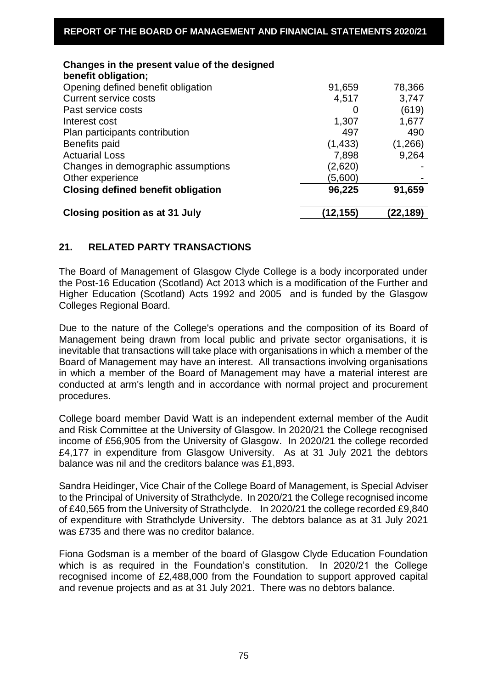| Changes in the present value of the designed<br>benefit obligation; |              |          |
|---------------------------------------------------------------------|--------------|----------|
| Opening defined benefit obligation                                  | 91,659       | 78,366   |
| <b>Current service costs</b>                                        | 4,517        | 3,747    |
| Past service costs                                                  | $\mathbf{O}$ | (619)    |
| Interest cost                                                       | 1,307        | 1,677    |
| Plan participants contribution                                      | 497          | 490      |
| Benefits paid                                                       | (1, 433)     | (1,266)  |
| <b>Actuarial Loss</b>                                               | 7,898        | 9,264    |
| Changes in demographic assumptions                                  | (2,620)      |          |
| Other experience                                                    | (5,600)      |          |
| <b>Closing defined benefit obligation</b>                           | 96,225       | 91,659   |
|                                                                     |              |          |
| <b>Closing position as at 31 July</b>                               | (12,155)     | (22,189) |

# **21. RELATED PARTY TRANSACTIONS**

The Board of Management of Glasgow Clyde College is a body incorporated under the Post-16 Education (Scotland) Act 2013 which is a modification of the Further and Higher Education (Scotland) Acts 1992 and 2005 and is funded by the Glasgow Colleges Regional Board.

Due to the nature of the College's operations and the composition of its Board of Management being drawn from local public and private sector organisations, it is inevitable that transactions will take place with organisations in which a member of the Board of Management may have an interest. All transactions involving organisations in which a member of the Board of Management may have a material interest are conducted at arm's length and in accordance with normal project and procurement procedures.

College board member David Watt is an independent external member of the Audit and Risk Committee at the University of Glasgow. In 2020/21 the College recognised income of £56,905 from the University of Glasgow. In 2020/21 the college recorded £4,177 in expenditure from Glasgow University. As at 31 July 2021 the debtors balance was nil and the creditors balance was £1,893.

Sandra Heidinger, Vice Chair of the College Board of Management, is Special Adviser to the Principal of University of Strathclyde. In 2020/21 the College recognised income of £40,565 from the University of Strathclyde. In 2020/21 the college recorded £9,840 of expenditure with Strathclyde University. The debtors balance as at 31 July 2021 was £735 and there was no creditor balance.

Fiona Godsman is a member of the board of Glasgow Clyde Education Foundation which is as required in the Foundation's constitution. In 2020/21 the College recognised income of £2,488,000 from the Foundation to support approved capital and revenue projects and as at 31 July 2021. There was no debtors balance.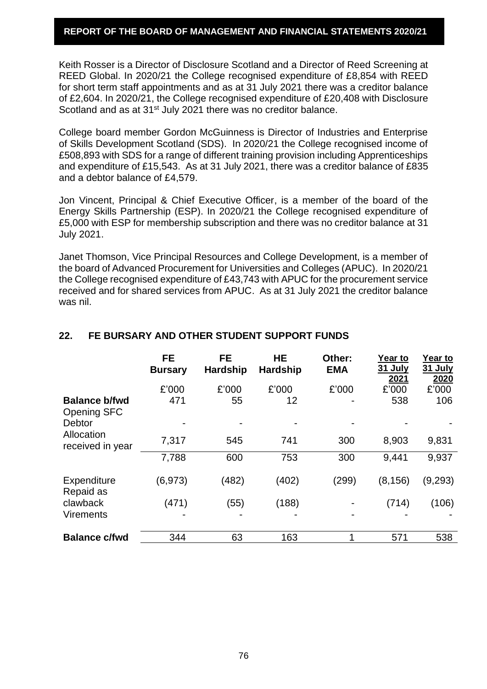#### **REPORT OF THE BOARD OF MANAGEMENT AND FINANCIAL STATEMENTS 2020/21**

Keith Rosser is a Director of Disclosure Scotland and a Director of Reed Screening at REED Global. In 2020/21 the College recognised expenditure of £8,854 with REED for short term staff appointments and as at 31 July 2021 there was a creditor balance of £2,604. In 2020/21, the College recognised expenditure of £20,408 with Disclosure Scotland and as at 31<sup>st</sup> July 2021 there was no creditor balance.

College board member Gordon McGuinness is Director of Industries and Enterprise of Skills Development Scotland (SDS). In 2020/21 the College recognised income of £508,893 with SDS for a range of different training provision including Apprenticeships and expenditure of £15,543. As at 31 July 2021, there was a creditor balance of £835 and a debtor balance of £4,579.

Jon Vincent, Principal & Chief Executive Officer, is a member of the board of the Energy Skills Partnership (ESP). In 2020/21 the College recognised expenditure of £5,000 with ESP for membership subscription and there was no creditor balance at 31 July 2021.

Janet Thomson, Vice Principal Resources and College Development, is a member of the board of Advanced Procurement for Universities and Colleges (APUC). In 2020/21 the College recognised expenditure of £43,743 with APUC for the procurement service received and for shared services from APUC. As at 31 July 2021 the creditor balance was nil.

|                                                 | <b>FE</b><br><b>Bursary</b> | <b>FE</b><br><b>Hardship</b> | <b>HE</b><br><b>Hardship</b> | Other:<br><b>EMA</b> | <b>Year to</b><br>31 July<br>2021 | Year to<br><b>31 July</b><br>2020 |
|-------------------------------------------------|-----------------------------|------------------------------|------------------------------|----------------------|-----------------------------------|-----------------------------------|
| <b>Balance b/fwd</b><br><b>Opening SFC</b>      | £'000<br>471                | £'000<br>55                  | £'000<br>12                  | £'000                | £'000<br>538                      | £'000<br>106                      |
| <b>Debtor</b><br>Allocation<br>received in year | 7,317                       | 545                          | 741                          | 300                  | 8,903                             | 9,831                             |
|                                                 | 7,788                       | 600                          | 753                          | 300                  | 9,441                             | 9,937                             |
| <b>Expenditure</b><br>Repaid as                 | (6, 973)                    | (482)                        | (402)                        | (299)                | (8, 156)                          | (9,293)                           |
| clawback<br><b>Virements</b>                    | (471)                       | (55)                         | (188)                        |                      | (714)                             | (106)                             |
| <b>Balance c/fwd</b>                            | 344                         | 63                           | 163                          |                      | 571                               | 538                               |

## **22. FE BURSARY AND OTHER STUDENT SUPPORT FUNDS**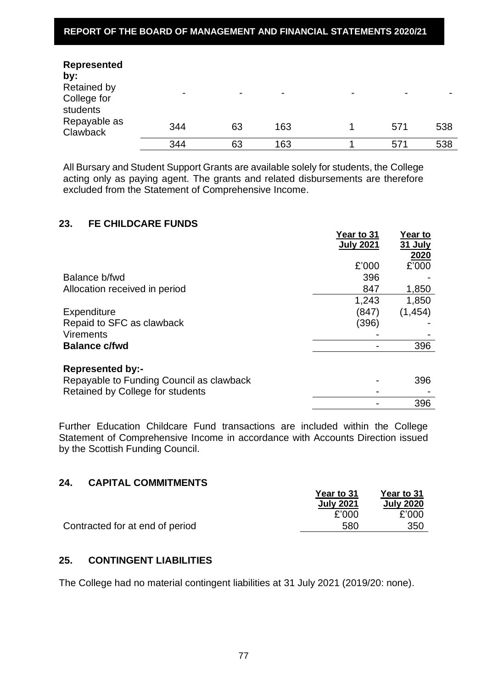# **REPORT OF THE BOARD OF MANAGEMENT AND FINANCIAL STATEMENTS 2020/21**

| <b>Represented</b><br>by:                     |                          |                          |                |                          |                |     |
|-----------------------------------------------|--------------------------|--------------------------|----------------|--------------------------|----------------|-----|
| <b>Retained by</b><br>College for<br>students | $\overline{\phantom{0}}$ | $\overline{\phantom{0}}$ | $\blacksquare$ | $\overline{\phantom{0}}$ | $\blacksquare$ |     |
| Repayable as<br>Clawback                      | 344                      | 63                       | 163            |                          | 571            | 538 |
|                                               | 344                      | 63                       | 163            |                          | 571            | 538 |

All Bursary and Student Support Grants are available solely for students, the College acting only as paying agent. The grants and related disbursements are therefore excluded from the Statement of Comprehensive Income.

#### **23. FE CHILDCARE FUNDS**

|                                                                     | Year to 31<br><b>July 2021</b> | <b>Year to</b><br>31 July<br>2020 |
|---------------------------------------------------------------------|--------------------------------|-----------------------------------|
|                                                                     | £'000                          | £'000                             |
| Balance b/fwd                                                       | 396                            |                                   |
| Allocation received in period                                       | 847                            | 1,850                             |
|                                                                     | 1,243                          | 1,850                             |
| Expenditure                                                         | (847)                          | (1, 454)                          |
| Repaid to SFC as clawback                                           | (396)                          |                                   |
| <b>Virements</b>                                                    |                                |                                   |
| <b>Balance c/fwd</b>                                                |                                | 396                               |
| <b>Represented by:-</b><br>Repayable to Funding Council as clawback |                                | 396                               |
| Retained by College for students                                    |                                |                                   |
|                                                                     |                                | 396                               |

Further Education Childcare Fund transactions are included within the College Statement of Comprehensive Income in accordance with Accounts Direction issued by the Scottish Funding Council.

### **24. CAPITAL COMMITMENTS**

| ---<br><u> YAN TIZIL YYUUTITII YILIYI Y</u> |                  |                  |
|---------------------------------------------|------------------|------------------|
|                                             | Year to 31       | Year to 31       |
|                                             | <b>July 2021</b> | <b>July 2020</b> |
|                                             | £'000            | £'000            |
| Contracted for at end of period             | 580              | 350              |
|                                             |                  |                  |

## **25. CONTINGENT LIABILITIES**

The College had no material contingent liabilities at 31 July 2021 (2019/20: none).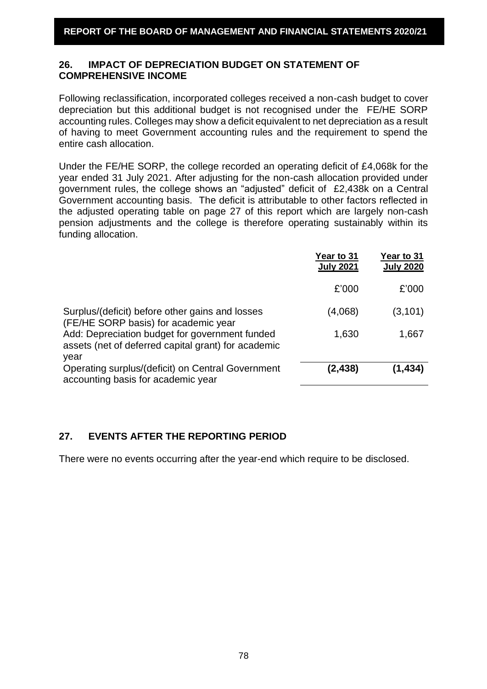# **26. IMPACT OF DEPRECIATION BUDGET ON STATEMENT OF COMPREHENSIVE INCOME**

Following reclassification, incorporated colleges received a non-cash budget to cover depreciation but this additional budget is not recognised under the FE/HE SORP accounting rules. Colleges may show a deficit equivalent to net depreciation as a result of having to meet Government accounting rules and the requirement to spend the entire cash allocation.

Under the FE/HE SORP, the college recorded an operating deficit of £4,068k for the year ended 31 July 2021. After adjusting for the non-cash allocation provided under government rules, the college shows an "adjusted" deficit of £2,438k on a Central Government accounting basis. The deficit is attributable to other factors reflected in the adjusted operating table on page 27 of this report which are largely non-cash pension adjustments and the college is therefore operating sustainably within its funding allocation.

|                                                                                                               | Year to 31<br><b>July 2021</b> | Year to 31<br><b>July 2020</b> |
|---------------------------------------------------------------------------------------------------------------|--------------------------------|--------------------------------|
|                                                                                                               | £'000                          | £'000                          |
| Surplus/(deficit) before other gains and losses<br>(FE/HE SORP basis) for academic year                       | (4,068)                        | (3, 101)                       |
| Add: Depreciation budget for government funded<br>assets (net of deferred capital grant) for academic<br>year | 1,630                          | 1,667                          |
| Operating surplus/(deficit) on Central Government<br>accounting basis for academic year                       | (2,438)                        | (1,434)                        |

# **27. EVENTS AFTER THE REPORTING PERIOD**

There were no events occurring after the year-end which require to be disclosed.